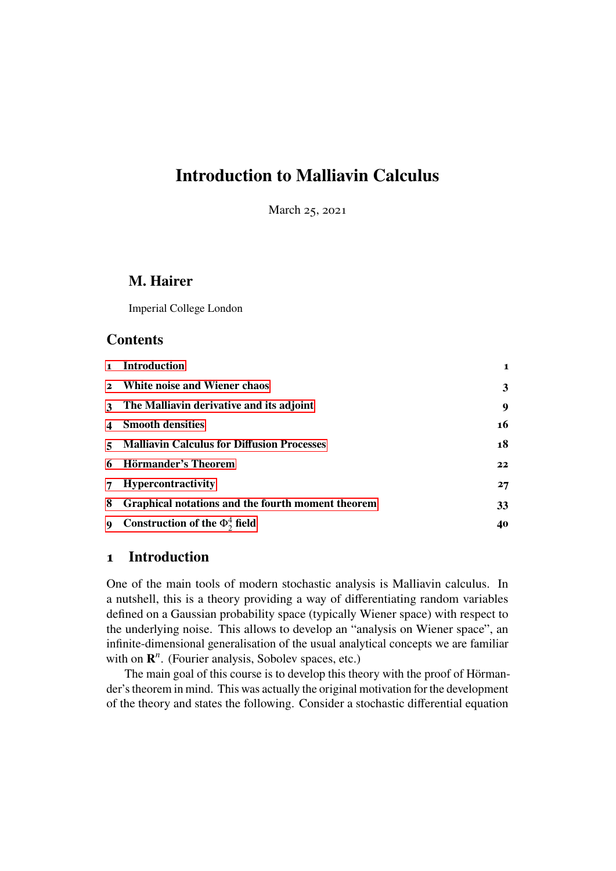## **Introduction to Malliavin Calculus**

March 25, 2021

## **M. Hairer**

Imperial College London

## **Contents**

|                  | 1 Introduction                                    | 1  |
|------------------|---------------------------------------------------|----|
| $\mathbf{2}$     | White noise and Wiener chaos                      | 3  |
| $\mathbf{3}$     | The Malliavin derivative and its adjoint          | 9  |
| $\boldsymbol{4}$ | <b>Smooth densities</b>                           | 16 |
| $\sim$           | <b>Malliavin Calculus for Diffusion Processes</b> | 18 |
| 6                | Hörmander's Theorem                               | 22 |
| $\overline{7}$   | <b>Hypercontractivity</b>                         | 27 |
| 8                | Graphical notations and the fourth moment theorem | 33 |
| $\mathbf{Q}$     | Construction of the $\Phi_2^4$ field              | 40 |

#### <span id="page-0-0"></span>**1 Introduction**

One of the main tools of modern stochastic analysis is Malliavin calculus. In a nutshell, this is a theory providing a way of differentiating random variables defined on a Gaussian probability space (typically Wiener space) with respect to the underlying noise. This allows to develop an "analysis on Wiener space", an infinite-dimensional generalisation of the usual analytical concepts we are familiar with on  $\mathbb{R}^n$ . (Fourier analysis, Sobolev spaces, etc.)

The main goal of this course is to develop this theory with the proof of Hörmander's theorem in mind. This was actually the original motivation for the development of the theory and states the following. Consider a stochastic differential equation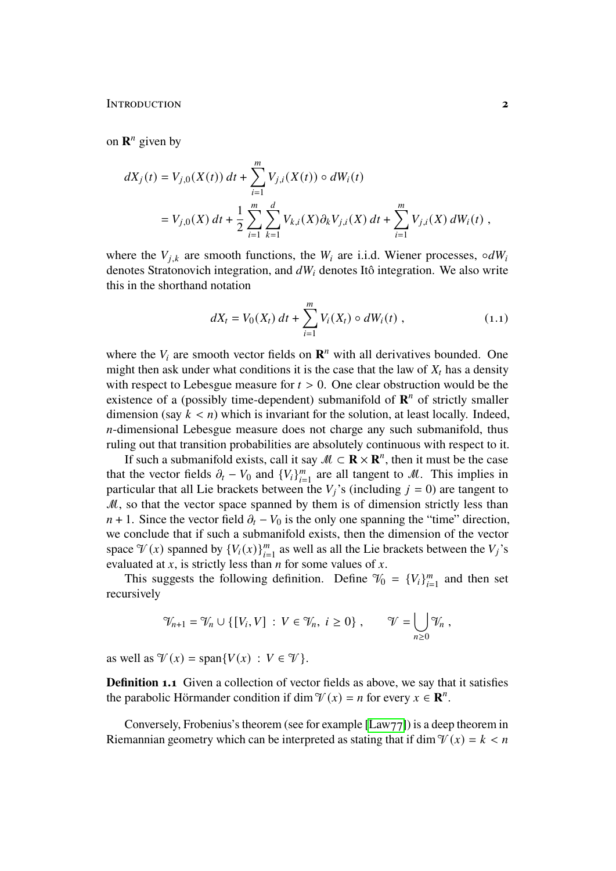INTRODUCTION **2** 

on  $\mathbf{R}^n$  given by

$$
dX_j(t) = V_{j,0}(X(t)) dt + \sum_{i=1}^m V_{j,i}(X(t)) \circ dW_i(t)
$$
  
=  $V_{j,0}(X) dt + \frac{1}{2} \sum_{i=1}^m \sum_{k=1}^d V_{k,i}(X) \partial_k V_{j,i}(X) dt + \sum_{i=1}^m V_{j,i}(X) dW_i(t)$ ,

where the  $V_{i,k}$  are smooth functions, the  $W_i$  are i.i.d. Wiener processes, ∘ $dW_i$ denotes Stratonovich integration, and  $dW_i$  denotes Itô integration. We also write this in the shorthand notation

<span id="page-1-0"></span>
$$
dX_t = V_0(X_t) dt + \sum_{i=1}^{m} V_i(X_t) \circ dW_i(t) , \qquad (1.1)
$$

where the  $V_i$  are smooth vector fields on  $\mathbb{R}^n$  with all derivatives bounded. One might then ask under what conditions it is the case that the law of  $X_t$  has a density with respect to Lebesgue measure for  $t > 0$ . One clear obstruction would be the existence of a (possibly time-dependent) submanifold of  $\mathbb{R}^n$  of strictly smaller dimension (say  $k < n$ ) which is invariant for the solution, at least locally. Indeed,  $n$ -dimensional Lebesgue measure does not charge any such submanifold, thus ruling out that transition probabilities are absolutely continuous with respect to it.

If such a submanifold exists, call it say  $M \subset \mathbb{R} \times \mathbb{R}^n$ , then it must be the case that the vector fields  $\partial_t - V_0$  and  $\{V_i\}_{i=1}^m$  $\sum_{i=1}^{m}$  are all tangent to M. This implies in particular that all Lie brackets between the  $V_j$ 's (including  $j = 0$ ) are tangent to  $M$ , so that the vector space spanned by them is of dimension strictly less than  $n + 1$ . Since the vector field  $\partial_t - V_0$  is the only one spanning the "time" direction, we conclude that if such a submanifold exists, then the dimension of the vector space  $\mathcal{V}(x)$  spanned by  $\{V_i(x)\}_{i=1}^m$  as well as all the Lie brackets between the  $V_j$ 's evaluated at  $x$ , is strictly less than  $n$  for some values of  $x$ .

This suggests the following definition. Define  $\mathcal{V}_0 = \{V_i\}_{i=1}^m$  $_{i=1}^{m}$  and then set recursively

$$
\mathcal{V}_{n+1} = \mathcal{V}_n \cup \{ [V_i, V] : V \in \mathcal{V}_n, i \ge 0 \}, \qquad \mathcal{V} = \bigcup_{n \ge 0} \mathcal{V}_n,
$$

as well as  $\mathcal{V}(x) = \text{span}\{V(x) : V \in \mathcal{V}\}.$ 

**Definition 1.1** Given a collection of vector fields as above, we say that it satisfies the parabolic Hörmander condition if dim  $\mathcal{V}(x) = n$  for every  $x \in \mathbb{R}^n$ .

Conversely, Frobenius's theorem (see for example [\[Law77\]](#page-43-0)) is a deep theorem in Riemannian geometry which can be interpreted as stating that if dim  $\mathcal{V}(x) = k < n$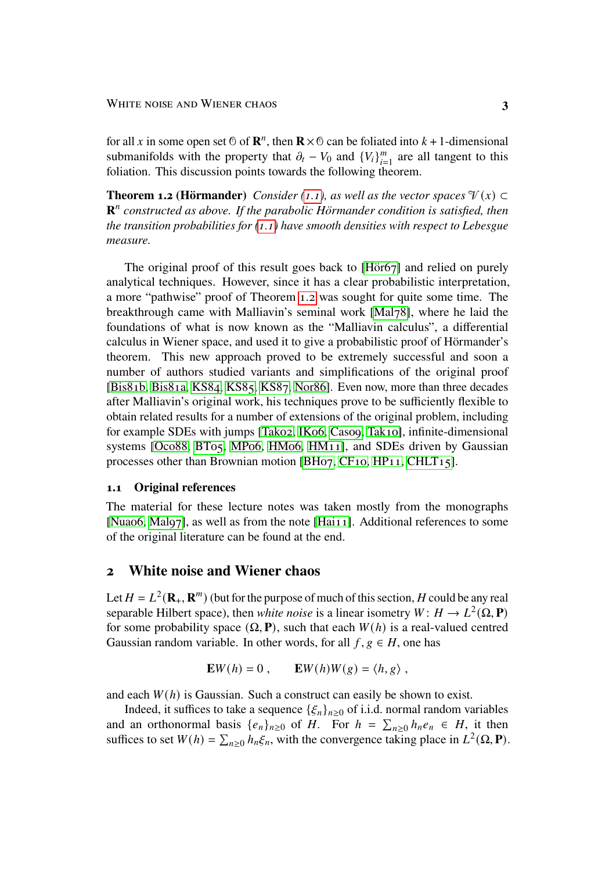for all x in some open set  $\odot$  of  $\mathbb{R}^n$ , then  $\mathbb{R} \times \odot$  can be foliated into  $k + 1$ -dimensional submanifolds with the property that  $\partial_t - V_0$  and  $\{V_i\}_{i=1}^m$  $_{i=1}^{m}$  are all tangent to this foliation. This discussion points towards the following theorem.

<span id="page-2-1"></span>**Theorem 1.2 (Hörmander)** *Consider* [\(1.1\)](#page-1-0), as well as the vector spaces  $\mathcal{V}(x) \subset$ **R**<sup>n</sup> constructed as above. If the parabolic Hörmander condition is satisfied, then *the transition probabilities for [\(1.1\)](#page-1-0) have smooth densities with respect to Lebesgue measure.*

The original proof of this result goes back to [\[Hör67\]](#page-43-1) and relied on purely analytical techniques. However, since it has a clear probabilistic interpretation, a more "pathwise" proof of Theorem [1.2](#page-2-1) was sought for quite some time. The breakthrough came with Malliavin's seminal work [\[Mal78\]](#page-43-2), where he laid the foundations of what is now known as the "Malliavin calculus", a differential calculus in Wiener space, and used it to give a probabilistic proof of Hörmander's theorem. This new approach proved to be extremely successful and soon a number of authors studied variants and simplifications of the original proof [\[Bis81b,](#page-42-0) [Bis81a,](#page-42-1) [KS84,](#page-43-3) [KS85,](#page-43-4) [KS87,](#page-43-5) [Nor86\]](#page-44-0). Even now, more than three decades after Malliavin's original work, his techniques prove to be sufficiently flexible to obtain related results for a number of extensions of the original problem, including for example SDEs with jumps [\[Tak02,](#page-44-1) [IK06,](#page-43-6) [Cas09,](#page-42-2) [Tak10\]](#page-44-2), infinite-dimensional systems [\[Oco88,](#page-44-3) [BT05,](#page-42-3) [MP06,](#page-44-4) [HM06,](#page-43-7) [HM11\]](#page-43-8), and SDEs driven by Gaussian processes other than Brownian motion [\[BH07,](#page-42-4) [CF10,](#page-42-5) [HP11,](#page-43-9) [CHLT15\]](#page-42-6).

#### **1.1 Original references**

The material for these lecture notes was taken mostly from the monographs [\[Nua06,](#page-44-5) [Mal97\]](#page-43-10), as well as from the note [\[Hai11\]](#page-43-11). Additional references to some of the original literature can be found at the end.

#### <span id="page-2-0"></span>**2 White noise and Wiener chaos**

Let  $H = L^2(\mathbf{R}_+, \mathbf{R}^m)$  (but for the purpose of much of this section, H could be any real separable Hilbert space), then *white noise* is a linear isometry  $W: H \to L^2(\Omega, \mathbf{P})$ for some probability space  $(\Omega, \mathbf{P})$ , such that each  $W(h)$  is a real-valued centred Gaussian random variable. In other words, for all  $f, g \in H$ , one has

$$
\mathbf{E}W(h) = 0 , \qquad \mathbf{E}W(h)W(g) = \langle h, g \rangle ,
$$

and each  $W(h)$  is Gaussian. Such a construct can easily be shown to exist.

Indeed, it suffices to take a sequence  $\{\xi_n\}_{n>0}$  of i.i.d. normal random variables and an orthonormal basis  $\{e_n\}_{n\geq 0}$  of H. For  $h = \sum_{n\geq 0} h_n e_n \in H$ , it then suffices to set  $W(h) = \sum_{n\geq 0} h_n \xi_n$ , with the convergence taking place in  $L^2(\Omega, \mathbf{P})$ .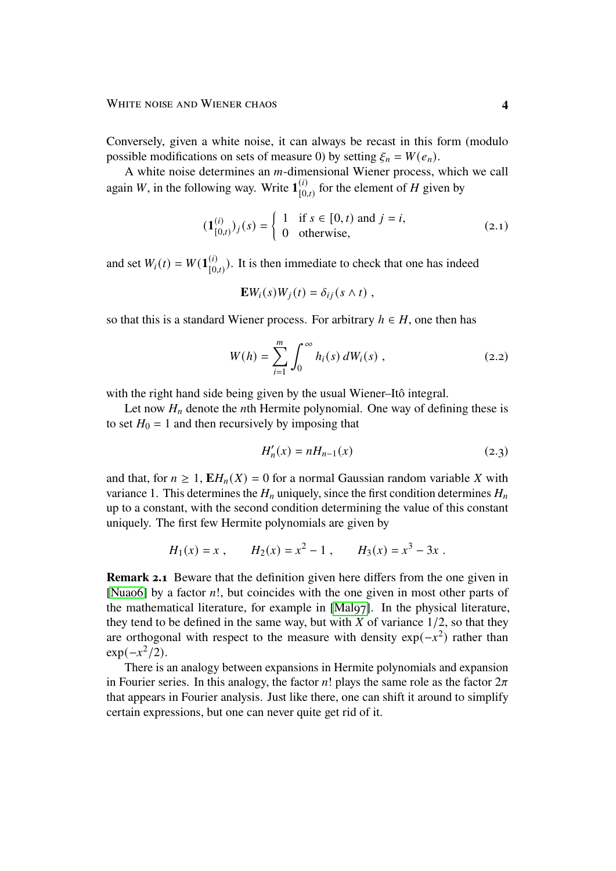Conversely, given a white noise, it can always be recast in this form (modulo possible modifications on sets of measure 0) by setting  $\xi_n = W(e_n)$ .

A white noise determines an  $m$ -dimensional Wiener process, which we call again *W*, in the following way. Write  $\mathbf{1}_{\text{I}_0}^{(i)}$  $\binom{(i)}{[0,t)}$  for the element of H given by

$$
(\mathbf{1}_{[0,t)}^{(i)})_j(s) = \begin{cases} 1 & \text{if } s \in [0,t) \text{ and } j = i, \\ 0 & \text{otherwise,} \end{cases}
$$
 (2.1)

and set  $W_i(t) = W(\mathbf{1}_{\text{no}}^{(i)})$  $\binom{(i)}{[0,t)}$ . It is then immediate to check that one has indeed

$$
\mathbf{E}W_i(s)W_j(t) = \delta_{ij}(s \wedge t) ,
$$

so that this is a standard Wiener process. For arbitrary  $h \in H$ , one then has

$$
W(h) = \sum_{i=1}^{m} \int_0^{\infty} h_i(s) \, dW_i(s) \,, \tag{2.2}
$$

with the right hand side being given by the usual Wiener–Itô integral.

Let now  $H_n$  denote the *n*th Hermite polynomial. One way of defining these is to set  $H_0 = 1$  and then recursively by imposing that

<span id="page-3-1"></span><span id="page-3-0"></span>
$$
H'_n(x) = nH_{n-1}(x)
$$
 (2.3)

and that, for  $n \geq 1$ ,  $\mathbf{E}H_n(X) = 0$  for a normal Gaussian random variable X with variance 1. This determines the  $H_n$  uniquely, since the first condition determines  $H_n$ up to a constant, with the second condition determining the value of this constant uniquely. The first few Hermite polynomials are given by

$$
H_1(x) = x
$$
,  $H_2(x) = x^2 - 1$ ,  $H_3(x) = x^3 - 3x$ .

**Remark 2.1** Beware that the definition given here differs from the one given in [Nuao6] by a factor *n*!, but coincides with the one given in most other parts of the mathematical literature, for example in [\[Mal97\]](#page-43-10). In the physical literature, they tend to be defined in the same way, but with  $X$  of variance  $1/2$ , so that they are orthogonal with respect to the measure with density  $exp(-x^2)$  rather than  $\exp(-x^2/2)$ .

There is an analogy between expansions in Hermite polynomials and expansion in Fourier series. In this analogy, the factor  $n!$ ! plays the same role as the factor  $2\pi$ that appears in Fourier analysis. Just like there, one can shift it around to simplify certain expressions, but one can never quite get rid of it.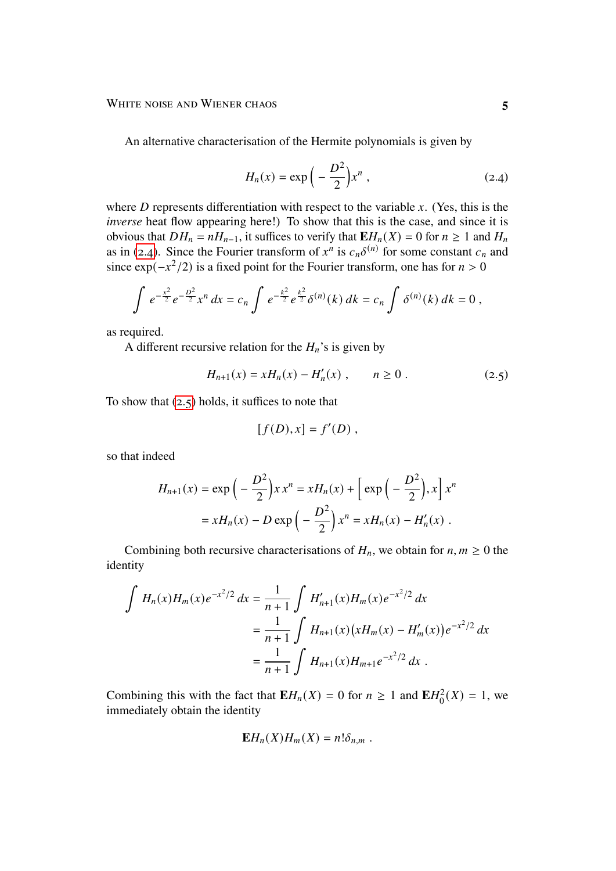An alternative characterisation of the Hermite polynomials is given by

<span id="page-4-0"></span>
$$
H_n(x) = \exp\left(-\frac{D^2}{2}\right)x^n,
$$
\n(2.4)

where  $D$  represents differentiation with respect to the variable  $x$ . (Yes, this is the *inverse* heat flow appearing here!) To show that this is the case, and since it is obvious that  $DH_n = nH_{n-1}$ , it suffices to verify that  $EH_n(X) = 0$  for  $n \ge 1$  and  $H_n$ as in [\(2.4\)](#page-4-0). Since the Fourier transform of  $x^n$  is  $c_n \delta^{(n)}$  for some constant  $c_n$  and since  $\exp(-x^2/2)$  is a fixed point for the Fourier transform, one has for  $n > 0$ 

$$
\int e^{-\frac{x^2}{2}} e^{-\frac{D^2}{2}} x^n dx = c_n \int e^{-\frac{k^2}{2}} e^{\frac{k^2}{2}} \delta^{(n)}(k) dk = c_n \int \delta^{(n)}(k) dk = 0,
$$

as required.

A different recursive relation for the  $H_n$ 's is given by

$$
H_{n+1}(x) = xH_n(x) - H'_n(x) , \qquad n \ge 0 . \tag{2.5}
$$

To show that  $(2.5)$  holds, it suffices to note that

<span id="page-4-1"></span>
$$
[f(D),x]=f'(D),
$$

so that indeed

$$
H_{n+1}(x) = \exp\left(-\frac{D^2}{2}\right)x x^n = xH_n(x) + \left[\exp\left(-\frac{D^2}{2}\right), x\right] x^n
$$

$$
= xH_n(x) - D \exp\left(-\frac{D^2}{2}\right) x^n = xH_n(x) - H'_n(x) .
$$

Combining both recursive characterisations of  $H_n$ , we obtain for  $n, m \geq 0$  the identity

$$
\int H_n(x)H_m(x)e^{-x^2/2} dx = \frac{1}{n+1} \int H'_{n+1}(x)H_m(x)e^{-x^2/2} dx
$$
  
=  $\frac{1}{n+1} \int H_{n+1}(x)(xH_m(x) - H'_m(x))e^{-x^2/2} dx$   
=  $\frac{1}{n+1} \int H_{n+1}(x)H_{m+1}e^{-x^2/2} dx$ .

Combining this with the fact that  $\mathbf{E}H_n(X) = 0$  for  $n \ge 1$  and  $\mathbf{E}H_0^2$  $^{2}_{0}(X) = 1$ , we immediately obtain the identity

$$
\mathbf{E}H_n(X)H_m(X)=n!\delta_{n,m}.
$$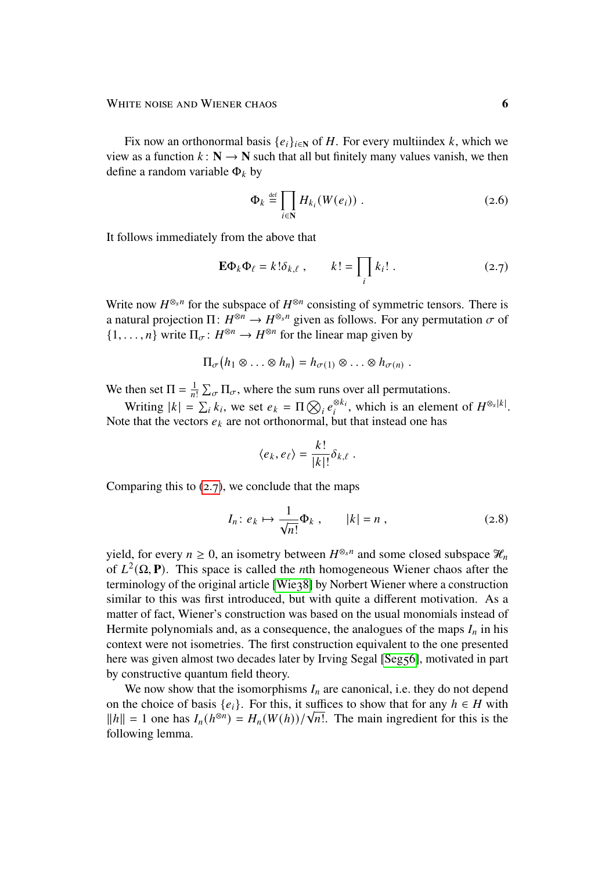Fix now an orthonormal basis  $\{e_i\}_{i \in \mathbb{N}}$  of H. For every multiindex k, which we view as a function  $k : \mathbb{N} \to \mathbb{N}$  such that all but finitely many values vanish, we then define a random variable  $\Phi_k$  by

<span id="page-5-2"></span><span id="page-5-0"></span>
$$
\Phi_k \stackrel{\text{def}}{=} \prod_{i \in \mathbb{N}} H_{k_i}(W(e_i)) . \tag{2.6}
$$

It follows immediately from the above that

$$
\mathbf{E}\Phi_k\Phi_\ell = k!\delta_{k,\ell} \;, \qquad k! = \prod_i k_i! \; . \tag{2.7}
$$

Write now  $H^{\otimes_s n}$  for the subspace of  $H^{\otimes n}$  consisting of symmetric tensors. There is a natural projection  $\Pi: H^{\otimes n} \to H^{\otimes_s n}$  given as follows. For any permutation  $\sigma$  of  $\{1,\ldots,n\}$  write  $\Pi_{\sigma}: H^{\otimes n} \to H^{\otimes n}$  for the linear map given by

$$
\Pi_{\sigma}\big(h_1\otimes\ldots\otimes h_n\big)=h_{\sigma(1)}\otimes\ldots\otimes h_{\sigma(n)}.
$$

We then set  $\Pi = \frac{1}{n!} \sum_{\sigma} \Pi_{\sigma}$ , where the sum runs over all permutations.

Writing  $|k| = \sum_i k_i$ , we set  $e_k = \prod_i \bigotimes_i e_i^{\otimes k_i}$  $\frac{\otimes k_i}{i}$ , which is an element of  $H^{\otimes_s |k|}$ . Note that the vectors  $e_k$  are not orthonormal, but that instead one has

<span id="page-5-1"></span>
$$
\langle e_k, e_\ell \rangle = \frac{k!}{|k|!} \delta_{k,\ell}.
$$

Comparing this to  $(2.7)$ , we conclude that the maps

$$
I_n: e_k \mapsto \frac{1}{\sqrt{n!}} \Phi_k , \qquad |k| = n , \qquad (2.8)
$$

yield, for every  $n \geq 0$ , an isometry between  $H^{\otimes_s n}$  and some closed subspace  $\mathcal{H}_n$ of  $L^2(\Omega, \mathbf{P})$ . This space is called the *n*th homogeneous Wiener chaos after the terminology of the original article [\[Wie38\]](#page-44-6) by Norbert Wiener where a construction similar to this was first introduced, but with quite a different motivation. As a matter of fact, Wiener's construction was based on the usual monomials instead of Hermite polynomials and, as a consequence, the analogues of the maps  $I_n$  in his context were not isometries. The first construction equivalent to the one presented here was given almost two decades later by Irving Segal [\[Seg56\]](#page-44-7), motivated in part by constructive quantum field theory.

<span id="page-5-3"></span>We now show that the isomorphisms  $I_n$  are canonical, i.e. they do not depend on the choice of basis  $\{e_i\}$ . For this, it suffices to show that for any  $h \in H$  with on the choice of basis  $\{e_i\}$ . For this, it sumes to show that for any  $n \in H$  with  $||h|| = 1$  one has  $I_n(h^{\otimes n}) = H_n(W(h))/\sqrt{n!}$ . The main ingredient for this is the following lemma.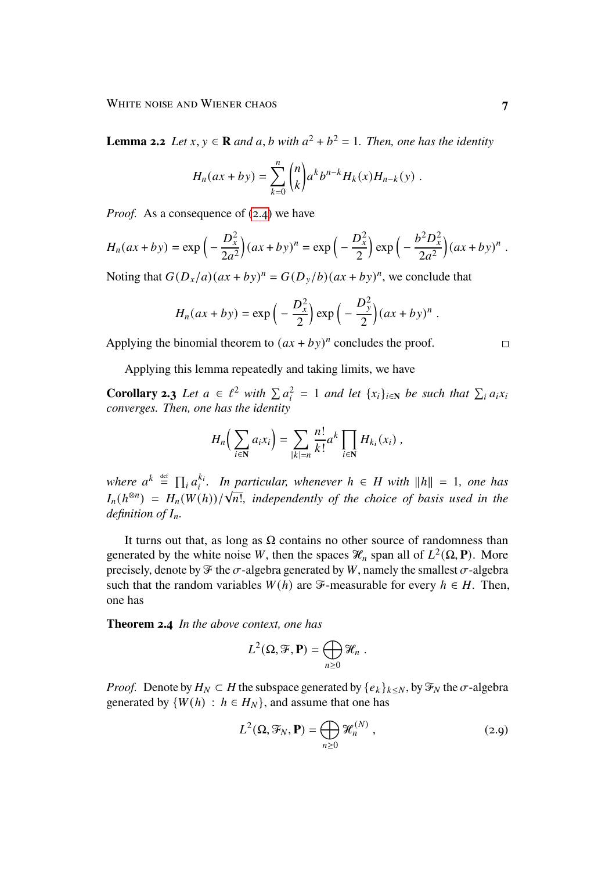**Lemma 2.2** *Let*  $x, y \in \mathbb{R}$  *and*  $a, b$  *with*  $a^2 + b^2 = 1$ *. Then, one has the identity* 

$$
H_n(ax + by) = \sum_{k=0}^n \binom{n}{k} a^k b^{n-k} H_k(x) H_{n-k}(y) .
$$

*Proof.* As a consequence of [\(2.4\)](#page-4-0) we have

$$
H_n(ax + by) = \exp\left(-\frac{D_x^2}{2a^2}\right)(ax + by)^n = \exp\left(-\frac{D_x^2}{2}\right)\exp\left(-\frac{b^2D_x^2}{2a^2}\right)(ax + by)^n.
$$

Noting that  $G(D_x/a)(ax + by)^n = G(D_y/b)(ax + by)^n$ , we conclude that

$$
H_n(ax + by) = \exp\left(-\frac{D_x^2}{2}\right)\exp\left(-\frac{D_y^2}{2}\right)(ax + by)^n.
$$

Applying the binomial theorem to  $(ax + by)^n$  concludes the proof.

Applying this lemma repeatedly and taking limits, we have

**Corollary 2.3** *Let*  $a \in \ell^2$  *with*  $\sum a_i^2$  $\sum_{i=1}^{2} a_i$  and let  $\{x_i\}_{i \in \mathbb{N}}$  be such that  $\sum_{i} a_i x_i$ *converges. Then, one has the identity*

$$
H_n\left(\sum_{i\in\mathbf{N}}a_ix_i\right)=\sum_{|k|=n}\frac{n!}{k!}a^k\prod_{i\in\mathbf{N}}H_{k_i}(x_i)\;,
$$

where  $a^k \stackrel{\text{def}}{=} \prod_i a_i^{k_i}$  $k_i$ . In particular, whenever  $h \in H$  with  $||h|| = 1$ , one has where  $a = \prod_i a_i$ . In particular, whenever  $n \in H$  with  $||n|| = 1$ , one has<br> $I_n(h^{\otimes n}) = H_n(W(h))/\sqrt{n!}$ , independently of the choice of basis used in the *definition of*  $I_n$ .

It turns out that, as long as  $\Omega$  contains no other source of randomness than generated by the white noise W, then the spaces  $\mathcal{H}_n$  span all of  $L^2(\Omega, \mathbf{P})$ . More precisely, denote by  $\mathcal F$  the  $\sigma$ -algebra generated by W, namely the smallest  $\sigma$ -algebra such that the random variables  $W(h)$  are  $\mathcal{F}$ -measurable for every  $h \in H$ . Then, one has

**Theorem 2.4** *In the above context, one has*

$$
L^2(\Omega, \mathcal{F}, \mathbf{P}) = \bigoplus_{n \geq 0} \mathcal{H}_n.
$$

*Proof.* Denote by  $H_N \subset H$  the subspace generated by  $\{e_k\}_{k \leq N}$ , by  $\mathcal{F}_N$  the  $\sigma$ -algebra generated by  $\{W(h) : h \in H_N\}$ , and assume that one has

<span id="page-6-0"></span>
$$
L^{2}(\Omega, \mathcal{F}_{N}, \mathbf{P}) = \bigoplus_{n \geq 0} \mathcal{H}_{n}^{(N)}, \qquad (2.9)
$$

 $\Box$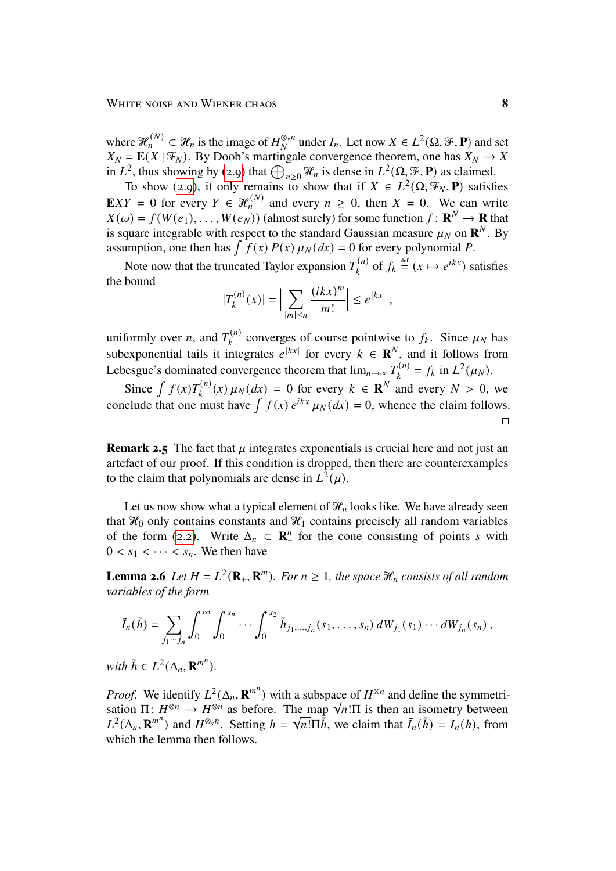where  $\mathcal{H}_n^{(N)} \subset \mathcal{H}_n$  is the image of  $H_N^{\otimes_s n}$  $\frac{\otimes_s n}{N}$  under  $I_n$ . Let now  $X \in L^2(\Omega, \mathcal{F}, \mathbf{P})$  and set  $X_N = \mathbf{E}(X | \mathcal{F}_N)$ . By Doob's martingale convergence theorem, one has  $X_N \to X$ in  $L^2$ , thus showing by [\(2.9\)](#page-6-0) that  $\bigoplus_{n\geq 0}^{\infty} \mathcal{H}_n$  is dense in  $L^2(\Omega, \mathcal{F}, \mathbf{P})$  as claimed.

To show [\(2.9\)](#page-6-0), it only remains to show that if  $X \in L^2(\Omega, \mathcal{F}_N, \mathbf{P})$  satisfies **E***XY* = 0 for every  $Y \in \mathcal{H}_n^{(N)}$  and every  $n \ge 0$ , then  $X = 0$ . We can write  $X(\omega) = f(W(e_1), \ldots, W(e_N))$  (almost surely) for some function  $f: \mathbb{R}^N \to \mathbb{R}$  that is square integrable with respect to the standard Gaussian measure  $\mu_N$  on  $\mathbb{R}^N$ . By assumption, one then has  $\int f(x) P(x) \mu_N(dx) = 0$  for every polynomial P.

Note now that the truncated Taylor expansion  $T_i^{(n)}$  $a_k^{(n)}$  of  $f_k \stackrel{\text{def}}{=} (x \mapsto e^{ikx})$  satisfies the bound  $\dot{m}$ 

$$
|T_k^{(n)}(x)| = \Big| \sum_{|m| \le n} \frac{(ikx)^m}{m!} \Big| \le e^{|kx|} \;,
$$

uniformly over *n*, and  $T_t^{(n)}$  $\mathbf{c}_{k}^{(n)}$  converges of course pointwise to  $f_k$ . Since  $\mu_N$  has subexponential tails it integrates  $e^{|kx|}$  for every  $k \in \mathbb{R}^N$ , and it follows from Lebesgue's dominated convergence theorem that  $\lim_{n\to\infty}T_k^{(n)}$  $J_k^{(n)} = f_k$  in  $L^2(\mu_N)$ .

Since  $\int f(x)T_{k}^{(n)}$  $\kappa_k^{(n)}(x) \mu_N(dx) = 0$  for every  $k \in \mathbb{R}^N$  and every  $N > 0$ , we conclude that one must have  $\int f(x) e^{ikx} \mu_N(dx) = 0$ , whence the claim follows.  $\Box$ 

**Remark 2.5** The fact that  $\mu$  integrates exponentials is crucial here and not just an artefact of our proof. If this condition is dropped, then there are counterexamples to the claim that polynomials are dense in  $L^2(\mu)$ .

Let us now show what a typical element of  $\mathcal{H}_n$  looks like. We have already seen that  $\mathcal{H}_0$  only contains constants and  $\mathcal{H}_1$  contains precisely all random variables of the form [\(2.2\)](#page-3-0). Write  $\Delta_n \subset \mathbb{R}^n_+$  $\frac{n}{+}$  for the cone consisting of points s with  $0 < s_1 < \cdots < s_n$ . We then have

**Lemma 2.6** *Let*  $H = L^2(\mathbf{R}_+, \mathbf{R}^m)$ . For  $n \geq 1$ , the space  $\mathcal{H}_n$  consists of all random *variables of the form*

$$
\tilde{I}_n(\tilde{h}) = \sum_{j_1 \cdots j_n} \int_0^{\infty} \int_0^{s_n} \cdots \int_0^{s_2} \tilde{h}_{j_1, \ldots, j_n}(s_1, \ldots, s_n) dW_{j_1}(s_1) \cdots dW_{j_n}(s_n) ,
$$

*with*  $\tilde{h} \in L^2(\Delta_n, \mathbf{R}^{m^n}).$ 

*Proof.* We identify  $L^2(\Delta_n, \mathbf{R}^{m^n})$  with a subspace of  $H^{\otimes n}$  and define the symmetri-*Proof.* We identify  $L^2(\Delta_n, \mathbf{R}^m)$  with a subspace of  $H^{\otimes n}$  and define the symmetrisation  $\Pi: H^{\otimes n} \to H^{\otimes n}$  as before. The map  $\sqrt{n!}\Pi$  is then an isometry between  $L^2(\Delta_n, \mathbf{R}^{m^n})$  and  $H^{\otimes_s n}$ . Setting  $h = \sqrt{n! \Pi \tilde{h}}$ , we claim that  $\tilde{I}_n(\tilde{h}) = I_n(h)$ , from which the lemma then follows.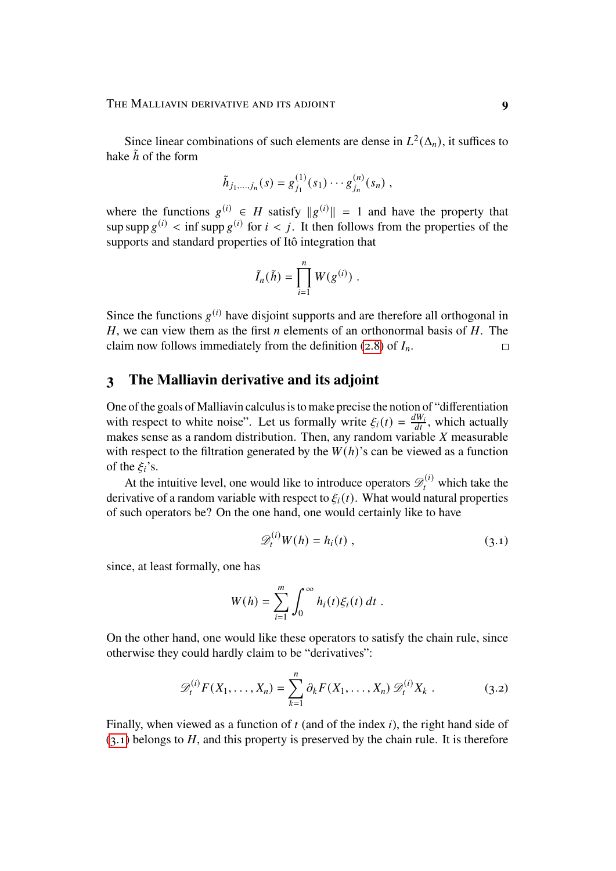Since linear combinations of such elements are dense in  $L^2(\Delta_n)$ , it suffices to hake  $\tilde{h}$  of the form

$$
\tilde{h}_{j_1,\ldots,j_n}(s) = g_{j_1}^{(1)}(s_1)\cdots g_{j_n}^{(n)}(s_n) ,
$$

where the functions  $g^{(i)} \in H$  satisfy  $||g^{(i)}|| = 1$  and have the property that sup supp  $g^{(i)}$  < inf supp  $g^{(i)}$  for  $i < i$ . It then follows from the properties of the supports and standard properties of Itô integration that

$$
\tilde{I}_n(\tilde{h}) = \prod_{i=1}^n W(g^{(i)}) .
$$

Since the functions  $g^{(i)}$  have disjoint supports and are therefore all orthogonal in H, we can view them as the first *n* elements of an orthonormal basis of  $H$ . The claim now follows immediately from the definition [\(2.8\)](#page-5-1) of  $I_n$ .  $\Box$ 

## <span id="page-8-0"></span>**3 The Malliavin derivative and its adjoint**

One of the goals of Malliavin calculus is to make precise the notion of "differentiation with respect to white noise". Let us formally write  $\xi_i(t) = \frac{dW_i}{dt}$ , which actually makes sense as a random distribution. Then, any random variable  $X$  measurable with respect to the filtration generated by the  $W(h)$ 's can be viewed as a function of the  $\xi_i$ 's.

At the intuitive level, one would like to introduce operators  $\mathcal{D}_t^{(i)}$  which take the derivative of a random variable with respect to  $\xi_i(t)$ . What would natural properties of such operators be? On the one hand, one would certainly like to have

<span id="page-8-2"></span><span id="page-8-1"></span>
$$
\mathscr{D}_t^{(i)} W(h) = h_i(t) , \qquad (3.1)
$$

since, at least formally, one has

$$
W(h) = \sum_{i=1}^m \int_0^\infty h_i(t) \xi_i(t) dt.
$$

On the other hand, one would like these operators to satisfy the chain rule, since otherwise they could hardly claim to be "derivatives":

$$
\mathscr{D}_t^{(i)} F(X_1, \dots, X_n) = \sum_{k=1}^n \partial_k F(X_1, \dots, X_n) \mathscr{D}_t^{(i)} X_k . \tag{3.2}
$$

Finally, when viewed as a function of  $t$  (and of the index  $i$ ), the right hand side of  $(3.1)$  belongs to H, and this property is preserved by the chain rule. It is therefore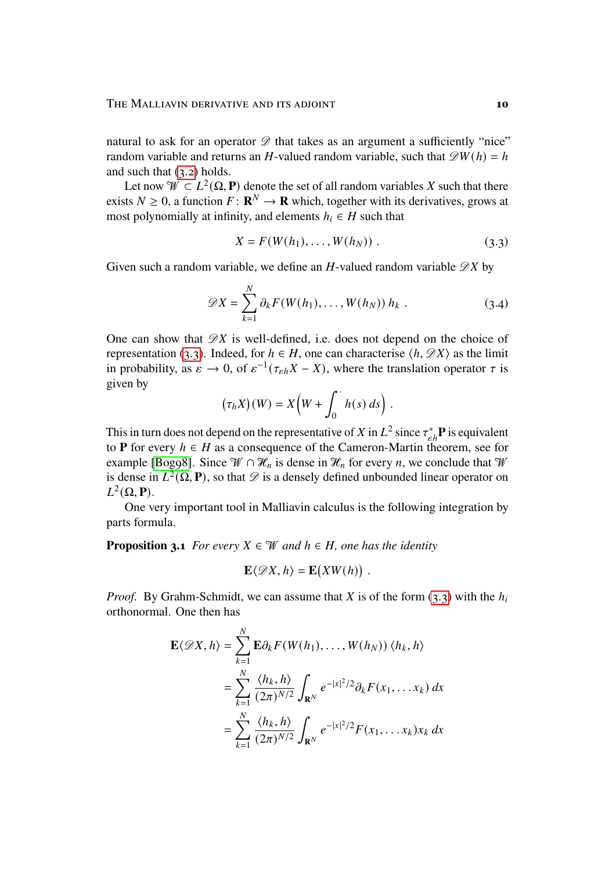natural to ask for an operator  $\mathscr D$  that takes as an argument a sufficiently "nice" random variable and returns an H-valued random variable, such that  $\mathscr{D}W(h) = h$ and such that  $(3.2)$  holds.

Let now  $\mathcal{W} \subset L^2(\Omega, \mathbf{P})$  denote the set of all random variables X such that there exists  $N \geq 0$ , a function  $F: \mathbf{R}^N \to \mathbf{R}$  which, together with its derivatives, grows at most polynomially at infinity, and elements  $h_i \in H$  such that

<span id="page-9-1"></span><span id="page-9-0"></span>
$$
X = F(W(h_1), \dots, W(h_N)).
$$
 (3.3)

Given such a random variable, we define an H-valued random variable  $\mathscr{D}X$  by

$$
\mathscr{D}X = \sum_{k=1}^{N} \partial_k F(W(h_1), \dots, W(h_N)) h_k . \tag{3.4}
$$

One can show that  $\mathscr{D}X$  is well-defined, i.e. does not depend on the choice of representation [\(3.3\)](#page-9-0). Indeed, for  $h \in H$ , one can characterise  $\langle h, \mathscr{D}X \rangle$  as the limit in probability, as  $\varepsilon \to 0$ , of  $\varepsilon^{-1}(\tau_{\varepsilon h}X - X)$ , where the translation operator  $\tau$  is given by

$$
(\tau_h X)(W) = X\Big(W + \int_0^{\cdot} h(s) \, ds\Big) .
$$

This in turn does not depend on the representative of X in  $L^2$  since  $\tau_{\varepsilon h}^* \mathbf{P}$  is equivalent to **P** for every  $h \in H$  as a consequence of the Cameron-Martin theorem, see for example [\[Bog98\]](#page-42-7). Since  $\mathcal{W} \cap \mathcal{H}_n$  is dense in  $\mathcal{H}_n$  for every *n*, we conclude that  $\mathcal{W}$ is dense in  $L^2(\Omega, \mathbf{P})$ , so that  $\mathcal D$  is a densely defined unbounded linear operator on  $L^2(\Omega, \mathbf{P}).$ 

One very important tool in Malliavin calculus is the following integration by parts formula.

**Proposition 3.1** *For every*  $X \in \mathcal{W}$  *and*  $h \in H$ *, one has the identity* 

$$
\mathbf{E}\langle \mathscr{D}X,h\rangle = \mathbf{E}\big(XW(h)\big) .
$$

*Proof.* By Grahm-Schmidt, we can assume that  $X$  is of the form [\(3.3\)](#page-9-0) with the  $h_i$ orthonormal. One then has

$$
\mathbf{E}\langle \mathcal{D}X, h\rangle = \sum_{k=1}^{N} \mathbf{E}\partial_k F(W(h_1), \dots, W(h_N)) \langle h_k, h\rangle
$$
  
= 
$$
\sum_{k=1}^{N} \frac{\langle h_k, h\rangle}{(2\pi)^{N/2}} \int_{\mathbf{R}^N} e^{-|x|^2/2} \partial_k F(x_1, \dots x_k) dx
$$
  
= 
$$
\sum_{k=1}^{N} \frac{\langle h_k, h\rangle}{(2\pi)^{N/2}} \int_{\mathbf{R}^N} e^{-|x|^2/2} F(x_1, \dots x_k) x_k dx
$$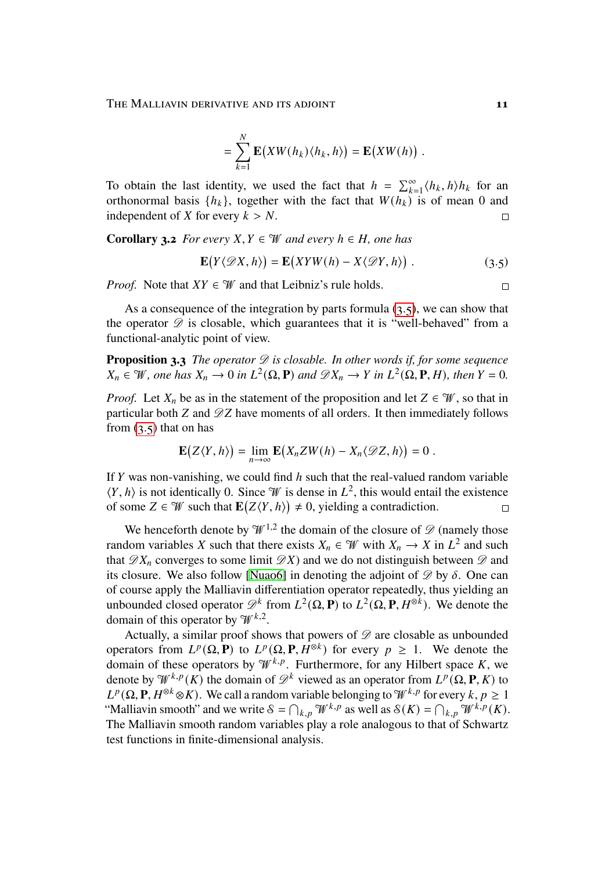THE MALLIAVIN DERIVATIVE AND ITS ADJOINT **11** 

$$
= \sum_{k=1}^N \mathbf{E}(XW(h_k)\langle h_k, h \rangle) = \mathbf{E}(XW(h)) .
$$

To obtain the last identity, we used the fact that  $h = \sum_{k=1}^{\infty} \langle h_k, h \rangle h_k$  for an orthonormal basis  $\{h_k\}$ , together with the fact that  $W(h_k)$  is of mean 0 and independent of X for every  $k > N$ .  $\Box$ 

**Corollary 3.2** *For every*  $X, Y \in \mathcal{W}$  *and every*  $h \in H$ *, one has* 

$$
\mathbf{E}(Y\langle \mathcal{D}X, h\rangle) = \mathbf{E}(XYW(h) - X\langle \mathcal{D}Y, h\rangle) . \tag{3.5}
$$

*Proof.* Note that  $XY \in \mathcal{W}$  and that Leibniz's rule holds.

As a consequence of the integration by parts formula [\(3.5\)](#page-10-0), we can show that the operator  $\mathscr D$  is closable, which guarantees that it is "well-behaved" from a functional-analytic point of view.

**Proposition 3.3** *The operator*  $\mathscr D$  *is closable. In other words if, for some sequence*  $X_n \in \mathcal{W}$ , one has  $X_n \to 0$  in  $L^2(\Omega, \mathbf{P})$  and  $\mathcal{D}X_n \to Y$  in  $L^2(\Omega, \mathbf{P}, H)$ , then  $Y = 0$ .

*Proof.* Let  $X_n$  be as in the statement of the proposition and let  $Z \in \mathcal{W}$ , so that in particular both  $Z$  and  $\mathscr{D}Z$  have moments of all orders. It then immediately follows from  $(3.5)$  that on has

$$
\mathbf{E}(Z\langle Y,h\rangle)=\lim_{n\to\infty}\mathbf{E}(X_nZW(h)-X_n\langle \mathscr{D}Z,h\rangle)=0.
$$

If  $Y$  was non-vanishing, we could find  $h$  such that the real-valued random variable  $\langle Y, h \rangle$  is not identically 0. Since W is dense in  $L^2$ , this would entail the existence of some  $Z \in \mathcal{W}$  such that  $\mathbf{E}(Z \langle Y, h \rangle) \neq 0$ , yielding a contradiction.  $\Box$ 

We henceforth denote by  $\mathcal{W}^{1,2}$  the domain of the closure of  $\mathcal{D}$  (namely those random variables X such that there exists  $X_n \in \mathcal{W}$  with  $X_n \to X$  in  $L^2$  and such that  $\mathscr{D}X_n$  converges to some limit  $\mathscr{D}X$ ) and we do not distinguish between  $\mathscr{D}$  and its closure. We also follow [Nuao6] in denoting the adjoint of  $\mathscr{D}$  by  $\delta$ . One can of course apply the Malliavin differentiation operator repeatedly, thus yielding an unbounded closed operator  $\mathscr{D}^k$  from  $L^2(\Omega, \mathbf{P})$  to  $L^2(\Omega, \mathbf{P}, H^{\otimes k})$ . We denote the domain of this operator by  $\mathcal{W}^{k,2}$ .

<span id="page-10-1"></span>Actually, a similar proof shows that powers of  $\mathscr D$  are closable as unbounded operators from  $L^p(\Omega, \mathbf{P})$  to  $L^p(\Omega, \mathbf{P}, H^{\otimes k})$  for every  $p \geq 1$ . We denote the domain of these operators by  $\mathcal{W}^{k,p}$ . Furthermore, for any Hilbert space K, we denote by  $\mathcal{W}^{k,p}(K)$  the domain of  $\mathcal{D}^k$  viewed as an operator from  $L^p(\Omega, \mathbf{P}, K)$  to  $L^p(\Omega, \mathbf{P}, H^{\otimes k} \otimes K)$ . We call a random variable belonging to  $\mathcal{W}^{k,p}$  for every  $k, p \ge 1$ "Malliavin smooth" and we write  $S = \bigcap_{k,p} \mathcal{W}^{k,p}$  as well as  $S(K) = \bigcap_{k,p} \mathcal{W}^{k,p}(K)$ . The Malliavin smooth random variables play a role analogous to that of Schwartz test functions in finite-dimensional analysis.

<span id="page-10-0"></span> $\Box$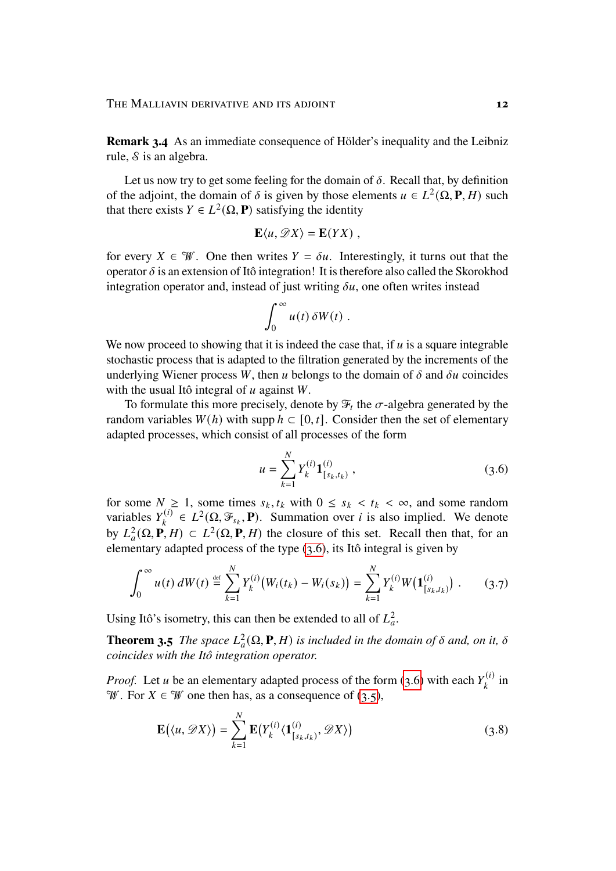**Remark 3.4** As an immediate consequence of Hölder's inequality and the Leibniz rule,  $\delta$  is an algebra.

Let us now try to get some feeling for the domain of  $\delta$ . Recall that, by definition of the adjoint, the domain of  $\delta$  is given by those elements  $u \in L^2(\Omega, \mathbf{P}, H)$  such that there exists  $Y \in L^2(\Omega, \mathbf{P})$  satisfying the identity

$$
\mathbf{E}\langle u,\mathscr{D}X\rangle=\mathbf{E}(YX)\ ,
$$

for every  $X \in \mathcal{W}$ . One then writes  $Y = \delta u$ . Interestingly, it turns out that the operator  $\delta$  is an extension of Itô integration! It is therefore also called the Skorokhod integration operator and, instead of just writing  $\delta u$ , one often writes instead

$$
\int_0^\infty u(t)\,\delta W(t)\;.
$$

We now proceed to showing that it is indeed the case that, if  $u$  is a square integrable stochastic process that is adapted to the filtration generated by the increments of the underlying Wiener process W, then u belongs to the domain of  $\delta$  and  $\delta u$  coincides with the usual Itô integral of  $u$  against  $W$ .

To formulate this more precisely, denote by  $\mathcal{F}_t$  the  $\sigma$ -algebra generated by the random variables  $W(h)$  with supp  $h \subset [0, t]$ . Consider then the set of elementary adapted processes, which consist of all processes of the form

<span id="page-11-1"></span><span id="page-11-0"></span>
$$
u = \sum_{k=1}^{N} Y_k^{(i)} \mathbf{1}_{[s_k, t_k)}^{(i)}, \qquad (3.6)
$$

for some  $N \geq 1$ , some times  $s_k, t_k$  with  $0 \leq s_k < t_k < \infty$ , and some random variables  $Y_i^{(i)}$  $L_k^{(i)} \in L^2(\Omega, \mathcal{F}_{s_k}, \mathbf{P})$ . Summation over *i* is also implied. We denote by  $L^2_a(\Omega, \mathbf{P}, H) \subset L^2(\Omega, \mathbf{P}, H)$  the closure of this set. Recall then that, for an elementary adapted process of the type [\(3.6\)](#page-11-0), its Itô integral is given by

$$
\int_0^\infty u(t) \, dW(t) \stackrel{\text{def}}{=} \sum_{k=1}^N Y_k^{(i)} \big( W_i(t_k) - W_i(s_k) \big) = \sum_{k=1}^N Y_k^{(i)} W\big( \mathbf{1}_{[s_k, t_k]}^{(i)} \big) \; . \tag{3.7}
$$

Using Itô's isometry, this can then be extended to all of  $L<sub>a</sub><sup>2</sup>$ .

**Theorem 3.5** *The space*  $L^2_a(\Omega, \mathbf{P}, H)$  *is included in the domain of*  $\delta$  *and, on it,*  $\delta$ *coincides with the Itô integration operator.*

*Proof.* Let *u* be an elementary adapted process of the form [\(3.6\)](#page-11-0) with each  $Y_k^{(i)}$  $\kappa_k^{(i)}$  in W. For  $X \in \mathcal{W}$  one then has, as a consequence of [\(3.5\)](#page-10-0),

<span id="page-11-2"></span>
$$
\mathbf{E}(\langle u, \mathscr{D}X \rangle) = \sum_{k=1}^{N} \mathbf{E}(Y_k^{(i)} \langle \mathbf{1}_{[s_k, t_k)}^{(i)}, \mathscr{D}X \rangle)
$$
(3.8)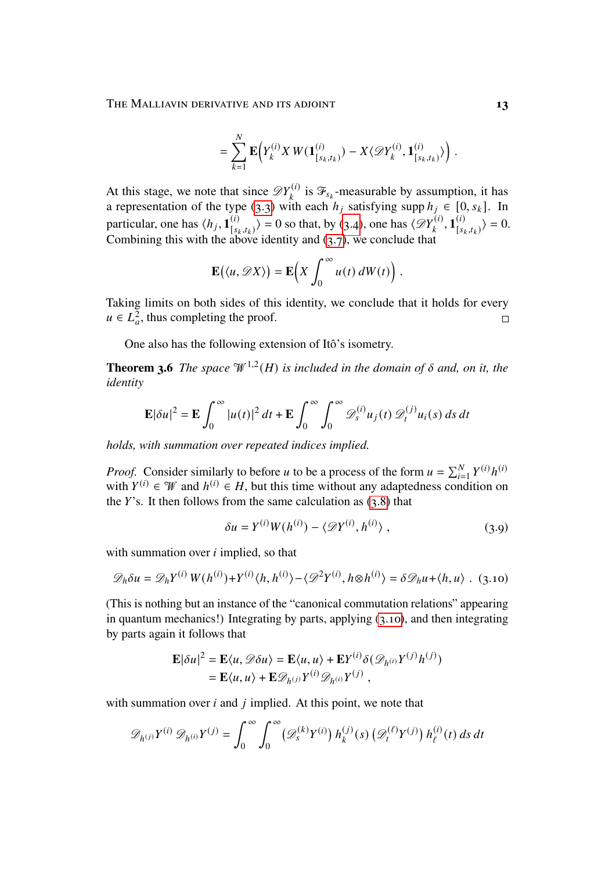THE MALLIAVIN DERIVATIVE AND ITS ADJOINT **13** 

$$
= \sum_{k=1}^N \mathbf{E}\Big(Y_k^{(i)} X W(\mathbf{1}_{[s_k,t_k)}^{(i)}) - X \langle \mathcal{D} Y_k^{(i)}, \mathbf{1}_{[s_k,t_k)}^{(i)} \rangle \Big) .
$$

At this stage, we note that since  $\mathscr{D}Y_k^{(i)}$  $\mathcal{F}_{s_k}^{(i)}$  is  $\mathcal{F}_{s_k}$ -measurable by assumption, it has a representation of the type [\(3.3\)](#page-9-0) with each  $h_i$  satisfying supp  $h_i \in [0, s_k]$ . In particular, one has  $\langle h_j, \mathbf{1}_s^{(i)} \rangle$  $\binom{i}{s_k, t_k} = 0$  so that, by [\(3.4\)](#page-9-1), one has  $\left\langle \mathcal{D}Y_k^{(i)} \right\rangle$  $\bar{\mathbf{1}}_{k}^{(i)}$ ,  $\bar{\mathbf{1}}_{s}^{(i)}$  $\binom{(i)}{[s_k,t_k]} = 0.$ Combining this with the above identity and  $(3.7)$ , we conclude that

$$
\mathbf{E}(\langle u, \mathscr{D}X \rangle) = \mathbf{E}\Big(X \int_0^\infty u(t) dW(t)\Big).
$$

Taking limits on both sides of this identity, we conclude that it holds for every  $u \in L^2_{\alpha}$ , thus completing the proof.  $\Box$ 

One also has the following extension of Itô's isometry.

<span id="page-12-1"></span>**Theorem 3.6** *The space*  $\mathcal{W}^{1,2}(H)$  *is included in the domain of*  $\delta$  *and, on it, the identity*

$$
\mathbf{E}|\delta u|^2 = \mathbf{E} \int_0^\infty |u(t)|^2 dt + \mathbf{E} \int_0^\infty \int_0^\infty \mathcal{D}_s^{(i)} u_j(t) \mathcal{D}_t^{(j)} u_i(s) ds dt
$$

*holds, with summation over repeated indices implied.*

*Proof.* Consider similarly to before u to be a process of the form  $u = \sum_{i=1}^{N} Y^{(i)} h^{(i)}$ with  $Y^{(i)} \in \mathcal{W}$  and  $h^{(i)} \in H$ , but this time without any adaptedness condition on the  $Y$ 's. It then follows from the same calculation as  $(3.8)$  that

<span id="page-12-2"></span><span id="page-12-0"></span>
$$
\delta u = Y^{(i)}W(h^{(i)}) - \langle \mathcal{D}Y^{(i)}, h^{(i)} \rangle , \qquad (3.9)
$$

with summation over  $i$  implied, so that

$$
\mathcal{D}_h \delta u = \mathcal{D}_h Y^{(i)} W(h^{(i)}) + Y^{(i)} \langle h, h^{(i)} \rangle - \langle \mathcal{D}^2 Y^{(i)}, h \otimes h^{(i)} \rangle = \delta \mathcal{D}_h u + \langle h, u \rangle
$$
. (3.10)

(This is nothing but an instance of the "canonical commutation relations" appearing in quantum mechanics!) Integrating by parts, applying [\(3.10\)](#page-12-0), and then integrating by parts again it follows that

$$
\mathbf{E}|\delta u|^2 = \mathbf{E}\langle u, \mathcal{D}\delta u \rangle = \mathbf{E}\langle u, u \rangle + \mathbf{E}Y^{(i)}\delta(\mathcal{D}_{h^{(i)}}Y^{(j)}h^{(j)})
$$
  
=  $\mathbf{E}\langle u, u \rangle + \mathbf{E}\mathcal{D}_{h^{(j)}}Y^{(i)}\mathcal{D}_{h^{(i)}}Y^{(j)},$ 

with summation over  $i$  and  $j$  implied. At this point, we note that

$$
\mathscr{D}_{h^{(j)}} Y^{(i)} \mathscr{D}_{h^{(i)}} Y^{(j)} = \int_0^\infty \int_0^\infty \left( \mathscr{D}_s^{(k)} Y^{(i)} \right) h_k^{(j)}(s) \left( \mathscr{D}_t^{(\ell)} Y^{(j)} \right) h_{\ell}^{(i)}(t) \, ds \, dt
$$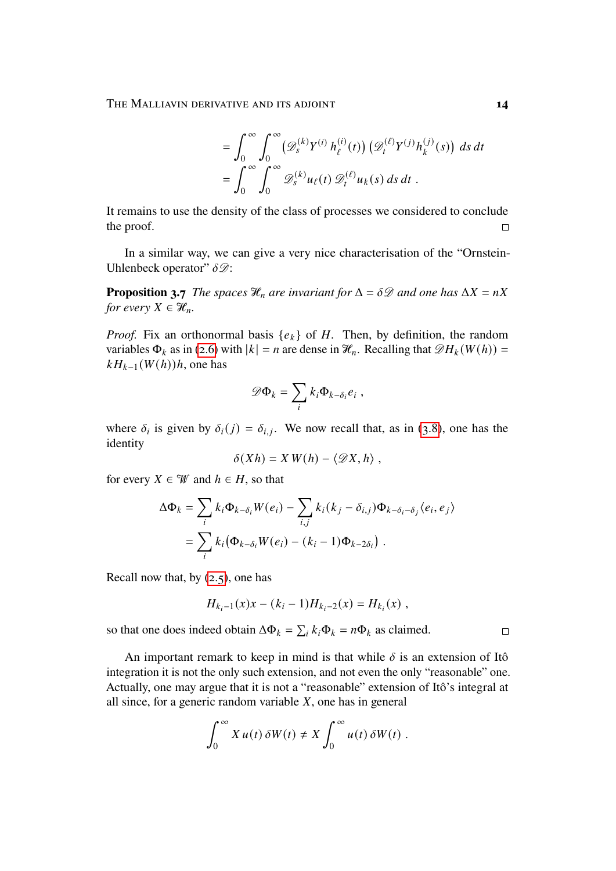$$
= \int_0^\infty \int_0^\infty \left( \mathcal{D}_s^{(k)} Y^{(i)} h_\ell^{(i)}(t) \right) \left( \mathcal{D}_t^{(\ell)} Y^{(j)} h_k^{(j)}(s) \right) ds dt
$$
  

$$
= \int_0^\infty \int_0^\infty \mathcal{D}_s^{(k)} u_\ell(t) \mathcal{D}_t^{(\ell)} u_k(s) ds dt.
$$

It remains to use the density of the class of processes we considered to conclude the proof.  $\Box$ 

In a similar way, we can give a very nice characterisation of the "Ornstein-Uhlenbeck operator"  $\delta \mathscr{D}$ :

<span id="page-13-0"></span>**Proposition 3.7** *The spaces*  $\mathcal{H}_n$  *are invariant for*  $\Delta = \delta \mathcal{D}$  *and one has*  $\Delta X = nX$ *for every*  $X \in \mathcal{H}_n$ .

*Proof.* Fix an orthonormal basis  $\{e_k\}$  of H. Then, by definition, the random variables  $\Phi_k$  as in [\(2.6\)](#page-5-2) with  $|k| = n$  are dense in  $\mathcal{H}_n$ . Recalling that  $\mathcal{D}_k(W(h)) =$  $kH_{k-1}(W(h))h$ , one has

$$
\mathscr{D}\Phi_k=\sum_i k_i \Phi_{k-\delta_i} e_i ,
$$

where  $\delta_i$  is given by  $\delta_i(j) = \delta_{i,j}$ . We now recall that, as in [\(3.8\)](#page-11-2), one has the identity

$$
\delta(Xh) = X W(h) - \langle \mathcal{D}X, h \rangle ,
$$

for every  $X \in \mathcal{W}$  and  $h \in H$ , so that

$$
\Delta \Phi_k = \sum_i k_i \Phi_{k-\delta_i} W(e_i) - \sum_{i,j} k_i (k_j - \delta_{i,j}) \Phi_{k-\delta_i-\delta_j} \langle e_i, e_j \rangle
$$
  
= 
$$
\sum_i k_i (\Phi_{k-\delta_i} W(e_i) - (k_i - 1) \Phi_{k-2\delta_i}).
$$

Recall now that, by  $(2.5)$ , one has

$$
H_{k_i-1}(x)x - (k_i - 1)H_{k_i-2}(x) = H_{k_i}(x) ,
$$

so that one does indeed obtain  $\Delta \Phi_k = \sum_i k_i \Phi_k = n \Phi_k$  as claimed.

An important remark to keep in mind is that while  $\delta$  is an extension of Itô integration it is not the only such extension, and not even the only "reasonable" one. Actually, one may argue that it is not a "reasonable" extension of Itô's integral at all since, for a generic random variable  $X$ , one has in general

$$
\int_0^\infty X u(t) \, \delta W(t) \neq X \int_0^\infty u(t) \, \delta W(t) \; .
$$

 $\Box$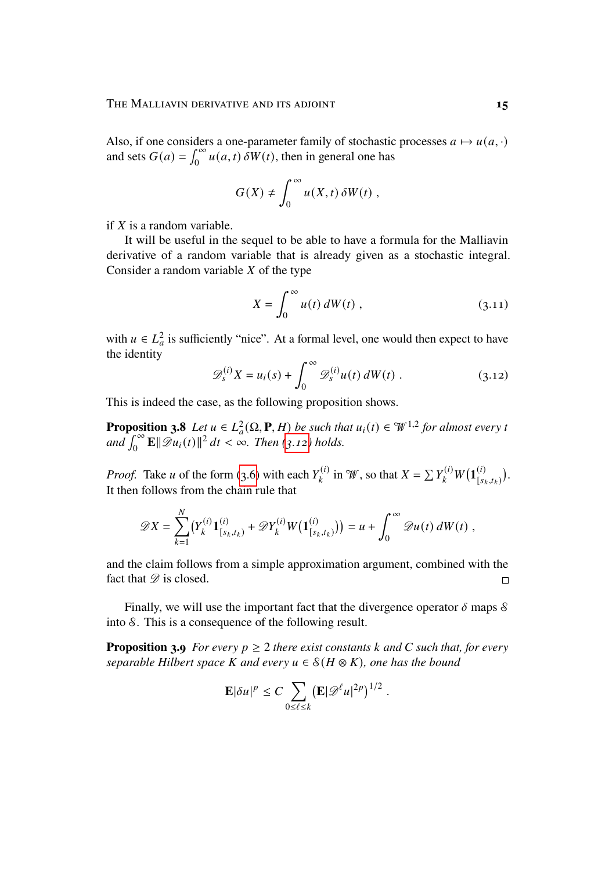Also, if one considers a one-parameter family of stochastic processes  $a \mapsto u(a, \cdot)$ and sets  $G(a) = \int_0^\infty u(a, t) \, \delta W(t)$ , then in general one has

$$
G(X) \neq \int_0^\infty u(X,t) \, \delta W(t) \;,
$$

if  $X$  is a random variable.

It will be useful in the sequel to be able to have a formula for the Malliavin derivative of a random variable that is already given as a stochastic integral. Consider a random variable  $X$  of the type

<span id="page-14-0"></span>
$$
X = \int_0^\infty u(t) \, dW(t) \;, \tag{3.11}
$$

with  $u \in L^2_a$  is sufficiently "nice". At a formal level, one would then expect to have the identity

$$
\mathscr{D}_s^{(i)} X = u_i(s) + \int_0^\infty \mathscr{D}_s^{(i)} u(t) dW(t) . \qquad (3.12)
$$

This is indeed the case, as the following proposition shows.

<span id="page-14-1"></span>**Proposition 3.8** *Let*  $u \in L^2_a(\Omega, \mathbf{P}, H)$  *be such that*  $u_i(t) \in \mathcal{W}^{1,2}$  *for almost every t*  $\int_0^\infty \mathbf{E} \|\mathscr{D}u_i(t)\|^2 dt < \infty$ . Then [\(3.12\)](#page-14-0) holds.

*Proof.* Take *u* of the form [\(3.6\)](#page-11-0) with each  $Y_k^{(i)}$  $Y_k^{(i)}$  in  $W$ , so that  $X = \sum Y_k^{(i)} W(\mathbf{1}_{s_k}^{(i)})$  $\frac{(i)}{[s_k,t_k)}$ . It then follows from the chain rule that

$$
\mathscr{D}X = \sum_{k=1}^N (Y_k^{(i)} \mathbf{1}_{[s_k, t_k)}^{(i)} + \mathscr{D}Y_k^{(i)} W(\mathbf{1}_{[s_k, t_k)}^{(i)})) = u + \int_0^\infty \mathscr{D}u(t) dW(t) ,
$$

and the claim follows from a simple approximation argument, combined with the fact that  $\mathscr{D}$  is closed.  $\Box$ 

Finally, we will use the important fact that the divergence operator  $\delta$  maps  $\delta$ into S. This is a consequence of the following result.

<span id="page-14-2"></span>**Proposition 3.9** *For every*  $p \geq 2$  *there exist constants* k and C such that, for every *separable Hilbert space K and every*  $u \in S(H \otimes K)$ *, one has the bound* 

$$
\mathbf{E}|\delta u|^p \leq C \sum_{0 \leq \ell \leq k} \left(\mathbf{E}|\mathscr{D}^{\ell} u|^{2p}\right)^{1/2}.
$$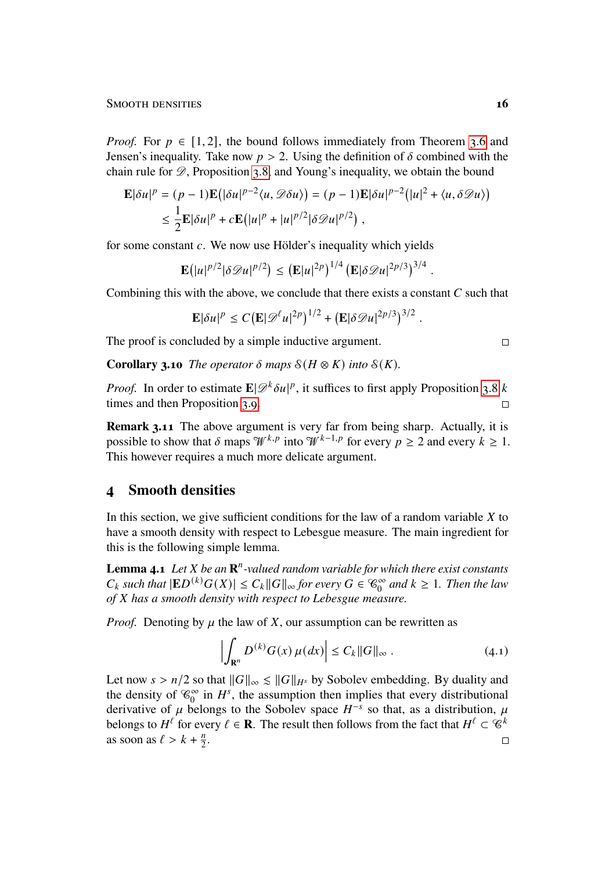*Proof.* For  $p \in [1, 2]$ , the bound follows immediately from Theorem [3.6](#page-12-1) and Jensen's inequality. Take now  $p > 2$ . Using the definition of  $\delta$  combined with the chain rule for  $\mathscr{D}$ , Proposition [3.8,](#page-14-1) and Young's inequality, we obtain the bound

$$
\mathbf{E}|\delta u|^p = (p-1)\mathbf{E}(|\delta u|^{p-2}\langle u, \mathscr{D}\delta u\rangle) = (p-1)\mathbf{E}|\delta u|^{p-2}(|u|^2 + \langle u, \delta \mathscr{D}u\rangle)
$$
  

$$
\leq \frac{1}{2}\mathbf{E}|\delta u|^p + c\mathbf{E}(|u|^p + |u|^{p/2}|\delta \mathscr{D}u|^{p/2}),
$$

for some constant  $c$ . We now use Hölder's inequality which yields

$$
\mathbf{E}(|u|^{p/2}|\delta \mathscr{D} u|^{p/2}) \leq (\mathbf{E}|u|^{2p})^{1/4} (\mathbf{E}|\delta \mathscr{D} u|^{2p/3})^{3/4}.
$$

Combining this with the above, we conclude that there exists a constant  $C$  such that

$$
\mathbf{E}|\delta u|^p \leq C \big(\mathbf{E}|\mathscr{D}^{\ell} u|^{2p}\big)^{1/2} + \big(\mathbf{E}|\delta \mathscr{D} u|^{2p/3}\big)^{3/2}.
$$

The proof is concluded by a simple inductive argument.

**Corollary 3.10** *The operator*  $\delta$  *maps*  $\mathcal{S}(H \otimes K)$  *into*  $\mathcal{S}(K)$ *.* 

*Proof.* In order to estimate  $\mathbf{E}|\mathscr{D}^k \delta u|^p$ , it suffices to first apply Proposition [3.8](#page-14-1) k times and then Proposition [3.9.](#page-14-2)  $\Box$ 

**Remark 3.11** The above argument is very far from being sharp. Actually, it is possible to show that  $\delta$  maps  $\mathcal{W}^{k,p}$  into  $\mathcal{W}^{k-1,p}$  for every  $p \geq 2$  and every  $k \geq 1$ . This however requires a much more delicate argument.

#### <span id="page-15-0"></span>**4 Smooth densities**

In this section, we give sufficient conditions for the law of a random variable  $X$  to have a smooth density with respect to Lebesgue measure. The main ingredient for this is the following simple lemma.

<span id="page-15-2"></span>**Lemma 4.1** *Let X be an*  $\mathbb{R}^n$ -valued random variable for which there exist constants  $C_k$  such that  $|ED^{(k)}G(X)| \leq C_k ||G||_{\infty}$  for every  $G \in \mathcal{C}_0^{\infty}$  and  $k \geq 1$ . Then the law *of* 𝑋 *has a smooth density with respect to Lebesgue measure.*

*Proof.* Denoting by  $\mu$  the law of X, our assumption can be rewritten as

<span id="page-15-1"></span>
$$
\left| \int_{\mathbf{R}^n} D^{(k)} G(x) \,\mu(dx) \right| \le C_k \|G\|_{\infty} \,. \tag{4.1}
$$

Let now  $s > n/2$  so that  $||G||_{\infty} \le ||G||_{H^s}$  by Sobolev embedding. By duality and the density of  $\mathcal{C}_0^{\infty}$  in  $H^s$ , the assumption then implies that every distributional derivative of u belongs to the Sobolev space  $H^{-s}$  so that, as a distribution, u belongs to  $H^{\ell}$  for every  $\ell \in \mathbf{R}$ . The result then follows from the fact that  $H^{\ell} \subset \mathcal{C}^k$ as soon as  $\ell > k + \frac{n}{2}$  $\frac{n}{2}$ .  $\Box$ 

 $\Box$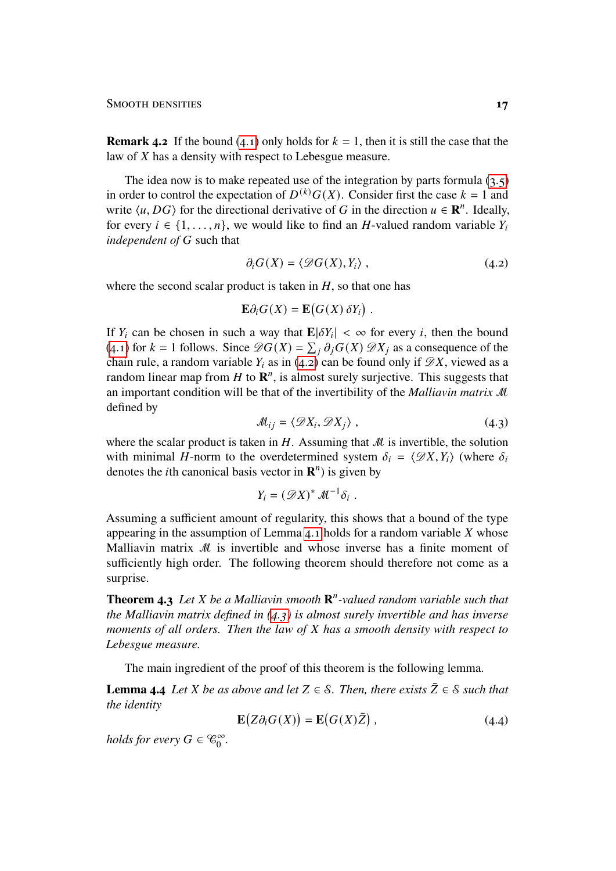#### SMOOTH DENSITIES **17**

**Remark 4.2** If the bound [\(4.1\)](#page-15-1) only holds for  $k = 1$ , then it is still the case that the law of  $X$  has a density with respect to Lebesgue measure.

The idea now is to make repeated use of the integration by parts formula  $(3.5)$ in order to control the expectation of  $D^{(k)}G(X)$ . Consider first the case  $k = 1$  and write  $\langle u, DG \rangle$  for the directional derivative of G in the direction  $u \in \mathbb{R}^n$ . Ideally, for every  $i \in \{1, \ldots, n\}$ , we would like to find an H-valued random variable  $Y_i$ *independent of G* such that

<span id="page-16-0"></span>
$$
\partial_i G(X) = \langle \mathcal{D}G(X), Y_i \rangle , \qquad (4.2)
$$

where the second scalar product is taken in  $H$ , so that one has

$$
\mathbf{E}\partial_i G(X) = \mathbf{E}(G(X)\,\delta Y_i) \; .
$$

If  $Y_i$  can be chosen in such a way that  $\mathbf{E}|\delta Y_i| < \infty$  for every *i*, then the bound [\(4.1\)](#page-15-1) for  $k = 1$  follows. Since  $\mathscr{D}G(X) = \sum_{i} \partial_{i}G(X) \mathscr{D}X_{i}$  as a consequence of the chain rule, a random variable  $Y_i$  as in [\(4.2\)](#page-16-0) can be found only if  $\mathscr{D}X$ , viewed as a random linear map from  $H$  to  $\mathbb{R}^n$ , is almost surely surjective. This suggests that an important condition will be that of the invertibility of the *Malliavin matrix* M defined by

<span id="page-16-1"></span>
$$
\mathcal{M}_{ij} = \langle \mathcal{D}X_i, \mathcal{D}X_j \rangle \tag{4.3}
$$

where the scalar product is taken in  $H$ . Assuming that  $M$  is invertible, the solution with minimal H-norm to the overdetermined system  $\delta_i = \langle \mathcal{D}X, Y_i \rangle$  (where  $\delta_i$ denotes the *i*th canonical basis vector in  $\mathbf{R}^n$ ) is given by

$$
Y_i = (\mathscr{D}X)^* \mathscr{M}^{-1} \delta_i.
$$

Assuming a sufficient amount of regularity, this shows that a bound of the type appearing in the assumption of Lemma  $4.1$  holds for a random variable  $X$  whose Malliavin matrix M is invertible and whose inverse has a finite moment of sufficiently high order. The following theorem should therefore not come as a surprise.

<span id="page-16-3"></span>**Theorem 4.3** *Let X be a Malliavin smooth*  $\mathbb{R}^n$ -valued random variable such that *the Malliavin matrix defined in [\(4.3\)](#page-16-1) is almost surely invertible and has inverse moments of all orders. Then the law of X has a smooth density with respect to Lebesgue measure.*

The main ingredient of the proof of this theorem is the following lemma.

<span id="page-16-4"></span>**Lemma 4.4** *Let X be as above and let*  $Z \in \mathcal{S}$ *. Then, there exists*  $\overline{Z} \in \mathcal{S}$  *such that the identity*

<span id="page-16-2"></span>
$$
\mathbf{E}\big(Z\partial_i G(X)\big) = \mathbf{E}\big(G(X)\bar{Z}\big) \,,\tag{4.4}
$$

*holds for every*  $G \in \mathcal{C}_0^{\infty}$ .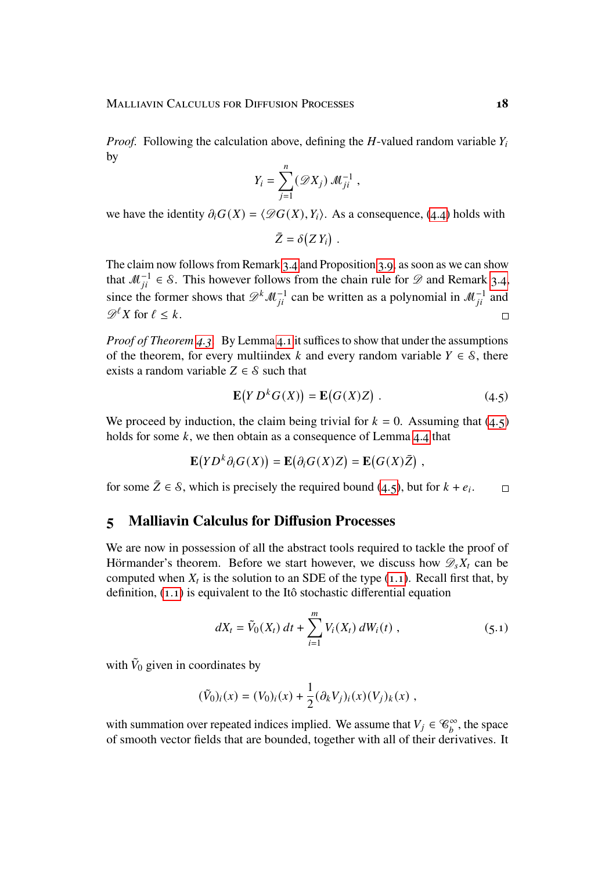*Proof.* Following the calculation above, defining the H-valued random variable  $Y_i$ by

$$
Y_i = \sum_{j=1}^n (\mathscr{D}X_j) \mathscr{M}_{ji}^{-1} ,
$$

we have the identity  $\partial_i G(X) = \langle \mathcal{D}G(X), Y_i \rangle$ . As a consequence, [\(4.4\)](#page-16-2) holds with

$$
\bar{Z} = \delta(Z Y_i) \; .
$$

The claim now follows from Remark [3.4](#page-10-1) and Proposition [3.9,](#page-14-2) as soon as we can show that  $\mathcal{M}_{ii}^{-1} \in \mathcal{S}$ . This however follows from the chain rule for  $\mathcal{D}$  and Remark [3.4,](#page-10-1) since the former shows that  $\mathscr{D}^k \mathscr{M}^{-1}_{ii}$  can be written as a polynomial in  $\mathscr{M}^{-1}_{ii}$  and  $\mathcal{D}^{\ell}X$  for  $\ell < k$ .  $\Box$ 

*Proof of Theorem [4.3.](#page-16-3)* By Lemma [4.1](#page-15-2) it suffices to show that under the assumptions of the theorem, for every multiindex k and every random variable  $Y \in \mathcal{S}$ , there exists a random variable  $Z \in \mathcal{S}$  such that

<span id="page-17-1"></span>
$$
\mathbf{E}(Y D^{k} G(X)) = \mathbf{E}(G(X) Z) .
$$
 (4.5)

We proceed by induction, the claim being trivial for  $k = 0$ . Assuming that [\(4.5\)](#page-17-1) holds for some  $k$ , we then obtain as a consequence of Lemma [4.4](#page-16-4) that

$$
\mathbf{E}(YD^k\partial_i G(X)) = \mathbf{E}(\partial_i G(X)Z) = \mathbf{E}(G(X)\overline{Z}),
$$

for some  $\bar{Z} \in \mathcal{S}$ , which is precisely the required bound [\(4.5\)](#page-17-1), but for  $k + e_i$ .  $\Box$ 

### <span id="page-17-0"></span>**5 Malliavin Calculus for Diffusion Processes**

We are now in possession of all the abstract tools required to tackle the proof of Hörmander's theorem. Before we start however, we discuss how  $\mathscr{D}_s X_t$  can be computed when  $X_t$  is the solution to an SDE of the type [\(1.1\)](#page-1-0). Recall first that, by definition, [\(1.1\)](#page-1-0) is equivalent to the Itô stochastic differential equation

<span id="page-17-2"></span>
$$
dX_t = \tilde{V}_0(X_t) dt + \sum_{i=1}^m V_i(X_t) dW_i(t) , \qquad (5.1)
$$

with  $\tilde{V}_0$  given in coordinates by

$$
(\tilde{V}_0)_i(x) = (V_0)_i(x) + \frac{1}{2} (\partial_k V_j)_i(x) (V_j)_k(x) ,
$$

with summation over repeated indices implied. We assume that  $V_j \in \mathcal{C}_b^{\infty}$ , the space of smooth vector fields that are bounded, together with all of their derivatives. It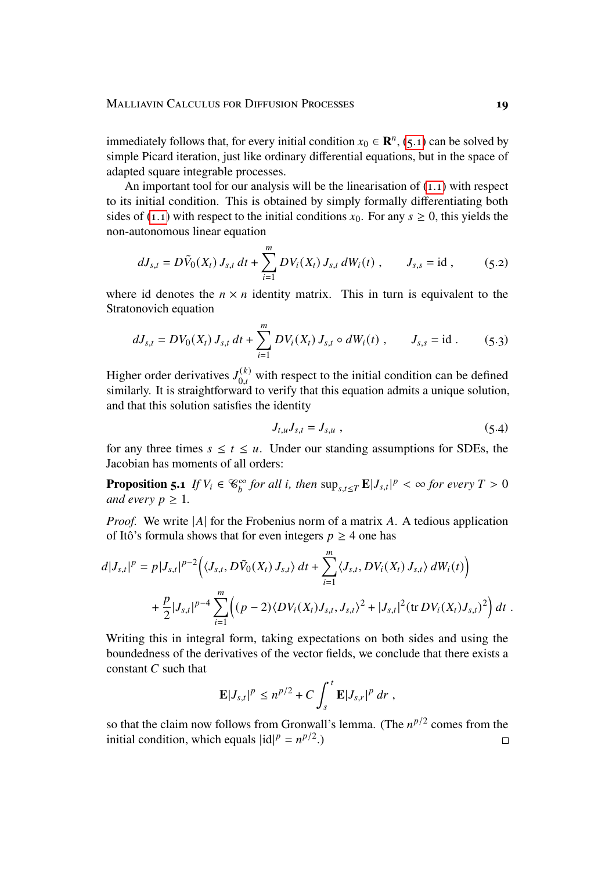immediately follows that, for every initial condition  $x_0 \in \mathbb{R}^n$ , [\(5.1\)](#page-17-2) can be solved by simple Picard iteration, just like ordinary differential equations, but in the space of adapted square integrable processes.

An important tool for our analysis will be the linearisation of  $(1.1)$  with respect to its initial condition. This is obtained by simply formally differentiating both sides of [\(1.1\)](#page-1-0) with respect to the initial conditions  $x_0$ . For any  $s \ge 0$ , this yields the non-autonomous linear equation

$$
dJ_{s,t} = D\tilde{V}_0(X_t) J_{s,t} dt + \sum_{i=1}^m DV_i(X_t) J_{s,t} dW_i(t) , \qquad J_{s,s} = id , \qquad (5.2)
$$

where id denotes the  $n \times n$  identity matrix. This in turn is equivalent to the Stratonovich equation

$$
dJ_{s,t} = DV_0(X_t) J_{s,t} dt + \sum_{i=1}^{m} DV_i(X_t) J_{s,t} \circ dW_i(t) , \qquad J_{s,s} = id . \qquad (5.3)
$$

Higher order derivatives  $J_{0,t}^{(k)}$  with respect to the initial condition can be defined similarly. It is straightforward to verify that this equation admits a unique solution, and that this solution satisfies the identity

<span id="page-18-1"></span><span id="page-18-0"></span>
$$
J_{t,u}J_{s,t}=J_{s,u} \t\t(5.4)
$$

for any three times  $s \le t \le u$ . Under our standing assumptions for SDEs, the Jacobian has moments of all orders:

<span id="page-18-2"></span>**Proposition 5.1** *If*  $V_i \in \mathcal{C}_b^{\infty}$  *for all i, then*  $\sup_{s,t \leq T} \mathbf{E} |J_{s,t}|^p < \infty$  *for every*  $T > 0$ *and every*  $p \geq 1$ *.* 

*Proof.* We write  $|A|$  for the Frobenius norm of a matrix A. A tedious application of Itô's formula shows that for even integers  $p \geq 4$  one has

$$
d|J_{s,t}|^p = p|J_{s,t}|^{p-2} \Big( \langle J_{s,t}, D\tilde{V}_0(X_t) J_{s,t} \rangle dt + \sum_{i=1}^m \langle J_{s,t}, DV_i(X_t) J_{s,t} \rangle dW_i(t) \Big) + \frac{p}{2}|J_{s,t}|^{p-4} \sum_{i=1}^m \Big( (p-2) \langle DV_i(X_t) J_{s,t}, J_{s,t} \rangle^2 + |J_{s,t}|^2 (\text{tr } DV_i(X_t) J_{s,t})^2 \Big) dt.
$$

Writing this in integral form, taking expectations on both sides and using the boundedness of the derivatives of the vector fields, we conclude that there exists a constant  $C$  such that

$$
\mathbf{E}|J_{s,t}|^p \leq n^{p/2} + C \int_s^t \mathbf{E}|J_{s,r}|^p dr ,
$$

so that the claim now follows from Gronwall's lemma. (The  $n^{p/2}$  comes from the initial condition, which equals  $|id|^p = n^{p/2}$ .  $\Box$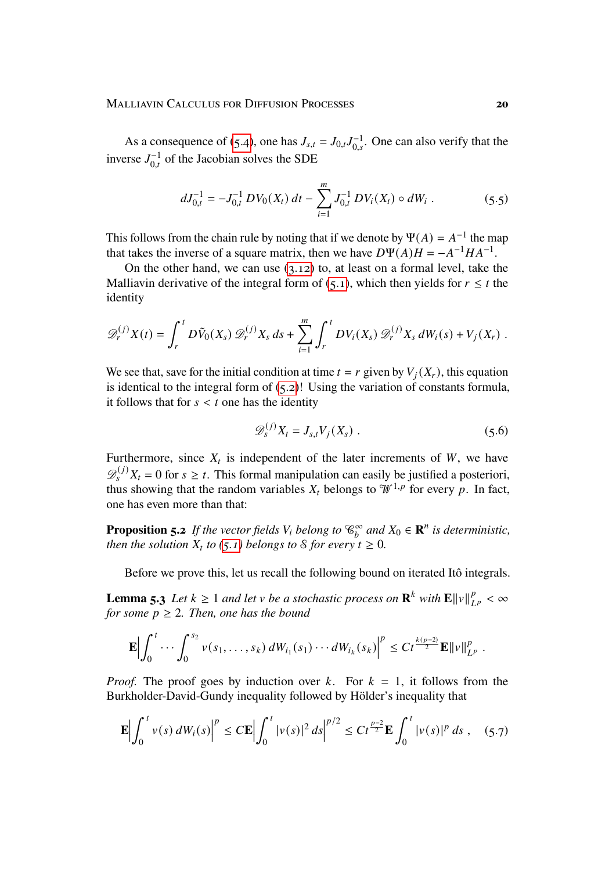As a consequence of [\(5.4\)](#page-18-0), one has  $J_{s,t} = J_{0,t} J_{0,s}^{-1}$ . One can also verify that the inverse  $J_{0,t}^{-1}$  of the Jacobian solves the SDE

$$
dJ_{0,t}^{-1} = -J_{0,t}^{-1} DV_0(X_t) dt - \sum_{i=1}^{m} J_{0,t}^{-1} DV_i(X_t) \circ dW_i . \qquad (5.5)
$$

This follows from the chain rule by noting that if we denote by  $\Psi(A) = A^{-1}$  the map that takes the inverse of a square matrix, then we have  $D\Psi(A)H = -A^{-1}HA^{-1}$ .

On the other hand, we can use [\(3.12\)](#page-14-0) to, at least on a formal level, take the Malliavin derivative of the integral form of [\(5.1\)](#page-17-2), which then yields for  $r \leq t$  the identity

$$
\mathscr{D}_r^{(j)}X(t) = \int_r^t D\tilde{V}_0(X_s) \mathscr{D}_r^{(j)}X_s ds + \sum_{i=1}^m \int_r^t DV_i(X_s) \mathscr{D}_r^{(j)}X_s dW_i(s) + V_j(X_r) .
$$

We see that, save for the initial condition at time  $t = r$  given by  $V_i(X_r)$ , this equation is identical to the integral form of  $(5.2)!$  $(5.2)!$  Using the variation of constants formula, it follows that for  $s < t$  one has the identity

<span id="page-19-2"></span>
$$
\mathscr{D}_s^{(j)} X_t = J_{s,t} V_j(X_s) \tag{5.6}
$$

Furthermore, since  $X_t$  is independent of the later increments of W, we have  $\mathscr{D}_s^{(j)}X_t = 0$  for  $s \geq t$ . This formal manipulation can easily be justified a posteriori, thus showing that the random variables  $X_t$  belongs to  $\mathcal{W}^{1,p}$  for every p. In fact, one has even more than that:

<span id="page-19-1"></span>**Proposition 5.2** If the vector fields  $V_i$  belong to  $\mathscr{C}_b^{\infty}$  and  $X_0 \in \mathbb{R}^n$  is deterministic, *then the solution*  $X_t$  *to* [\(5.1\)](#page-17-2) *belongs to S for every*  $t \geq 0$ *.* 

Before we prove this, let us recall the following bound on iterated Itô integrals.

<span id="page-19-3"></span>**Lemma 5.3** *Let*  $k \geq 1$  *and let*  $v$  *be a stochastic process on*  $\mathbb{R}^k$  *with*  $\mathbb{E} \Vert v \Vert^p$  $_{L^{p}}^{p} < \infty$ *for some*  $p \geq 2$ *. Then, one has the bound* 

<span id="page-19-0"></span>
$$
\mathbf{E}\Big|\int_0^t\cdots\int_0^{s_2}v(s_1,\ldots,s_k)\,dW_{i_1}(s_1)\cdots dW_{i_k}(s_k)\Big|^p\leq Ct^{\frac{k(p-2)}{2}}\mathbf{E}\|v\|_{L^p}^p.
$$

*Proof.* The proof goes by induction over  $k$ . For  $k = 1$ , it follows from the Burkholder-David-Gundy inequality followed by Hölder's inequality that

$$
\mathbf{E}\Big|\int_0^t v(s)\,dW_i(s)\Big|^p \leq C\mathbf{E}\Big|\int_0^t |v(s)|^2\,ds\Big|^{p/2} \leq Ct^{\frac{p-2}{2}}\mathbf{E}\int_0^t |v(s)|^p\,ds\;, \quad (5.7)
$$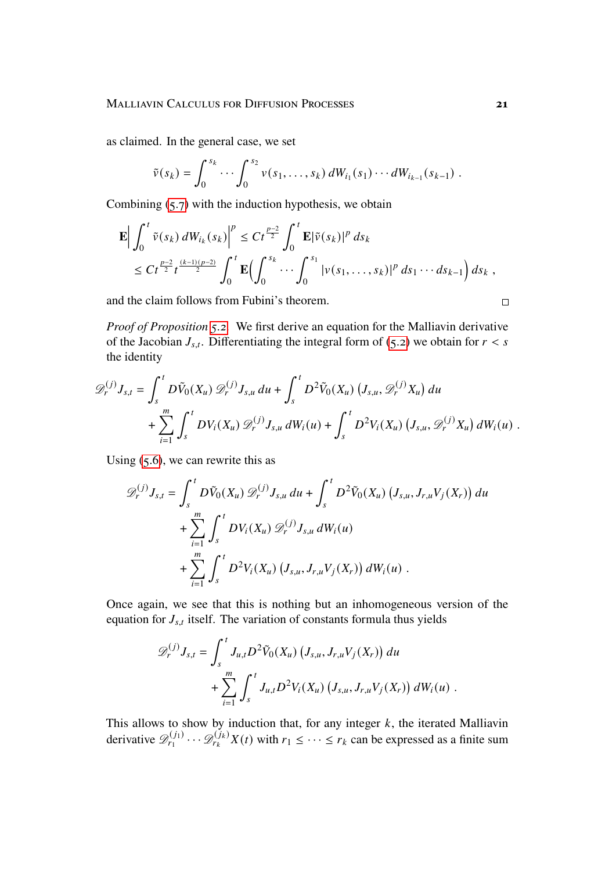as claimed. In the general case, we set

$$
\tilde{v}(s_k) = \int_0^{s_k} \cdots \int_0^{s_2} v(s_1,\ldots,s_k) dW_{i_1}(s_1) \cdots dW_{i_{k-1}}(s_{k-1}).
$$

Combining  $(5.7)$  with the induction hypothesis, we obtain

$$
\mathbf{E} \Big| \int_0^t \tilde{v}(s_k) dW_{i_k}(s_k) \Big|^p \leq Ct^{\frac{p-2}{2}} \int_0^t \mathbf{E} |\tilde{v}(s_k)|^p ds_k
$$
  
\n
$$
\leq Ct^{\frac{p-2}{2}} t^{\frac{(k-1)(p-2)}{2}} \int_0^t \mathbf{E} \Big( \int_0^{s_k} \cdots \int_0^{s_1} |v(s_1,\ldots,s_k)|^p ds_1 \cdots ds_{k-1} \Big) ds_k,
$$

and the claim follows from Fubini's theorem.

*Proof of Proposition [5.2.](#page-19-1)* We first derive an equation for the Malliavin derivative of the Jacobian  $J_{s,t}$ . Differentiating the integral form of [\(5.2\)](#page-18-1) we obtain for  $r < s$ the identity

$$
\mathcal{D}_{r}^{(j)} J_{s,t} = \int_{s}^{t} D \tilde{V}_{0}(X_{u}) \mathcal{D}_{r}^{(j)} J_{s,u} du + \int_{s}^{t} D^{2} \tilde{V}_{0}(X_{u}) (J_{s,u}, \mathcal{D}_{r}^{(j)} X_{u}) du + \sum_{i=1}^{m} \int_{s}^{t} D V_{i}(X_{u}) \mathcal{D}_{r}^{(j)} J_{s,u} dW_{i}(u) + \int_{s}^{t} D^{2} V_{i}(X_{u}) (J_{s,u}, \mathcal{D}_{r}^{(j)} X_{u}) dW_{i}(u) .
$$

Using  $(5.6)$ , we can rewrite this as

$$
\mathcal{D}_{r}^{(j)} J_{s,t} = \int_{s}^{t} D \tilde{V}_{0}(X_{u}) \mathcal{D}_{r}^{(j)} J_{s,u} du + \int_{s}^{t} D^{2} \tilde{V}_{0}(X_{u}) (J_{s,u}, J_{r,u} V_{j}(X_{r})) du + \sum_{i=1}^{m} \int_{s}^{t} D V_{i}(X_{u}) \mathcal{D}_{r}^{(j)} J_{s,u} dW_{i}(u) + \sum_{i=1}^{m} \int_{s}^{t} D^{2} V_{i}(X_{u}) (J_{s,u}, J_{r,u} V_{j}(X_{r})) dW_{i}(u).
$$

Once again, we see that this is nothing but an inhomogeneous version of the equation for  $J_{s,t}$  itself. The variation of constants formula thus yields

$$
\mathscr{D}_r^{(j)} J_{s,t} = \int_s^t J_{u,t} D^2 \tilde{V}_0(X_u) \left( J_{s,u}, J_{r,u} V_j(X_r) \right) du + \sum_{i=1}^m \int_s^t J_{u,t} D^2 V_i(X_u) \left( J_{s,u}, J_{r,u} V_j(X_r) \right) dW_i(u) .
$$

This allows to show by induction that, for any integer  $k$ , the iterated Malliavin derivative  $\mathscr{D}_{r_1}^{(j_1)}$  $p_{r_1}^{(j_1)} \cdots \mathcal{D}_{r_k}^{(j_k)} X(t)$  with  $r_1 \leq \cdots \leq r_k$  can be expressed as a finite sum

 $\Box$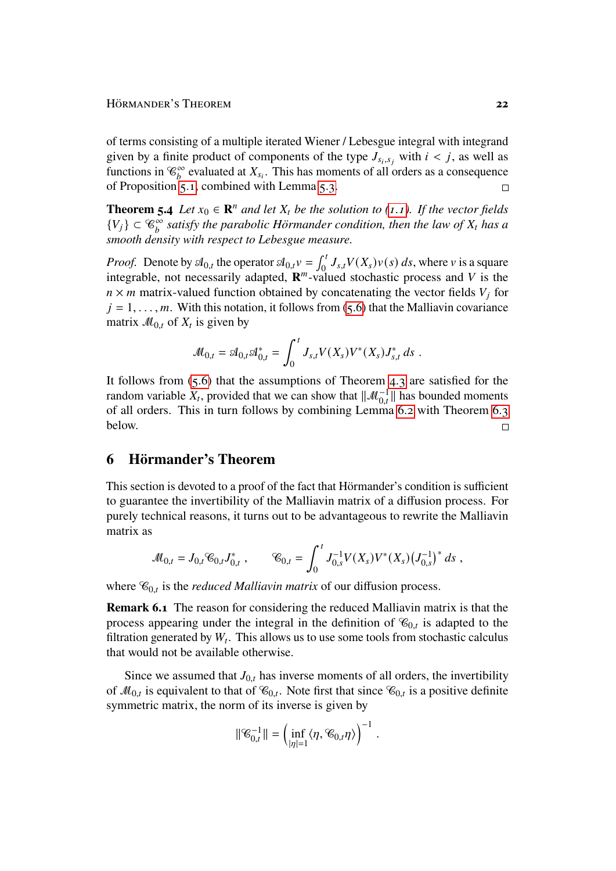of terms consisting of a multiple iterated Wiener / Lebesgue integral with integrand given by a finite product of components of the type  $J_{s_i,s_j}$  with  $i < j$ , as well as functions in  $\mathcal{C}_b^{\infty}$  evaluated at  $X_{s_i}$ . This has moments of all orders as a consequence of Proposition [5.1,](#page-18-2) combined with Lemma [5.3.](#page-19-3)  $\Box$ 

<span id="page-21-1"></span>**Theorem 5.4** *Let*  $x_0 \in \mathbb{R}^n$  *and let*  $X_t$  *be the solution to [\(1.1\)](#page-1-0). If the vector fields*  ${V_j} \subset {\mathcal{C}_b^{\infty}}$  satisfy the parabolic Hörmander condition, then the law of  $X_t$  has a *smooth density with respect to Lebesgue measure.*

*Proof.* Denote by  $\mathcal{A}_{0,t}$  the operator  $\mathcal{A}_{0,t}v = \int_0^t J_{s,t}V(X_s)v(s) ds$ , where v is a square integrable, not necessarily adapted,  $\mathbf{R}^m$ -valued stochastic process and V is the  $n \times m$  matrix-valued function obtained by concatenating the vector fields  $V_i$  for  $j = 1, \ldots, m$ . With this notation, it follows from [\(5.6\)](#page-19-2) that the Malliavin covariance matrix  $\mathcal{M}_{0,t}$  of  $X_t$  is given by

$$
\mathcal{M}_{0,t} = \mathcal{A}_{0,t} \mathcal{A}_{0,t}^* = \int_0^t J_{s,t} V(X_s) V^*(X_s) J_{s,t}^* ds.
$$

It follows from  $(5.6)$  that the assumptions of Theorem [4.3](#page-16-3) are satisfied for the random variable  $\hat{X}_t$ , provided that we can show that  $\|\mathcal{M}^{-1}_{0,t}\|$  has bounded moments of all orders. This in turn follows by combining Lemma [6.2](#page-22-0) with Theorem [6.3](#page-22-1) below.  $\Box$ 

#### <span id="page-21-0"></span>**6 Hörmander's Theorem**

This section is devoted to a proof of the fact that Hörmander's condition is sufficient to guarantee the invertibility of the Malliavin matrix of a diffusion process. For purely technical reasons, it turns out to be advantageous to rewrite the Malliavin matrix as

$$
\mathcal{M}_{0,t} = J_{0,t} \mathcal{C}_{0,t} J_{0,t}^*, \qquad \mathcal{C}_{0,t} = \int_0^t J_{0,s}^{-1} V(X_s) V^*(X_s) \left( J_{0,s}^{-1} \right)^* ds,
$$

where  $\mathcal{C}_{0,t}$  is the *reduced Malliavin matrix* of our diffusion process.

**Remark 6.1** The reason for considering the reduced Malliavin matrix is that the process appearing under the integral in the definition of  $\mathcal{C}_{0,t}$  is adapted to the filtration generated by  $W_t$ . This allows us to use some tools from stochastic calculus that would not be available otherwise.

Since we assumed that  $J_{0,t}$  has inverse moments of all orders, the invertibility of  $\mathcal{M}_{0,t}$  is equivalent to that of  $\mathcal{C}_{0,t}$ . Note first that since  $\mathcal{C}_{0,t}$  is a positive definite symmetric matrix, the norm of its inverse is given by

$$
\|\mathcal{C}_{0,t}^{-1}\|=\left(\inf_{|\eta|=1}\langle \eta, \mathcal{C}_{0,t}\eta\rangle\right)^{-1}\,.
$$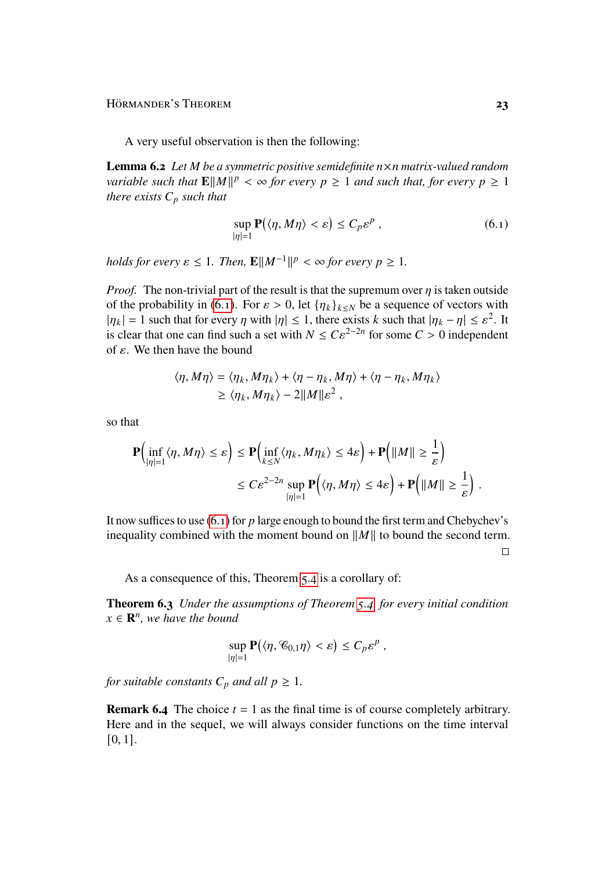Hörmander's Theorem **23** 

A very useful observation is then the following:

<span id="page-22-0"></span>**Lemma 6.2** *Let M be a symmetric positive semidefinite*  $n \times n$  *matrix-valued random variable such that*  $\mathbf{E} ||M||^p < \infty$  *for every*  $p \geq 1$  *and such that, for every*  $p \geq 1$ *there exists*  $C_p$  *such that* 

<span id="page-22-2"></span>
$$
\sup_{|\eta|=1} \mathbf{P}(\langle \eta, M\eta \rangle < \varepsilon) \le C_p \varepsilon^p \,, \tag{6.1}
$$

*holds for every*  $\varepsilon \leq 1$ *. Then,*  $\mathbf{E} ||M^{-1}||^p < \infty$  for every  $p \geq 1$ *.* 

*Proof.* The non-trivial part of the result is that the supremum over  $\eta$  is taken outside of the probability in [\(6.1\)](#page-22-2). For  $\varepsilon > 0$ , let  ${\eta_k}_{k \leq N}$  be a sequence of vectors with  $|\eta_k| = 1$  such that for every  $\eta$  with  $|\eta| \leq 1$ , there exists k such that  $|\eta_k - \eta| \leq \varepsilon^2$ . It is clear that one can find such a set with  $N \leq C \varepsilon^{2-2n}$  for some  $C > 0$  independent of  $\varepsilon$ . We then have the bound

$$
\langle \eta, M\eta \rangle = \langle \eta_k, M\eta_k \rangle + \langle \eta - \eta_k, M\eta \rangle + \langle \eta - \eta_k, M\eta_k \rangle
$$
  
 
$$
\geq \langle \eta_k, M\eta_k \rangle - 2||M||\varepsilon^2,
$$

so that

$$
\mathbf{P}\Big(\inf_{|\eta|=1} \langle \eta, M\eta \rangle \leq \varepsilon\Big) \leq \mathbf{P}\Big(\inf_{k \leq N} \langle \eta_k, M\eta_k \rangle \leq 4\varepsilon\Big) + \mathbf{P}\Big(\|M\| \geq \frac{1}{\varepsilon}\Big)
$$
  

$$
\leq C\varepsilon^{2-2n} \sup_{|\eta|=1} \mathbf{P}\Big(\langle \eta, M\eta \rangle \leq 4\varepsilon\Big) + \mathbf{P}\Big(\|M\| \geq \frac{1}{\varepsilon}\Big).
$$

It now suffices to use  $(6.1)$  for p large enough to bound the first term and Chebychev's inequality combined with the moment bound on  $||M||$  to bound the second term.

 $\Box$ 

As a consequence of this, Theorem [5.4](#page-21-1) is a corollary of:

<span id="page-22-1"></span>**Theorem 6.3** *Under the assumptions of Theorem [5.4,](#page-21-1) for every initial condition*  $x \in \mathbb{R}^n$ , we have the bound

$$
\sup_{|\eta|=1} \mathbf{P}(\langle \eta, \mathcal{C}_{0,1} \eta \rangle < \varepsilon) \leq C_p \varepsilon^p,
$$

*for suitable constants*  $C_p$  *and all*  $p \geq 1$ *.* 

**Remark 6.4** The choice  $t = 1$  as the final time is of course completely arbitrary. Here and in the sequel, we will always consider functions on the time interval [0, 1].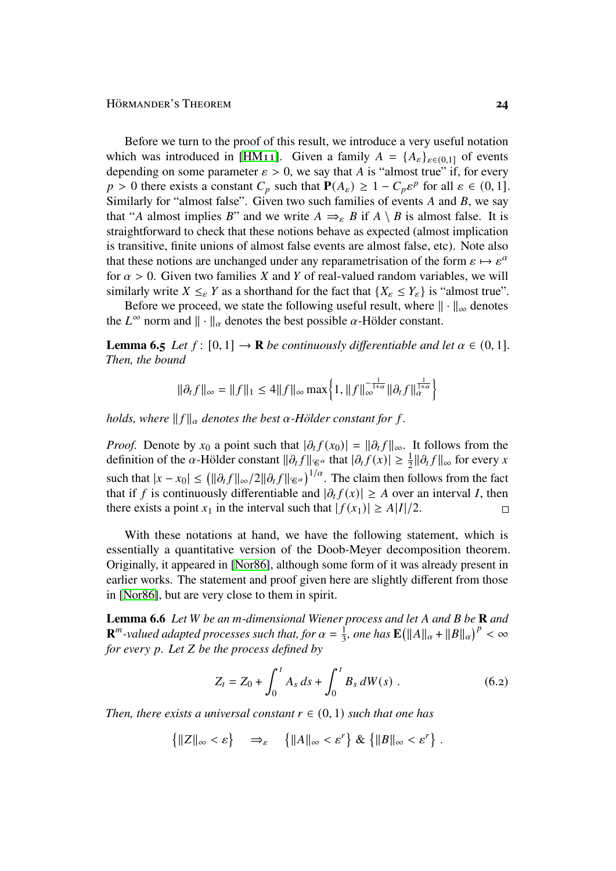Before we turn to the proof of this result, we introduce a very useful notation which was introduced in [\[HM11\]](#page-43-8). Given a family  $A = \{A_{\varepsilon}\}_{{\varepsilon} \in (0,1]}$  of events depending on some parameter  $\varepsilon > 0$ , we say that A is "almost true" if, for every  $p > 0$  there exists a constant  $C_p$  such that  $P(A_{\varepsilon}) \geq 1 - C_p \varepsilon^p$  for all  $\varepsilon \in (0, 1]$ . Similarly for "almost false". Given two such families of events  $A$  and  $B$ , we say that "A almost implies B" and we write  $A \Rightarrow_{\varepsilon} B$  if  $A \setminus B$  is almost false. It is straightforward to check that these notions behave as expected (almost implication is transitive, finite unions of almost false events are almost false, etc). Note also that these notions are unchanged under any reparametrisation of the form  $\varepsilon \mapsto \varepsilon^{\alpha}$ for  $\alpha > 0$ . Given two families X and Y of real-valued random variables, we will similarly write  $X \leq_{\varepsilon} Y$  as a shorthand for the fact that  $\{X_{\varepsilon} \leq Y_{\varepsilon}\}\$  is "almost true".

Before we proceed, we state the following useful result, where  $\|\cdot\|_{\infty}$  denotes the  $L^{\infty}$  norm and  $\|\cdot\|_{\alpha}$  denotes the best possible  $\alpha$ -Hölder constant.

<span id="page-23-0"></span>**Lemma 6.5** *Let*  $f: [0, 1] \rightarrow \mathbb{R}$  *be continuously differentiable and let*  $\alpha \in (0, 1]$ *. Then, the bound*

$$
\|\partial_t f\|_{\infty} = \|f\|_1 \le 4 \|f\|_{\infty} \max\left\{1, \|f\|_{\infty}^{-\frac{1}{1+\alpha}} \|\partial_t f\|_{\alpha}^{\frac{1}{1+\alpha}}\right\}
$$

*holds, where*  $||f||_{\alpha}$  *denotes the best*  $\alpha$ -Hölder constant for f.

*Proof.* Denote by  $x_0$  a point such that  $|\partial_t f(x_0)| = ||\partial_t f||_{\infty}$ . It follows from the definition of the  $\alpha$ -Hölder constant  $\|\partial_t f\|_{\mathscr{C}^{\alpha}}$  that  $|\partial_t f(x)| \geq \frac{1}{2} \|\partial_t f\|_{\infty}$  for every x such that  $|x-x_0| \leq (\|\partial_t f\|_{\infty}/2\|\partial_t f\|_{\infty})^{1/\alpha}$ . The claim then follows from the fact that if f is continuously differentiable and  $|\partial_t f(x)| \geq A$  over an interval I, then there exists a point  $x_1$  in the interval such that  $|f(x_1)| \ge A|I|/2$ .  $\Box$ 

With these notations at hand, we have the following statement, which is essentially a quantitative version of the Doob-Meyer decomposition theorem. Originally, it appeared in [\[Nor86\]](#page-44-0), although some form of it was already present in earlier works. The statement and proof given here are slightly different from those in [\[Nor86\]](#page-44-0), but are very close to them in spirit.

**Lemma 6.6** *Let W be an m-dimensional Wiener process and let A and B be* **R** *and*  ${\bf R}^m$ -valued adapted processes such that, for  $\alpha=\frac{1}{3}$ *h*  $\frac{1}{3}$ , one has  $\mathbf{E}(\Vert A \Vert_{\alpha} + \Vert B \Vert_{\alpha})^{p} < \infty$ *for every p. Let Z be the process defined by* 

<span id="page-23-1"></span>
$$
Z_t = Z_0 + \int_0^t A_s ds + \int_0^t B_s dW(s) .
$$
 (6.2)

*Then, there exists a universal constant*  $r \in (0, 1)$  *such that one has* 

 $\{|Z\|_{\infty} < \varepsilon\} \Rightarrow_{\varepsilon} \{||A||_{\infty} < \varepsilon^r\} \& \{||B||_{\infty} < \varepsilon^r\}.$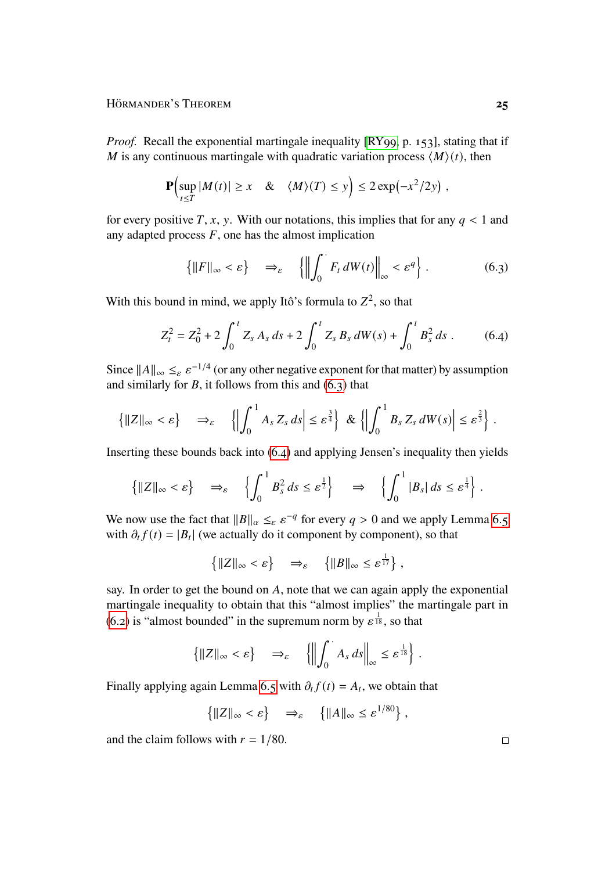*Proof.* Recall the exponential martingale inequality [\[RY99,](#page-44-8) p. 153], stating that if M is any continuous martingale with quadratic variation process  $\langle M \rangle(t)$ , then

$$
\mathbf{P}\Bigl(\sup_{t\leq T}|M(t)|\geq x \quad \& \quad \langle M\rangle(T)\leq y\Bigr)\leq 2\exp\bigl(-x^2/2y\bigr)\;,
$$

for every positive  $T$ , x, y. With our notations, this implies that for any  $q < 1$  and any adapted process  $F$ , one has the almost implication

<span id="page-24-1"></span><span id="page-24-0"></span>
$$
\left\{ \|F\|_{\infty} < \varepsilon \right\} \quad \Rightarrow_{\varepsilon} \quad \left\{ \left\| \int_0^{\cdot} F_t \, dW(t) \right\|_{\infty} < \varepsilon^q \right\} \, . \tag{6.3}
$$

With this bound in mind, we apply Itô's formula to  $Z^2$ , so that

$$
Z_t^2 = Z_0^2 + 2 \int_0^t Z_s \, A_s \, ds + 2 \int_0^t Z_s \, B_s \, dW(s) + \int_0^t B_s^2 \, ds \,. \tag{6.4}
$$

Since  $||A||_{\infty} \leq_{\varepsilon} \varepsilon^{-1/4}$  (or any other negative exponent for that matter) by assumption and similarly for  $B$ , it follows from this and  $(6, 3)$  that

$$
\left\{\|Z\|_{\infty} < \varepsilon\right\} \quad \Rightarrow_{\varepsilon} \quad \left\{\left|\int_0^1 A_s Z_s \, ds\right| \leq \varepsilon^{\frac{3}{4}}\right\} \, \& \left\{\left|\int_0^1 B_s Z_s \, dW(s)\right| \leq \varepsilon^{\frac{2}{3}}\right\}.
$$

Inserting these bounds back into [\(6.4\)](#page-24-1) and applying Jensen's inequality then yields

$$
\left\{\|Z\|_{\infty} < \varepsilon\right\} \quad \Rightarrow_{\varepsilon} \quad \left\{\int_0^1 B_s^2 \, ds \leq \varepsilon^{\frac{1}{2}}\right\} \quad \Rightarrow \quad \left\{\int_0^1 |B_s| \, ds \leq \varepsilon^{\frac{1}{4}}\right\}.
$$

We now use the fact that  $||B||_{\alpha} \leq_{\varepsilon} \varepsilon^{-q}$  for every  $q > 0$  and we apply Lemma [6.5](#page-23-0) with  $\partial_t f(t) = |B_t|$  (we actually do it component by component), so that

$$
\left\{ \|Z\|_{\infty} < \varepsilon \right\} \quad \Rightarrow_{\varepsilon} \quad \left\{ \|B\|_{\infty} \leq \varepsilon^{\frac{1}{17}} \right\},\
$$

say. In order to get the bound on  $A$ , note that we can again apply the exponential martingale inequality to obtain that this "almost implies" the martingale part in  $(6.2)$  is "almost bounded" in the supremum norm by  $\epsilon^{\frac{1}{18}}$ , so that

$$
\left\{||Z||_{\infty} < \varepsilon\right\} \quad \Rightarrow_{\varepsilon} \quad \left\{ \left\|\int_0^{\cdot} A_s \, ds\right\|_{\infty} \leq \varepsilon^{\frac{1}{18}} \right\} \, .
$$

Finally applying again Lemma [6.5](#page-23-0) with  $\partial_t f(t) = A_t$ , we obtain that

$$
\left\{ \|Z\|_{\infty} < \varepsilon \right\} \quad \Rightarrow_{\varepsilon} \quad \left\{ \|A\|_{\infty} \leq \varepsilon^{1/80} \right\},
$$

and the claim follows with  $r = 1/80$ .

 $\Box$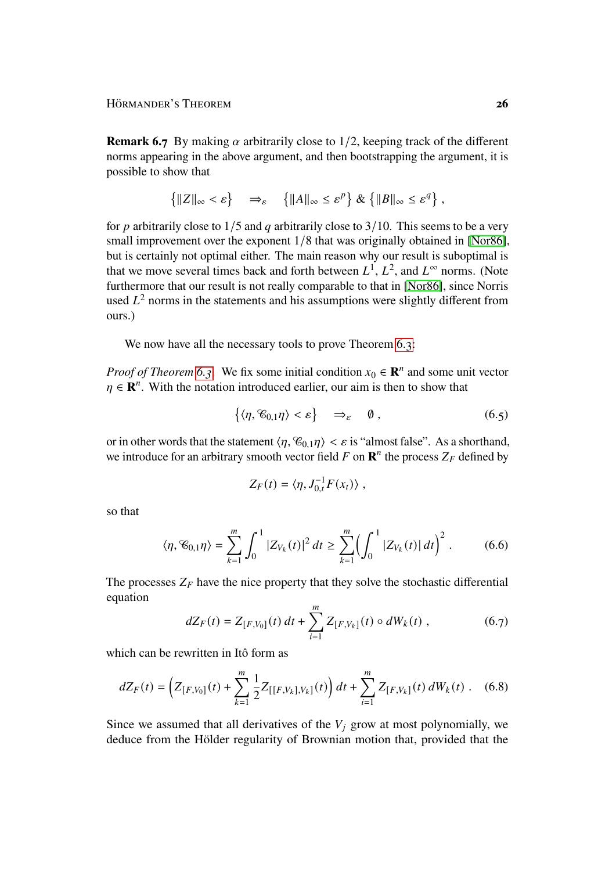**Remark 6.7** By making  $\alpha$  arbitrarily close to 1/2, keeping track of the different norms appearing in the above argument, and then bootstrapping the argument, it is possible to show that

$$
\left\{ \|Z\|_{\infty} < \varepsilon \right\} \quad \Rightarrow_{\varepsilon} \quad \left\{ \|A\|_{\infty} \leq \varepsilon^p \right\} \& \left\{ \|B\|_{\infty} \leq \varepsilon^q \right\},
$$

for p arbitrarily close to  $1/5$  and q arbitrarily close to  $3/10$ . This seems to be a very small improvement over the exponent  $1/8$  that was originally obtained in [\[Nor86\]](#page-44-0), but is certainly not optimal either. The main reason why our result is suboptimal is that we move several times back and forth between  $L^1$ ,  $L^2$ , and  $L^{\infty}$  norms. (Note furthermore that our result is not really comparable to that in [\[Nor86\]](#page-44-0), since Norris used  $L^2$  norms in the statements and his assumptions were slightly different from ours.)

We now have all the necessary tools to prove Theorem [6.3:](#page-22-1)

*Proof of Theorem [6.3.](#page-22-1)* We fix some initial condition  $x_0 \in \mathbb{R}^n$  and some unit vector  $\eta \in \mathbf{R}^n$ . With the notation introduced earlier, our aim is then to show that

$$
\{\langle \eta, \mathcal{C}_{0,1} \eta \rangle < \varepsilon\} \quad \Rightarrow_{\varepsilon} \quad \emptyset , \tag{6.5}
$$

or in other words that the statement  $\langle \eta, \mathcal{C}_{0,1} \eta \rangle < \varepsilon$  is "almost false". As a shorthand, we introduce for an arbitrary smooth vector field  $F$  on  $\mathbb{R}^n$  the process  $Z_F$  defined by

<span id="page-25-2"></span><span id="page-25-1"></span><span id="page-25-0"></span>
$$
Z_F(t) = \langle \eta, J_{0,t}^{-1} F(x_t) \rangle ,
$$

so that

$$
\langle \eta, \mathcal{C}_{0,1} \eta \rangle = \sum_{k=1}^{m} \int_0^1 |Z_{V_k}(t)|^2 \, dt \ge \sum_{k=1}^{m} \Bigl( \int_0^1 |Z_{V_k}(t)| \, dt \Bigr)^2 \,. \tag{6.6}
$$

The processes  $Z_F$  have the nice property that they solve the stochastic differential equation

<span id="page-25-3"></span>
$$
dZ_F(t) = Z_{[F,V_0]}(t) dt + \sum_{i=1}^{m} Z_{[F,V_k]}(t) \circ dW_k(t) , \qquad (6.7)
$$

which can be rewritten in Itô form as

$$
dZ_F(t) = \left(Z_{[F,V_0]}(t) + \sum_{k=1}^m \frac{1}{2} Z_{[[F,V_k],V_k]}(t)\right) dt + \sum_{i=1}^m Z_{[F,V_k]}(t) dW_k(t).
$$
 (6.8)

Since we assumed that all derivatives of the  $V_i$  grow at most polynomially, we deduce from the Hölder regularity of Brownian motion that, provided that the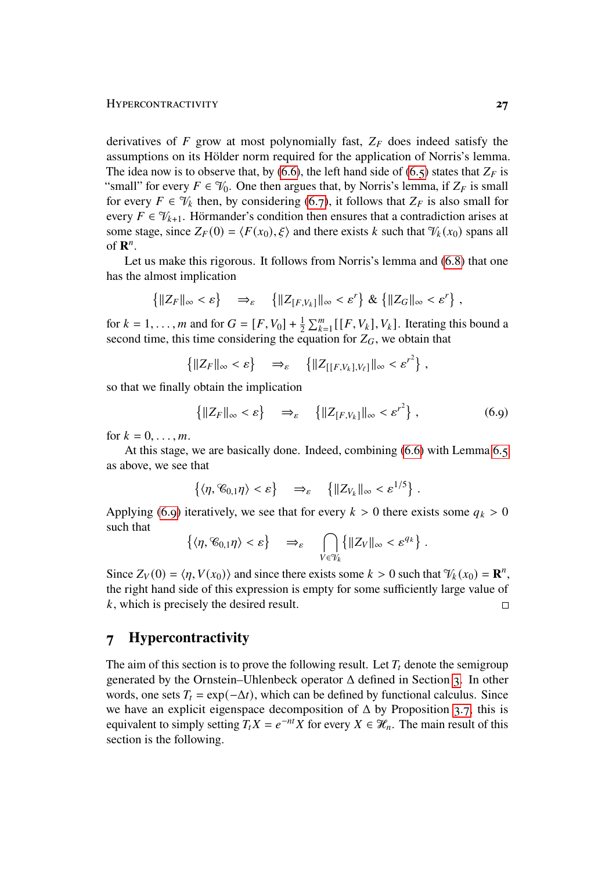derivatives of  $F$  grow at most polynomially fast,  $Z_F$  does indeed satisfy the assumptions on its Hölder norm required for the application of Norris's lemma. The idea now is to observe that, by [\(6.6\)](#page-25-0), the left hand side of [\(6.5\)](#page-25-1) states that  $Z_F$  is "small" for every  $F \in \mathcal{V}_0$ . One then argues that, by Norris's lemma, if  $Z_F$  is small for every  $F \in \mathcal{V}_k$  then, by considering [\(6.7\)](#page-25-2), it follows that  $Z_F$  is also small for every  $F \in \mathcal{V}_{k+1}$ . Hörmander's condition then ensures that a contradiction arises at some stage, since  $Z_F(0) = \langle F(x_0), \xi \rangle$  and there exists k such that  $\mathcal{V}_k(x_0)$  spans all of  $\mathbf{R}^n$ .

Let us make this rigorous. It follows from Norris's lemma and [\(6.8\)](#page-25-3) that one has the almost implication

$$
\left\{ \|Z_F\|_{\infty} < \varepsilon \right\} \quad \Rightarrow_{\varepsilon} \quad \left\{ \|Z_{[F,V_k]}\|_{\infty} < \varepsilon^r \right\} \& \left\{ \|Z_G\|_{\infty} < \varepsilon^r \right\},
$$

for  $k = 1, ..., m$  and for  $G = [F, V_0] + \frac{1}{2} \sum_{k=1}^{m} [[F, V_k], V_k]$ . Iterating this bound a second time, this time considering the equation for  $Z_G$ , we obtain that

$$
\left\{ \|Z_F\|_{\infty} < \varepsilon \right\} \quad \Rightarrow_{\varepsilon} \quad \left\{ \|Z_{[[F,V_k],V_{\ell}]} \|_{\infty} < \varepsilon^{r^2} \right\},
$$

so that we finally obtain the implication

<span id="page-26-1"></span>
$$
\left\{ \|Z_F\|_{\infty} < \varepsilon \right\} \quad \Rightarrow_{\varepsilon} \quad \left\{ \|Z_{[F,V_k]}\|_{\infty} < {\varepsilon'}^2 \right\},\tag{6.9}
$$

for  $k = 0, \ldots, m$ .

At this stage, we are basically done. Indeed, combining [\(6.6\)](#page-25-0) with Lemma [6.5](#page-23-0) as above, we see that

$$
\left\{ \langle \eta, \mathscr{C}_{0,1} \eta \rangle < \varepsilon \right\} \quad \Rightarrow_{\varepsilon} \quad \left\{ \| Z_{V_k} \|_{\infty} < \varepsilon^{1/5} \right\} \, .
$$

Applying [\(6.9\)](#page-26-1) iteratively, we see that for every  $k > 0$  there exists some  $q_k > 0$ such that

$$
\left\{ \langle \eta, \mathscr{C}_{0,1} \eta \rangle < \varepsilon \right\} \quad \Rightarrow_{\varepsilon} \quad \bigcap_{V \in \mathscr{V}_k} \left\{ ||Z_V||_{\infty} < \varepsilon^{q_k} \right\}.
$$

Since  $Z_V(0) = \langle \eta, V(x_0) \rangle$  and since there exists some  $k > 0$  such that  $\mathcal{V}_k(x_0) = \mathbf{R}^n$ , the right hand side of this expression is empty for some sufficiently large value of  $k$ , which is precisely the desired result.  $\Box$ 

### <span id="page-26-0"></span>**7 Hypercontractivity**

<span id="page-26-2"></span>The aim of this section is to prove the following result. Let  $T_t$  denote the semigroup generated by the Ornstein–Uhlenbeck operator  $\Delta$  defined in Section [3.](#page-8-0) In other words, one sets  $T_t = \exp(-\Delta t)$ , which can be defined by functional calculus. Since we have an explicit eigenspace decomposition of  $\Delta$  by Proposition [3.7,](#page-13-0) this is equivalent to simply setting  $T_t X = e^{-nt} X$  for every  $X \in \mathcal{H}_n$ . The main result of this section is the following.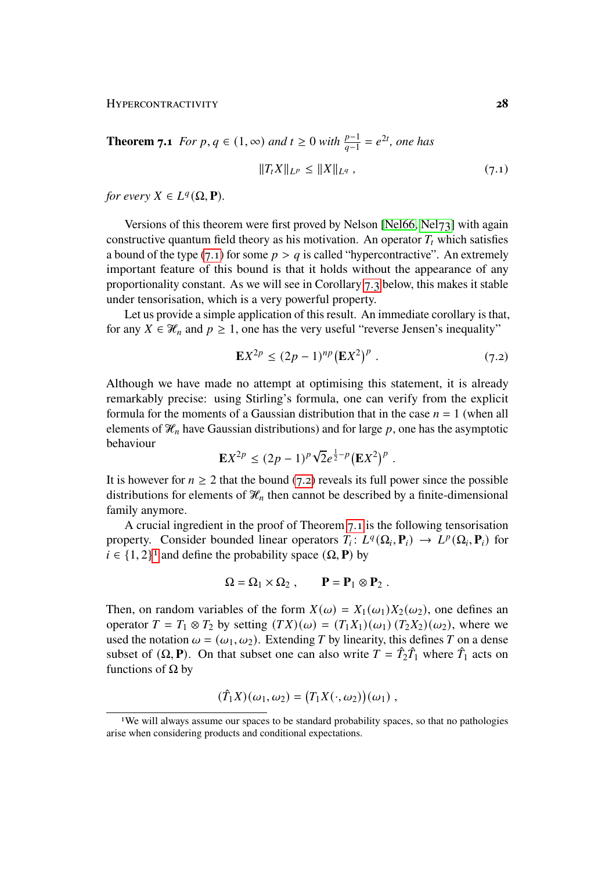**Theorem 7.1** *For p*, *q* ∈ (1, ∞) *and*  $t \ge 0$  *with*  $\frac{p-1}{q-1} = e^{2t}$ *, one has* 

<span id="page-27-0"></span>
$$
||T_t X||_{L^p} \le ||X||_{L^q}, \qquad (7.1)
$$

*for every*  $X \in L^q(\Omega, \mathbf{P})$ *.* 

Versions of this theorem were first proved by Nelson [\[Nel66,](#page-44-9) [Nel73\]](#page-44-10) with again constructive quantum field theory as his motivation. An operator  $T_t$  which satisfies a bound of the type [\(7.1\)](#page-27-0) for some  $p > q$  is called "hypercontractive". An extremely important feature of this bound is that it holds without the appearance of any proportionality constant. As we will see in Corollary [7.3](#page-28-0) below, this makes it stable under tensorisation, which is a very powerful property.

Let us provide a simple application of this result. An immediate corollary is that, for any  $X \in \mathcal{H}_n$  and  $p \geq 1$ , one has the very useful "reverse Jensen's inequality"

<span id="page-27-1"></span>
$$
\mathbf{E}X^{2p} \le (2p-1)^{np} (\mathbf{E}X^2)^p . \tag{7.2}
$$

Although we have made no attempt at optimising this statement, it is already remarkably precise: using Stirling's formula, one can verify from the explicit formula for the moments of a Gaussian distribution that in the case  $n = 1$  (when all elements of  $\mathcal{H}_n$  have Gaussian distributions) and for large p, one has the asymptotic behaviour √

$$
\mathbf{E} X^{2p} \le (2p-1)^p \sqrt{2} e^{\frac{1}{2}-p} (\mathbf{E} X^2)^p.
$$

It is however for  $n \geq 2$  that the bound [\(7.2\)](#page-27-1) reveals its full power since the possible distributions for elements of  $\mathcal{H}_n$  then cannot be described by a finite-dimensional family anymore.

A crucial ingredient in the proof of Theorem [7.1](#page-26-2) is the following tensorisation property. Consider bounded linear operators  $T_i: L^q(\Omega_i, \mathbf{P}_i) \to L^p(\Omega_i, \mathbf{P}_i)$  for  $i \in \{1, 2\}^1$  $i \in \{1, 2\}^1$  $i \in \{1, 2\}^1$  and define the probability space  $(\Omega, \mathbf{P})$  by

$$
\Omega = \Omega_1 \times \Omega_2 , \qquad \mathbf{P} = \mathbf{P}_1 \otimes \mathbf{P}_2 .
$$

Then, on random variables of the form  $X(\omega) = X_1(\omega_1)X_2(\omega_2)$ , one defines an operator  $T = T_1 \otimes T_2$  by setting  $(TX)(\omega) = (T_1X_1)(\omega_1)(T_2X_2)(\omega_2)$ , where we used the notation  $\omega = (\omega_1, \omega_2)$ . Extending T by linearity, this defines T on a dense subset of  $(\Omega, \mathbf{P})$ . On that subset one can also write  $T = \hat{T}_2 \hat{T}_1$  where  $\hat{T}_1$  acts on functions of Ω by

$$
(\hat{T}_1 X)(\omega_1, \omega_2) = (T_1 X(\cdot, \omega_2))(\omega_1) ,
$$

<span id="page-27-2"></span><sup>&</sup>lt;sup>1</sup>We will always assume our spaces to be standard probability spaces, so that no pathologies arise when considering products and conditional expectations.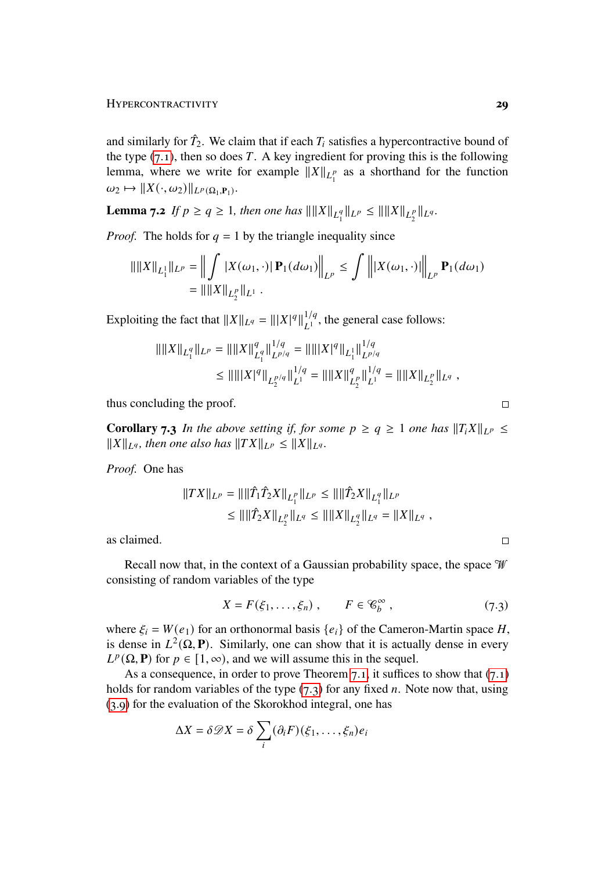and similarly for  $\hat{T}_2$ . We claim that if each  $T_i$  satisfies a hypercontractive bound of the type  $(7.1)$ , then so does T. A key ingredient for proving this is the following lemma, where we write for example  $||X||_{L_1^p}$  as a shorthand for the function  $\omega_2 \mapsto ||X(\cdot, \omega_2)||_{L^p(\Omega_1, \mathbf{P}_1)}.$ 

**Lemma 7.2** *If*  $p \ge q \ge 1$ *, then one has*  $\|\|X\|_{L_1^q}\|_{L^p} \le \|\|X\|_{L_2^p}\|_{L^q}$ .

*Proof.* The holds for  $q = 1$  by the triangle inequality since

$$
\|\|X\|_{L_1^1}\|_{L^p} = \left\|\int_{\Omega} |X(\omega_1, \cdot)| \mathbf{P}_1(d\omega_1)\right\|_{L^p} \le \int_{\Omega} \|X(\omega_1, \cdot)\|_{L^p} \mathbf{P}_1(d\omega_1)
$$
  
= \| \|X\|\_{L\_2^p}\|\_{L^1}.

Exploiting the fact that  $||X||_{L^q} = |||X|^q||_{L^1}^{1/q}$  $_{L_1}^{1/q}$ , the general case follows:

$$
\begin{aligned} \|||X\|_{L_1^q}\|_{L^p} &= \|||X\|_{L_1^q}^q \|\|_{L^{p/q}}^{1/q} = \|\|||X|^q \|\|_{L_1^1} \|\|_{L^{p/q}}^{1/q} \\ &\le \| \| \|X\|^q \|\|_{L_2^{p/q}} \|\|_{L^1}^{1/q} = \|\|X\|_{L_2^p}^q \|\|_{L^1}^{1/q} = \|\|X\|_{L_2^p} \|_{L^q} \end{aligned}
$$

thus concluding the proof.

<span id="page-28-0"></span>**Corollary 7.3** *In the above setting if, for some*  $p \ge q \ge 1$  *one has*  $||T_i X||_{L^p} \le$  $||X||_{L^q}$ , then one also has  $||TX||_{L^p} \le ||X||_{L^q}$ .

*Proof.* One has

$$
||TX||_{L^p} = ||||\hat{T}_1 \hat{T}_2 X||_{L_1^p} ||_{L^p} \le ||||\hat{T}_2 X||_{L_1^q} ||_{L^p}
$$
  
\n
$$
\le ||||\hat{T}_2 X||_{L_2^p} ||_{L^q} \le ||||X||_{L_2^q} ||_{L^q} = ||X||_{L^q},
$$

as claimed.

Recall now that, in the context of a Gaussian probability space, the space  $\mathcal W$ consisting of random variables of the type

$$
X = F(\xi_1, \dots, \xi_n) , \qquad F \in \mathcal{C}_b^{\infty} , \tag{7.3}
$$

where  $\xi_i = W(e_1)$  for an orthonormal basis  $\{e_i\}$  of the Cameron-Martin space H, is dense in  $L^2(\Omega, \mathbf{P})$ . Similarly, one can show that it is actually dense in every  $L^p(\Omega, \mathbf{P})$  for  $p \in [1, \infty)$ , and we will assume this in the sequel.

As a consequence, in order to prove Theorem [7.1,](#page-26-2) it suffices to show that  $(7.1)$ holds for random variables of the type  $(7.3)$  for any fixed *n*. Note now that, using [\(3.9\)](#page-12-2) for the evaluation of the Skorokhod integral, one has

$$
\Delta X = \delta \mathcal{D} X = \delta \sum_{i} (\partial_i F)(\xi_1, \dots, \xi_n) e_i
$$

 $\Box$ 

<span id="page-28-1"></span> $\Box$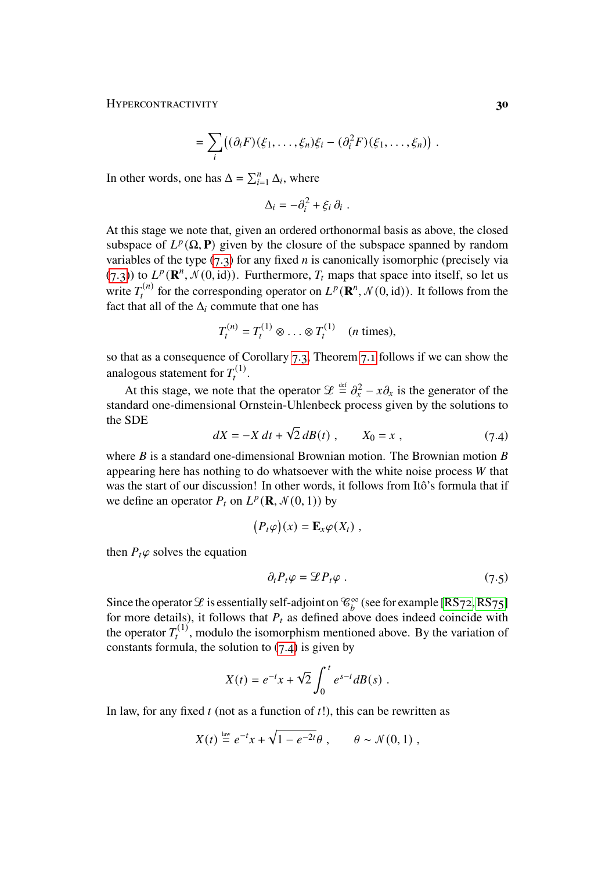Hypercontractivity **30**

$$
= \sum_i \bigl((\partial_i F)(\xi_1,\ldots,\xi_n)\xi_i - (\partial_i^2 F)(\xi_1,\ldots,\xi_n)\bigr) .
$$

In other words, one has  $\Delta = \sum_{i=1}^{n} \Delta_i$ , where

$$
\Delta_i = -\partial_i^2 + \xi_i \, \partial_i \, .
$$

At this stage we note that, given an ordered orthonormal basis as above, the closed subspace of  $L^p(\Omega, \mathbf{P})$  given by the closure of the subspace spanned by random variables of the type  $(7.3)$  for any fixed *n* is canonically isomorphic (precisely via [\(7.3\)](#page-28-1)) to  $L^p(\mathbf{R}^n, \mathcal{N}(0, id))$ . Furthermore,  $T_t$  maps that space into itself, so let us write  $T_t^{(n)}$  for the corresponding operator on  $L^p(\mathbf{R}^n, \mathcal{N}(0, id))$ . It follows from the fact that all of the  $\Delta_i$  commute that one has

$$
T_t^{(n)} = T_t^{(1)} \otimes \ldots \otimes T_t^{(1)} \quad (n \text{ times}),
$$

so that as a consequence of Corollary [7.3,](#page-28-0) Theorem [7.1](#page-26-2) follows if we can show the analogous statement for  $T_t^{(1)}$ .

At this stage, we note that the operator  $\mathscr{L} \stackrel{\text{def}}{=} \partial_x^2 - x \partial_x$  is the generator of the standard one-dimensional Ornstein-Uhlenbeck process given by the solutions to the SDE √

$$
dX = -X dt + \sqrt{2} dB(t) , \qquad X_0 = x , \qquad (7.4)
$$

where  $B$  is a standard one-dimensional Brownian motion. The Brownian motion  $B$ appearing here has nothing to do whatsoever with the white noise process  $W$  that was the start of our discussion! In other words, it follows from Itô's formula that if we define an operator  $P_t$  on  $L^p(\mathbf{R}, \mathcal{N}(0, 1))$  by

<span id="page-29-0"></span>
$$
(P_t\varphi)(x) = \mathbf{E}_x\varphi(X_t) ,
$$

then  $P_t\varphi$  solves the equation

<span id="page-29-1"></span>
$$
\partial_t P_t \varphi = \mathcal{L} P_t \varphi \tag{7.5}
$$

Since the operator  $\mathscr E$  is essentially self-adjoint on  $\mathscr C_b^{\infty}$  (see for example [\[RS72,](#page-44-11) [RS75\]](#page-44-12) for more details), it follows that  $P_t$  as defined above does indeed coincide with the operator  $T_t^{(1)}$ , modulo the isomorphism mentioned above. By the variation of constants formula, the solution to  $(7.4)$  is given by

$$
X(t) = e^{-t}x + \sqrt{2} \int_0^t e^{s-t} dB(s) .
$$

In law, for any fixed  $t$  (not as a function of  $t$ !), this can be rewritten as

$$
X(t) \stackrel{\text{law}}{=} e^{-t}x + \sqrt{1 - e^{-2t}}\theta, \qquad \theta \sim \mathcal{N}(0, 1) ,
$$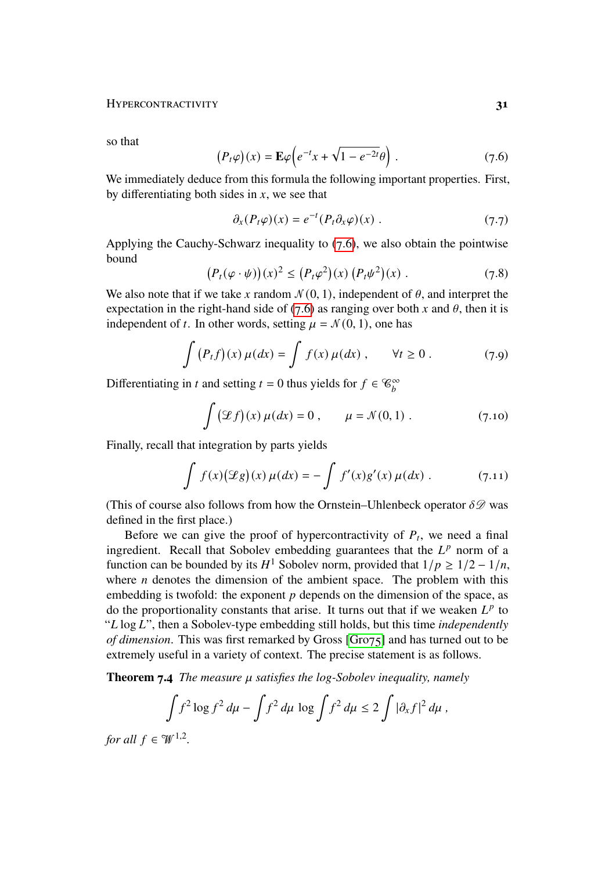#### Hypercontractivity **31**

so that

$$
(P_t \varphi)(x) = \mathbf{E}\varphi \left(e^{-t}x + \sqrt{1 - e^{-2t}}\theta\right).
$$
 (7.6)

We immediately deduce from this formula the following important properties. First, by differentiating both sides in  $x$ , we see that

<span id="page-30-5"></span><span id="page-30-4"></span><span id="page-30-3"></span><span id="page-30-0"></span>
$$
\partial_x (P_t \varphi)(x) = e^{-t} (P_t \partial_x \varphi)(x) . \qquad (7.7)
$$

Applying the Cauchy-Schwarz inequality to  $(7.6)$ , we also obtain the pointwise bound

$$
(P_t(\varphi \cdot \psi))(x)^2 \le (P_t\varphi^2)(x) (P_t\psi^2)(x) . \tag{7.8}
$$

We also note that if we take x random  $\mathcal{N}(0, 1)$ , independent of  $\theta$ , and interpret the expectation in the right-hand side of [\(7.6\)](#page-30-0) as ranging over both x and  $\theta$ , then it is independent of t. In other words, setting  $\mu = \mathcal{N}(0, 1)$ , one has

$$
\int (P_t f)(x) \mu(dx) = \int f(x) \mu(dx) , \qquad \forall t \ge 0 . \tag{7.9}
$$

Differentiating in t and setting  $t = 0$  thus yields for  $f \in \mathcal{C}_b^{\infty}$ 

<span id="page-30-2"></span><span id="page-30-1"></span>
$$
\int (\mathcal{L}f)(x)\,\mu(dx) = 0\,, \qquad \mu = \mathcal{N}(0,1)\;.
$$
 (7.10)

Finally, recall that integration by parts yields

$$
\int f(x) (\mathscr{L}g)(x) \mu(dx) = - \int f'(x) g'(x) \mu(dx) . \tag{7.11}
$$

(This of course also follows from how the Ornstein–Uhlenbeck operator  $\delta\mathscr{D}$  was defined in the first place.)

Before we can give the proof of hypercontractivity of  $P_t$ , we need a final ingredient. Recall that Sobolev embedding guarantees that the  $L^p$  norm of a function can be bounded by its  $H^1$  Sobolev norm, provided that  $1/p \geq 1/2 - 1/n$ , where  $n$  denotes the dimension of the ambient space. The problem with this embedding is twofold: the exponent  $p$  depends on the dimension of the space, as do the proportionality constants that arise. It turns out that if we weaken  $L^p$  to "L log L", then a Sobolev-type embedding still holds, but this time *independently of dimension*. This was first remarked by Gross [\[Gro75\]](#page-43-12) and has turned out to be extremely useful in a variety of context. The precise statement is as follows.

**Theorem 7.4** *The measure*  $\mu$  *satisfies the log-Sobolev inequality, namely* 

$$
\int f^2 \log f^2 d\mu - \int f^2 d\mu \log \int f^2 d\mu \le 2 \int |\partial_x f|^2 d\mu,
$$

*for all*  $f \in \mathcal{W}^{1,2}$ *.*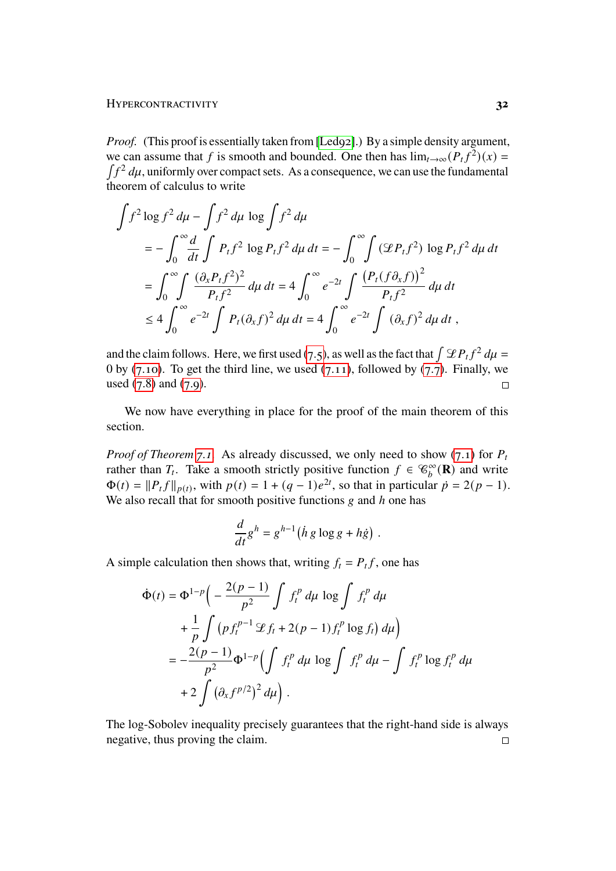#### HYPERCONTRACTIVITY **32**

*Proof.* (This proof is essentially taken from [\[Led92\]](#page-43-13).) By a simple density argument, we can assume that f is smooth and bounded. One then has  $\lim_{t\to\infty} (P_t f^2)(x) =$  $\int f^2 du$ , uniformly over compact sets. As a consequence, we can use the fundamental theorem of calculus to write

$$
\int f^2 \log f^2 d\mu - \int f^2 d\mu \log \int f^2 d\mu
$$
  
=  $-\int_0^{\infty} \frac{d}{dt} \int P_t f^2 \log P_t f^2 d\mu dt = -\int_0^{\infty} \int (\mathcal{L}P_t f^2) \log P_t f^2 d\mu dt$   
=  $\int_0^{\infty} \int \frac{(\partial_x P_t f^2)^2}{P_t f^2} d\mu dt = 4 \int_0^{\infty} e^{-2t} \int \frac{(P_t (f \partial_x f))^2}{P_t f^2} d\mu dt$   
 $\leq 4 \int_0^{\infty} e^{-2t} \int P_t (\partial_x f)^2 d\mu dt = 4 \int_0^{\infty} e^{-2t} \int (\partial_x f)^2 d\mu dt$ ,

and the claim follows. Here, we first used [\(7.5\)](#page-29-1), as well as the fact that  $\int \mathcal{L}P_t f^2 d\mu =$ 0 by [\(7.10\)](#page-30-1). To get the third line, we used [\(7.11\)](#page-30-2), followed by [\(7.7\)](#page-30-3). Finally, we used  $(7.8)$  and  $(7.9)$ .  $\Box$ 

We now have everything in place for the proof of the main theorem of this section.

*Proof of Theorem* [7.1.](#page-26-2) As already discussed, we only need to show [\(7.1\)](#page-27-0) for  $P_t$ rather than  $T_t$ . Take a smooth strictly positive function  $f \in \mathcal{C}_b^{\infty}(\mathbf{R})$  and write  $\Phi(t) = ||P_t f||_{p(t)}$ , with  $p(t) = 1 + (q - 1)e^{2t}$ , so that in particular  $p = 2(p - 1)$ . We also recall that for smooth positive functions  $g$  and  $h$  one has

$$
\frac{d}{dt}g^h = g^{h-1} (h g \log g + h \dot{g}).
$$

A simple calculation then shows that, writing  $f_t = P_t f$ , one has

$$
\Phi(t) = \Phi^{1-p} \left( -\frac{2(p-1)}{p^2} \int f_t^p d\mu \log \int f_t^p d\mu \right.\n+ \frac{1}{p} \int (p f_t^{p-1} \mathcal{L} f_t + 2(p-1) f_t^p \log f_t) d\mu \right)\n= -\frac{2(p-1)}{p^2} \Phi^{1-p} \left( \int f_t^p d\mu \log \int f_t^p d\mu - \int f_t^p \log f_t^p d\mu \right.\n+ 2 \int (\partial_x f^{p/2})^2 d\mu \right).
$$

The log-Sobolev inequality precisely guarantees that the right-hand side is always negative, thus proving the claim. $\Box$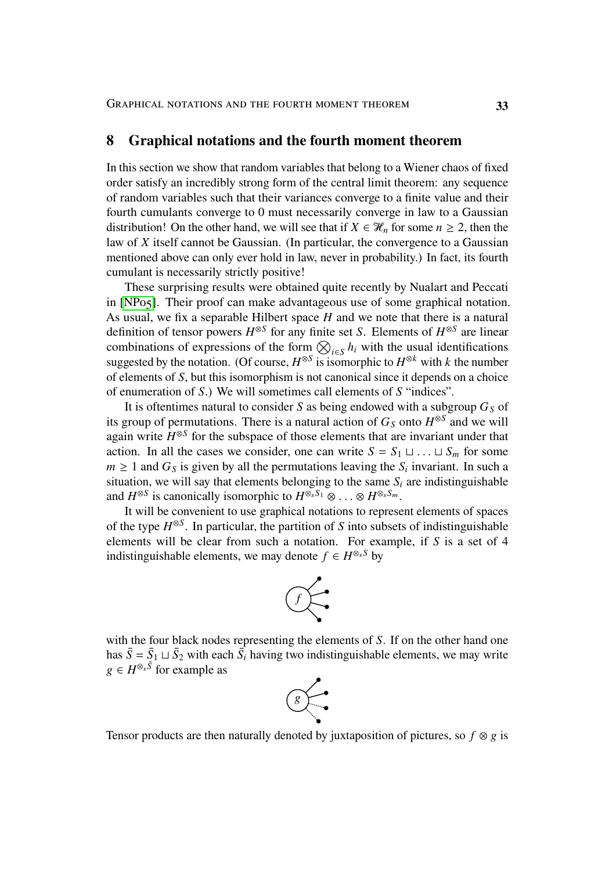#### <span id="page-32-0"></span>**8 Graphical notations and the fourth moment theorem**

In this section we show that random variables that belong to a Wiener chaos of fixed order satisfy an incredibly strong form of the central limit theorem: any sequence of random variables such that their variances converge to a finite value and their fourth cumulants converge to 0 must necessarily converge in law to a Gaussian distribution! On the other hand, we will see that if  $X \in \mathcal{H}_n$  for some  $n \geq 2$ , then the law of  $X$  itself cannot be Gaussian. (In particular, the convergence to a Gaussian mentioned above can only ever hold in law, never in probability.) In fact, its fourth cumulant is necessarily strictly positive!

These surprising results were obtained quite recently by Nualart and Peccati in [\[NP05\]](#page-44-13). Their proof can make advantageous use of some graphical notation. As usual, we fix a separable Hilbert space  $H$  and we note that there is a natural definition of tensor powers  $H^{\otimes S}$  for any finite set S. Elements of  $H^{\otimes S}$  are linear combinations of expressions of the form  $\bigotimes_{i \in S} h_i$  with the usual identifications suggested by the notation. (Of course,  $H^{\otimes S}$  is isomorphic to  $H^{\otimes k}$  with k the number of elements of  $S$ , but this isomorphism is not canonical since it depends on a choice of enumeration of  $S$ .) We will sometimes call elements of  $S$  "indices".

It is oftentimes natural to consider S as being endowed with a subgroup  $G<sub>S</sub>$  of its group of permutations. There is a natural action of  $G<sub>S</sub>$  onto  $H^{\otimes S}$  and we will again write  $H^{\otimes S}$  for the subspace of those elements that are invariant under that action. In all the cases we consider, one can write  $S = S_1 \sqcup \dots \sqcup S_m$  for some  $m \geq 1$  and  $G<sub>S</sub>$  is given by all the permutations leaving the  $S<sub>i</sub>$  invariant. In such a situation, we will say that elements belonging to the same  $S_i$  are indistinguishable and  $H^{\otimes S}$  is canonically isomorphic to  $H^{\otimes_s S_1} \otimes \ldots \otimes H^{\otimes_s S_m}$ .

It will be convenient to use graphical notations to represent elements of spaces of the type  $H^{\otimes S}$ . In particular, the partition of S into subsets of indistinguishable elements will be clear from such a notation. For example, if  $S$  is a set of 4 indistinguishable elements, we may denote  $f \in H^{\otimes_s S}$  by



with the four black nodes representing the elements of  $S$ . If on the other hand one has  $\bar{S} = \bar{S}_1 \sqcup \bar{S}_2$  with each  $\bar{S}_i$  having two indistinguishable elements, we may write  $g \in H^{\otimes_s \tilde{S}}$  for example as



Tensor products are then naturally denoted by juxtaposition of pictures, so  $f \otimes g$  is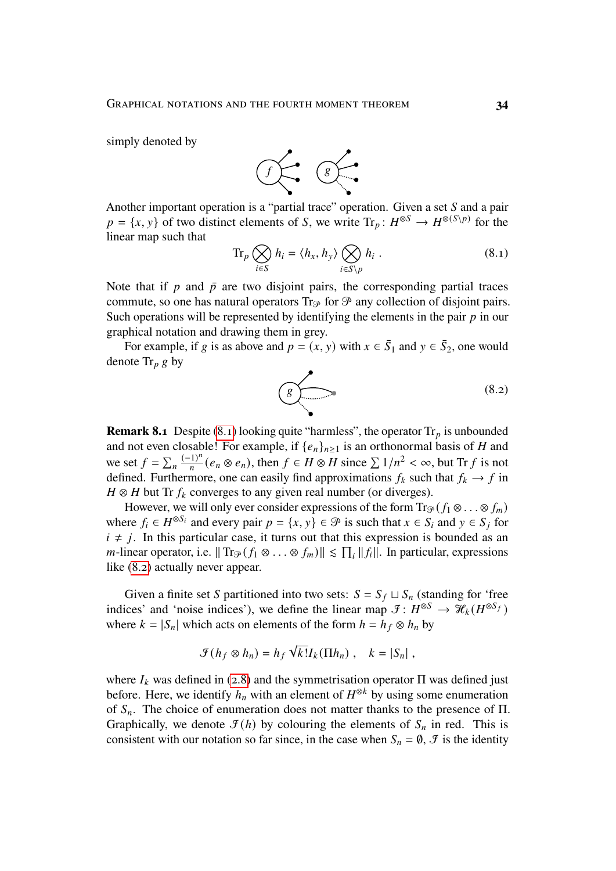simply denoted by



Another important operation is a "partial trace" operation. Given a set  $S$  and a pair  $p = \{x, y\}$  of two distinct elements of S, we write  $\text{Tr}_p : H^{\otimes S} \to H^{\otimes (S \setminus p)}$  for the linear map such that

$$
\operatorname{Tr}_p \bigotimes_{i \in S} h_i = \langle h_x, h_y \rangle \bigotimes_{i \in S \setminus p} h_i . \tag{8.1}
$$

Note that if  $p$  and  $\bar{p}$  are two disjoint pairs, the corresponding partial traces commute, so one has natural operators  $Tr_{\mathcal{P}}$  for  $\mathcal{P}$  any collection of disjoint pairs. Such operations will be represented by identifying the elements in the pair  $p$  in our graphical notation and drawing them in grey.

For example, if g is as above and  $p = (x, y)$  with  $x \in \overline{S}_1$  and  $y \in \overline{S}_2$ , one would denote  $\text{Tr}_{p} g$  by

<span id="page-33-1"></span><span id="page-33-0"></span>
$$
\underbrace{\textcircled{\scriptsize{8}}}_{\bullet}
$$
 (8.2)

**Remark 8.1** Despite [\(8.1\)](#page-33-0) looking quite "harmless", the operator  $Tr_p$  is unbounded and not even closable! For example, if  $\{e_n\}_{n\geq 1}$  is an orthonormal basis of H and we set  $f = \sum_n \frac{(-1)^n}{n}$  $\frac{(1)^n}{n}$   $(e_n \otimes e_n)$ , then  $f \in H \otimes H$  since  $\sum 1/n^2 < \infty$ , but Tr f is not defined. Furthermore, one can easily find approximations  $f_k$  such that  $f_k \to f$  in  $H \otimes H$  but Tr  $f_k$  converges to any given real number (or diverges).

However, we will only ever consider expressions of the form  $\text{Tr}_{\mathcal{P}}(f_1 \otimes \ldots \otimes f_m)$ where  $f_i \in H^{\otimes S_i}$  and every pair  $p = \{x, y\} \in \mathcal{P}$  is such that  $x \in S_i$  and  $y \in S_j$  for  $i \neq j$ . In this particular case, it turns out that this expression is bounded as an *m*-linear operator, i.e.  $|| \text{Tr}_{\mathcal{P}}(f_1 \otimes \ldots \otimes f_m) || \leq \prod_i ||f_i||$ . In particular, expressions like [\(8.2\)](#page-33-1) actually never appear.

Given a finite set S partitioned into two sets:  $S = S_f \sqcup S_n$  (standing for 'free indices' and 'noise indices'), we define the linear map  $\mathcal{I}: H^{\otimes S} \to \mathcal{H}_k(H^{\otimes S_f})$ where  $k = |S_n|$  which acts on elements of the form  $h = h_f \otimes h_n$  by

$$
\mathcal{F}(h_f \otimes h_n) = h_f \sqrt{k!} I_k(\Pi h_n) , \quad k = |S_n| ,
$$

where  $I_k$  was defined in [\(2.8\)](#page-5-1) and the symmetrisation operator  $\Pi$  was defined just before. Here, we identify  $h_n$  with an element of  $H^{\otimes k}$  by using some enumeration of  $S_n$ . The choice of enumeration does not matter thanks to the presence of  $\Pi$ . Graphically, we denote  $\mathcal{F}(h)$  by colouring the elements of  $S_n$  in red. This is consistent with our notation so far since, in the case when  $S_n = \emptyset$ ,  $\mathcal{F}$  is the identity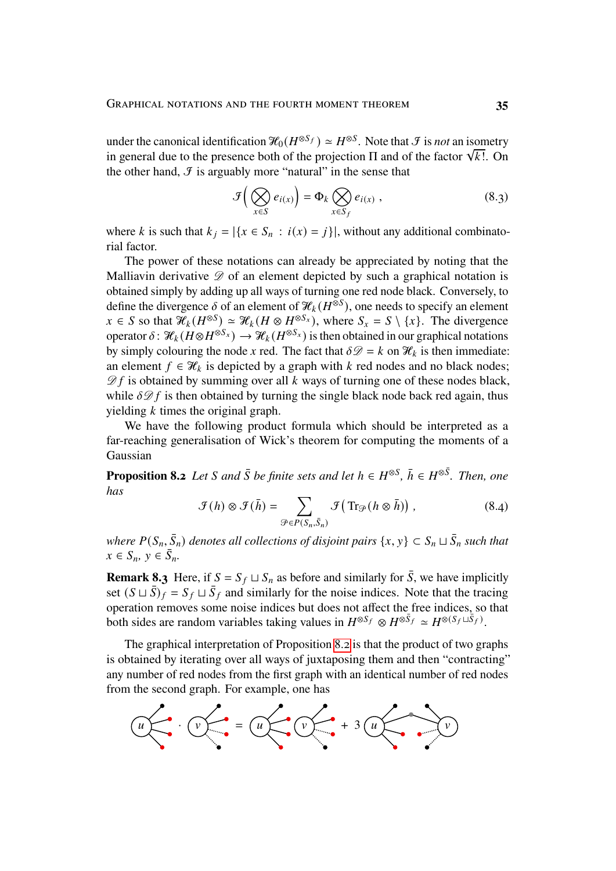under the canonical identification  $\mathcal{H}_0(H^{\otimes S_f}) \simeq H^{\otimes S}$ . Note that  $\mathcal F$  is *not* an isometry in general due to the presence both of the projection  $\Pi$  and of the factor  $\sqrt{k!}$ . On the other hand,  $\mathcal{F}$  is arguably more "natural" in the sense that

<span id="page-34-1"></span>
$$
\mathcal{F}\left(\bigotimes_{x\in S}e_{i(x)}\right)=\Phi_{k}\bigotimes_{x\in S_{f}}e_{i(x)},\qquad(8.3)
$$

where k is such that  $k_i = |\{x \in S_n : i(x) = j\}|$ , without any additional combinatorial factor.

The power of these notations can already be appreciated by noting that the Malliavin derivative  $\mathscr D$  of an element depicted by such a graphical notation is obtained simply by adding up all ways of turning one red node black. Conversely, to define the divergence  $\delta$  of an element of  $\mathcal{H}_k(H^{\otimes S})$ , one needs to specify an element  $x \in S$  so that  $\mathcal{H}_k(H^{\otimes S}) \simeq \mathcal{H}_k(H \otimes H^{\otimes S_x})$ , where  $S_x = S \setminus \{x\}$ . The divergence operator  $\delta$ :  $\mathcal{H}_k(H\otimes H^{\otimes S_x}) \to \mathcal{H}_k(H^{\otimes S_x})$  is then obtained in our graphical notations by simply colouring the node x red. The fact that  $\delta \mathcal{D} = k$  on  $\mathcal{H}_k$  is then immediate: an element  $f \in \mathcal{H}_k$  is depicted by a graph with k red nodes and no black nodes;  $\mathscr{D}f$  is obtained by summing over all k ways of turning one of these nodes black, while  $\delta \mathcal{D} f$  is then obtained by turning the single black node back red again, thus yielding  $k$  times the original graph.

We have the following product formula which should be interpreted as a far-reaching generalisation of Wick's theorem for computing the moments of a Gaussian

<span id="page-34-0"></span>**Proposition 8.2** *Let S* and  $\bar{S}$  *be finite sets and let*  $h \in H^{\otimes S}$ ,  $\bar{h} \in H^{\otimes \bar{S}}$ . *Then, one has*

<span id="page-34-2"></span>
$$
\mathcal{F}(h) \otimes \mathcal{F}(\bar{h}) = \sum_{\mathcal{P} \in P(S_n, \bar{S}_n)} \mathcal{F}\big(\operatorname{Tr}_{\mathcal{P}}(h \otimes \bar{h})\big) ,\tag{8.4}
$$

where  $P(S_n, \bar{S}_n)$  denotes all collections of disjoint pairs  $\{x, y\} \subset S_n \sqcup \bar{S}_n$  such that  $x \in S_n$ ,  $y \in \overline{S}_n$ .

**Remark 8.3** Here, if  $S = S_f \sqcup S_n$  as before and similarly for  $\overline{S}$ , we have implicitly set  $(S \sqcup \overline{S})_f = S_f \sqcup \overline{S}_f$  and similarly for the noise indices. Note that the tracing operation removes some noise indices but does not affect the free indices, so that both sides are random variables taking values in  $H^{\otimes S_f} \otimes H^{\otimes S_f} \simeq H^{\otimes (S_f \sqcup \overline{S}_f)}$ .

The graphical interpretation of Proposition [8.2](#page-34-0) is that the product of two graphs is obtained by iterating over all ways of juxtaposing them and then "contracting" any number of red nodes from the first graph with an identical number of red nodes from the second graph. For example, one has

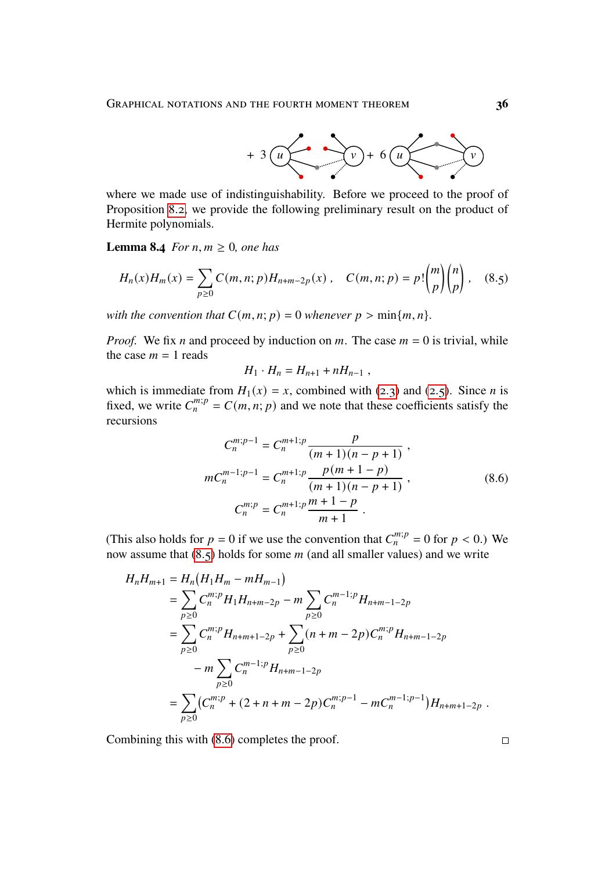

where we made use of indistinguishability. Before we proceed to the proof of Proposition [8.2,](#page-34-0) we provide the following preliminary result on the product of Hermite polynomials.

<span id="page-35-2"></span>**Lemma 8.4** *For*  $n, m \geq 0$ *, one has* 

$$
H_n(x)H_m(x) = \sum_{p\geq 0} C(m, n; p)H_{n+m-2p}(x) , \quad C(m, n; p) = p! \binom{m}{p} \binom{n}{p} , \quad (8.5)
$$

*with the convention that*  $C(m, n; p) = 0$  *whenever*  $p > \min\{m, n\}$ *.* 

*Proof.* We fix *n* and proceed by induction on *m*. The case  $m = 0$  is trivial, while the case  $m = 1$  reads

<span id="page-35-0"></span>
$$
H_1 \cdot H_n = H_{n+1} + nH_{n-1} ,
$$

which is immediate from  $H_1(x) = x$ , combined with [\(2.3\)](#page-3-1) and [\(2.5\)](#page-4-1). Since *n* is fixed, we write  $C_n^{m,p} = C(m, n; p)$  and we note that these coefficients satisfy the recursions

$$
C_n^{m;p-1} = C_n^{m+1;p} \frac{p}{(m+1)(n-p+1)},
$$
  
\n
$$
m C_n^{m-1;p-1} = C_n^{m+1;p} \frac{p(m+1-p)}{(m+1)(n-p+1)},
$$
  
\n
$$
C_n^{m;p} = C_n^{m+1;p} \frac{m+1-p}{m+1}.
$$
\n(8.6)

(This also holds for  $p = 0$  if we use the convention that  $C_n^{m,p} = 0$  for  $p < 0$ .) We now assume that  $(8.5)$  holds for some  $m$  (and all smaller values) and we write

$$
H_n H_{m+1} = H_n (H_1 H_m - m H_{m-1})
$$
  
=  $\sum_{p \ge 0} C_n^{m;p} H_1 H_{n+m-2p} - m \sum_{p \ge 0} C_n^{m-1;p} H_{n+m-1-2p}$   
=  $\sum_{p \ge 0} C_n^{m;p} H_{n+m+1-2p} + \sum_{p \ge 0} (n+m-2p) C_n^{m;p} H_{n+m-1-2p}$   
-  $m \sum_{p \ge 0} C_n^{m-1;p} H_{n+m-1-2p}$   
=  $\sum_{p \ge 0} (C_n^{m;p} + (2+n+m-2p) C_n^{m;p-1} - m C_n^{m-1;p-1}) H_{n+m+1-2p}$ .

Combining this with [\(8.6\)](#page-35-1) completes the proof.

<span id="page-35-1"></span>

 $\Box$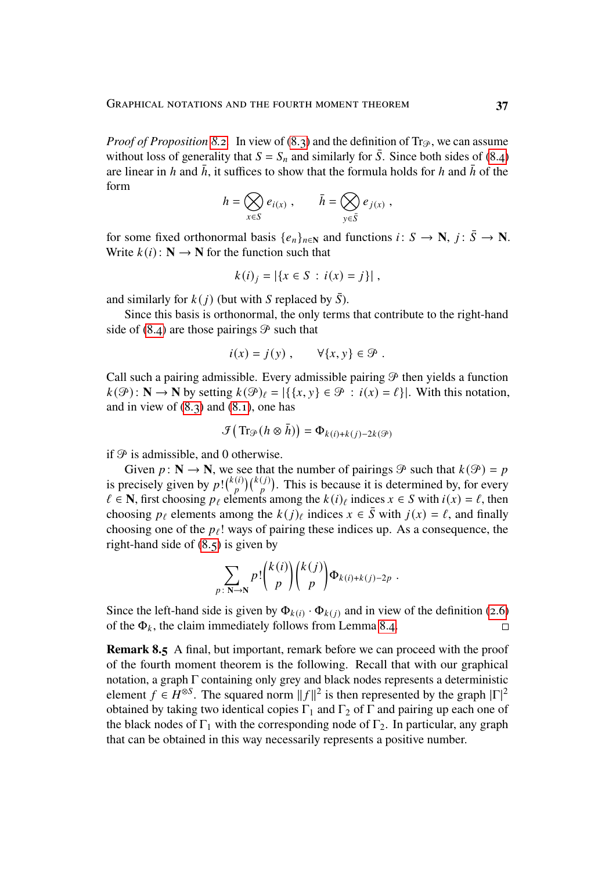*Proof of Proposition* [8.2.](#page-34-0) In view of [\(8.3\)](#page-34-1) and the definition of Tr<sub>P</sub>, we can assume without loss of generality that  $S = S_n$  and similarly for  $\overline{S}$ . Since both sides of [\(8.4\)](#page-34-2) are linear in h and  $\bar{h}$ , it suffices to show that the formula holds for h and  $\bar{h}$  of the form

$$
h = \bigotimes_{x \in S} e_{i(x)}, \qquad \bar{h} = \bigotimes_{y \in \bar{S}} e_{j(x)},
$$

for some fixed orthonormal basis  $\{e_n\}_{n\in\mathbb{N}}$  and functions  $i: S \to \mathbb{N}, j: \overline{S} \to \mathbb{N}$ . Write  $k(i)$ :  $N \rightarrow N$  for the function such that

$$
k(i)_j = |\{x \in S : i(x) = j\}|,
$$

and similarly for  $k(j)$  (but with S replaced by  $\overline{S}$ ).

Since this basis is orthonormal, the only terms that contribute to the right-hand side of  $(8.4)$  are those pairings  $\mathcal{P}$  such that

$$
i(x) = j(y) , \qquad \forall \{x, y\} \in \mathcal{P} .
$$

Call such a pairing admissible. Every admissible pairing  $\mathcal P$  then yields a function  $k(\mathcal{P}): \mathbb{N} \to \mathbb{N}$  by setting  $k(\mathcal{P})_l = |\{\{x, y\} \in \mathcal{P} : i(x) = l\}|$ . With this notation, and in view of  $(8.3)$  and  $(8.1)$ , one has

$$
\mathcal{F}\big(\operatorname{Tr}_{\mathcal{P}}(h\otimes\bar{h})\big)=\Phi_{k(i)+k(j)-2k(\mathcal{P})}
$$

if  $\mathcal P$  is admissible, and 0 otherwise.

Given  $p : \mathbb{N} \to \mathbb{N}$ , we see that the number of pairings  $\mathcal{P}$  such that  $k(\mathcal{P}) = p$ is precisely given by  $p! \binom{k(i)}{n}$  $\binom{n}{p}$  $\binom{k(j)}{p}$ . This is because it is determined by, for every  $\ell \in \mathbb{N}$ , first choosing  $p_{\ell}$  elements among the  $k(i)_{\ell}$  indices  $x \in S$  with  $i(x) = \ell$ , then choosing  $p_\ell$  elements among the  $k(j)_\ell$  indices  $x \in \overline{S}$  with  $j(x) = \ell$ , and finally choosing one of the  $p_\ell$ ! ways of pairing these indices up. As a consequence, the right-hand side of  $(8.5)$  is given by

$$
\sum_{p\colon N\to N}p!\binom{k(i)}{p}\binom{k(j)}{p}\Phi_{k(i)+k(j)-2p}.
$$

Since the left-hand side is given by  $\Phi_{k(i)} \cdot \Phi_{k(j)}$  and in view of the definition [\(2.6\)](#page-5-2) of the  $\Phi_k$ , the claim immediately follows from Lemma [8.4.](#page-35-2)  $\Box$ 

<span id="page-36-0"></span>**Remark 8.5** A final, but important, remark before we can proceed with the proof of the fourth moment theorem is the following. Recall that with our graphical notation, a graph  $\Gamma$  containing only grey and black nodes represents a deterministic element  $f \in H^{\otimes S}$ . The squared norm  $||f||^2$  is then represented by the graph  $|\Gamma|^2$ obtained by taking two identical copies  $\Gamma_1$  and  $\Gamma_2$  of  $\Gamma$  and pairing up each one of the black nodes of  $\Gamma_1$  with the corresponding node of  $\Gamma_2$ . In particular, any graph that can be obtained in this way necessarily represents a positive number.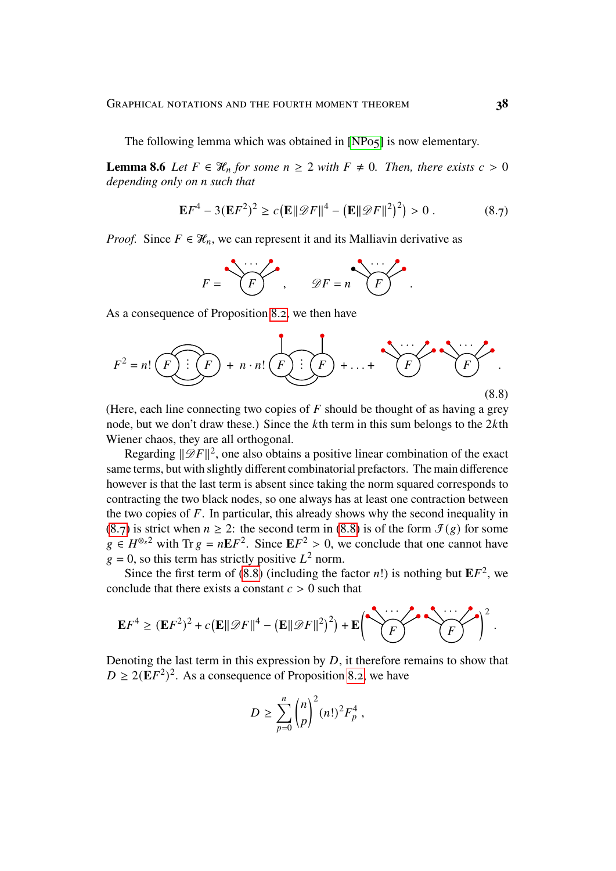The following lemma which was obtained in [\[NP05\]](#page-44-13) is now elementary.

<span id="page-37-2"></span>**Lemma 8.6** *Let*  $F \in \mathcal{H}_n$  *for some*  $n \geq 2$  *with*  $F \neq 0$ *. Then, there exists*  $c > 0$ *depending only on n such that* 

$$
\mathbf{E}F^4 - 3(\mathbf{E}F^2)^2 \ge c(\mathbf{E}||\mathcal{D}F||^4 - (\mathbf{E}||\mathcal{D}F||^2)^2) > 0.
$$
 (8.7)

*Proof.* Since  $F \in \mathcal{H}_n$ , we can represent it and its Malliavin derivative as

<span id="page-37-1"></span><span id="page-37-0"></span>
$$
F = \underbrace{\qquad F} \qquad \qquad \mathscr{D}F = n \qquad \qquad F
$$

As a consequence of Proposition [8.2,](#page-34-0) we then have



(Here, each line connecting two copies of  $F$  should be thought of as having a grey node, but we don't draw these.) Since the  $k$ th term in this sum belongs to the  $2k$ th Wiener chaos, they are all orthogonal.

Regarding  $\|\mathscr{D}F\|^2$ , one also obtains a positive linear combination of the exact same terms, but with slightly different combinatorial prefactors. The main difference however is that the last term is absent since taking the norm squared corresponds to contracting the two black nodes, so one always has at least one contraction between the two copies of  $F$ . In particular, this already shows why the second inequality in [\(8.7\)](#page-37-0) is strict when  $n \ge 2$ : the second term in [\(8.8\)](#page-37-1) is of the form  $\mathcal{I}(g)$  for some  $g \in H^{\otimes}$  with Tr  $g = nE F^2$ . Since  $E F^2 > 0$ , we conclude that one cannot have  $g = 0$ , so this term has strictly positive  $L^2$  norm.

Since the first term of  $(8.8)$  (including the factor *n*!) is nothing but  $EF^2$ , we conclude that there exists a constant  $c > 0$  such that

$$
\mathbf{E}F^4 \geq (\mathbf{E}F^2)^2 + c(\mathbf{E}||\mathscr{D}F||^4 - (\mathbf{E}||\mathscr{D}F||^2)^2) + \mathbf{E}\left(\sum_{F}^{n} \sum_{r=1}^{n} \mathbf{E} \left(\sum_{F}^{n} \mathbf{F}^T\right)^2\right).
$$

Denoting the last term in this expression by  $D$ , it therefore remains to show that  $D \ge 2(EF^2)^2$ . As a consequence of Proposition [8.2,](#page-34-0) we have

$$
D \geq \sum_{p=0}^{n} {n \choose p}^2 (n!)^2 F_p^4,
$$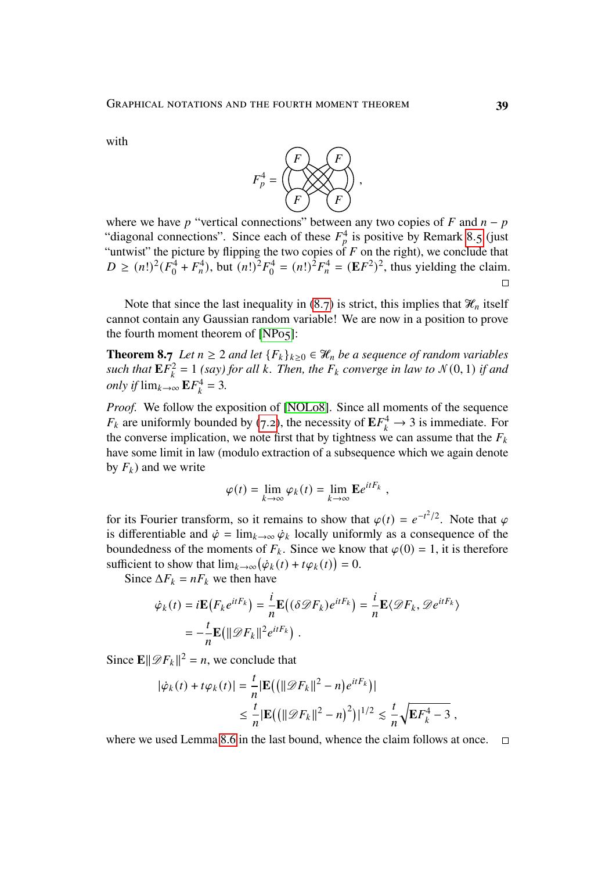with



where we have p "vertical connections" between any two copies of  $F$  and  $n - p$ "diagonal connections". Since each of these  $F_p^4$  is positive by Remark [8.5](#page-36-0) (just "untwist" the picture by flipping the two copies of F on the right), we conclude that  $D \geq (n!)^2 (F_0^4)$  $\frac{1}{9}^4 + F_n^4$ , but  $(n!)^2 F_0^4$  $v_0^4 = (n!)^2 F_n^4 = (\mathbf{E} F^2)^2$ , thus yielding the claim.  $\Box$ 

Note that since the last inequality in  $(8.7)$  is strict, this implies that  $\mathcal{H}_n$  itself cannot contain any Gaussian random variable! We are now in a position to prove the fourth moment theorem of [\[NP05\]](#page-44-13):

**Theorem 8.7** *Let*  $n \geq 2$  *and let*  ${F_k}_{k \geq 0} \in \mathcal{H}_n$  *be a sequence of random variables such that*  $\mathbf{E} \vec{F}_k^2$  $\mathcal{L}_k^2 = 1$  *(say) for all k. Then, the*  $F_k$  *converge in law to*  $\mathcal{N}(0, 1)$  *if and only if*  $\lim_{k\to\infty} E F_k^4$  $k^4 = 3.$ 

*Proof.* We follow the exposition of [\[NOL08\]](#page-44-14). Since all moments of the sequence  $F_k$  are uniformly bounded by [\(7.2\)](#page-27-1), the necessity of  $\mathbf{E} F_k^4 \to 3$  is immediate. For the converse implication, we note first that by tightness we can assume that the  $F_k$ have some limit in law (modulo extraction of a subsequence which we again denote by  $F_k$ ) and we write

$$
\varphi(t) = \lim_{k \to \infty} \varphi_k(t) = \lim_{k \to \infty} \mathbf{E} e^{itF_k},
$$

for its Fourier transform, so it remains to show that  $\varphi(t) = e^{-t^2/2}$ . Note that  $\varphi$ is differentiable and  $\dot{\varphi} = \lim_{k \to \infty} \dot{\varphi}_k$  locally uniformly as a consequence of the boundedness of the moments of  $F_k$ . Since we know that  $\varphi(0) = 1$ , it is therefore sufficient to show that  $\lim_{k\to\infty} (\dot{\varphi}_k(t) + t\varphi_k(t)) = 0$ .

Since  $\Delta F_k = nF_k$  we then have

$$
\dot{\varphi}_k(t) = i \mathbf{E} \big( F_k e^{itF_k} \big) = \frac{i}{n} \mathbf{E} \big( (\delta \mathcal{D} F_k) e^{itF_k} \big) = \frac{i}{n} \mathbf{E} \langle \mathcal{D} F_k, \mathcal{D} e^{itF_k} \rangle
$$

$$
= -\frac{i}{n} \mathbf{E} \big( \| \mathcal{D} F_k \|^2 e^{itF_k} \big).
$$

Since  $\mathbf{E} \|\mathcal{D}F_k\|^2 = n$ , we conclude that

$$
|\dot{\varphi}_k(t) + t\varphi_k(t)| = \frac{t}{n} |\mathbf{E}((\|\mathcal{D}F_k\|^2 - n)e^{itF_k})|
$$
  

$$
\leq \frac{t}{n} |\mathbf{E}((\|\mathcal{D}F_k\|^2 - n)^2)|^{1/2} \leq \frac{t}{n} \sqrt{\mathbf{E}F_k^4 - 3},
$$

where we used Lemma [8.6](#page-37-2) in the last bound, whence the claim follows at once.  $\Box$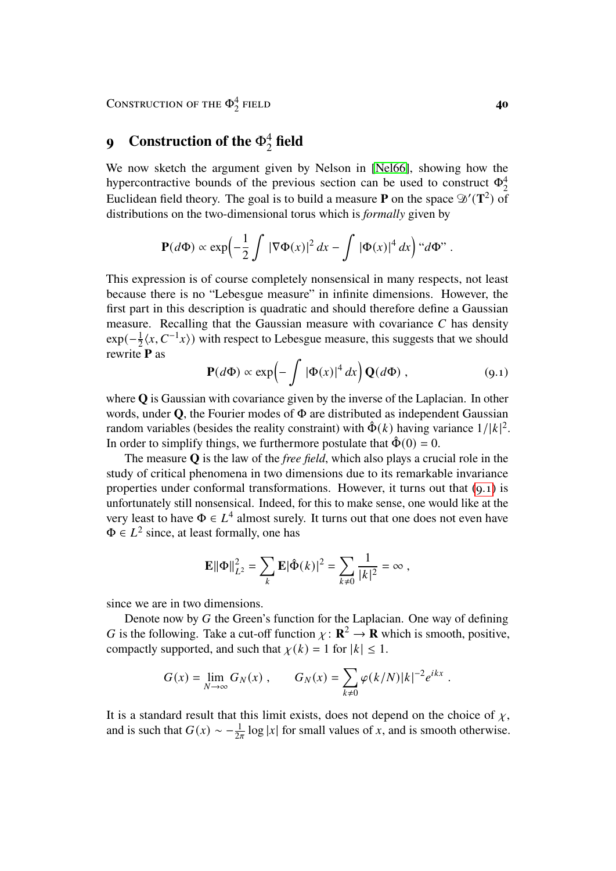# <span id="page-39-0"></span>**9** Construction of the  $\Phi_2^4$  field

We now sketch the argument given by Nelson in [\[Nel66\]](#page-44-9), showing how the hypercontractive bounds of the previous section can be used to construct  $\Phi_2^4$ Euclidean field theory. The goal is to build a measure **P** on the space  $\mathcal{D}'(\mathbf{T}^2)$  of distributions on the two-dimensional torus which is *formally* given by

$$
\mathbf{P}(d\Phi) \propto \exp\left(-\frac{1}{2}\int |\nabla \Phi(x)|^2 dx - \int |\Phi(x)|^4 dx\right) \text{``} d\Phi\text{''}.
$$

This expression is of course completely nonsensical in many respects, not least because there is no "Lebesgue measure" in infinite dimensions. However, the first part in this description is quadratic and should therefore define a Gaussian measure. Recalling that the Gaussian measure with covariance  $C$  has density  $exp(-\frac{1}{2}\langle x, C^{-1}x\rangle)$  with respect to Lebesgue measure, this suggests that we should rewrite **P** as

<span id="page-39-1"></span>
$$
\mathbf{P}(d\Phi) \propto \exp\left(-\int |\Phi(x)|^4 dx\right) \mathbf{Q}(d\Phi) , \qquad (9.1)
$$

where **Q** is Gaussian with covariance given by the inverse of the Laplacian. In other words, under **Q**, the Fourier modes of Φ are distributed as independent Gaussian random variables (besides the reality constraint) with  $\hat{\Phi}(k)$  having variance  $1/|k|^2$ . In order to simplify things, we furthermore postulate that  $\hat{\Phi}(0) = 0$ .

The measure **Q** is the law of the *free field*, which also plays a crucial role in the study of critical phenomena in two dimensions due to its remarkable invariance properties under conformal transformations. However, it turns out that [\(9.1\)](#page-39-1) is unfortunately still nonsensical. Indeed, for this to make sense, one would like at the very least to have  $\Phi \in L^4$  almost surely. It turns out that one does not even have  $\Phi \in L^2$  since, at least formally, one has

$$
\mathbf{E} \|\Phi\|_{L^2}^2 = \sum_k \mathbf{E} |\hat{\Phi}(k)|^2 = \sum_{k \neq 0} \frac{1}{|k|^2} = \infty ,
$$

since we are in two dimensions.

Denote now by  $G$  the Green's function for the Laplacian. One way of defining G is the following. Take a cut-off function  $\chi : \mathbf{R}^2 \to \mathbf{R}$  which is smooth, positive, compactly supported, and such that  $\chi(k) = 1$  for  $|k| \leq 1$ .

$$
G(x) = \lim_{N \to \infty} G_N(x) , \qquad G_N(x) = \sum_{k \neq 0} \varphi(k/N) |k|^{-2} e^{ikx} .
$$

It is a standard result that this limit exists, does not depend on the choice of  $\chi$ , and is such that  $G(x) \sim -\frac{1}{2\pi} \log |x|$  for small values of x, and is smooth otherwise.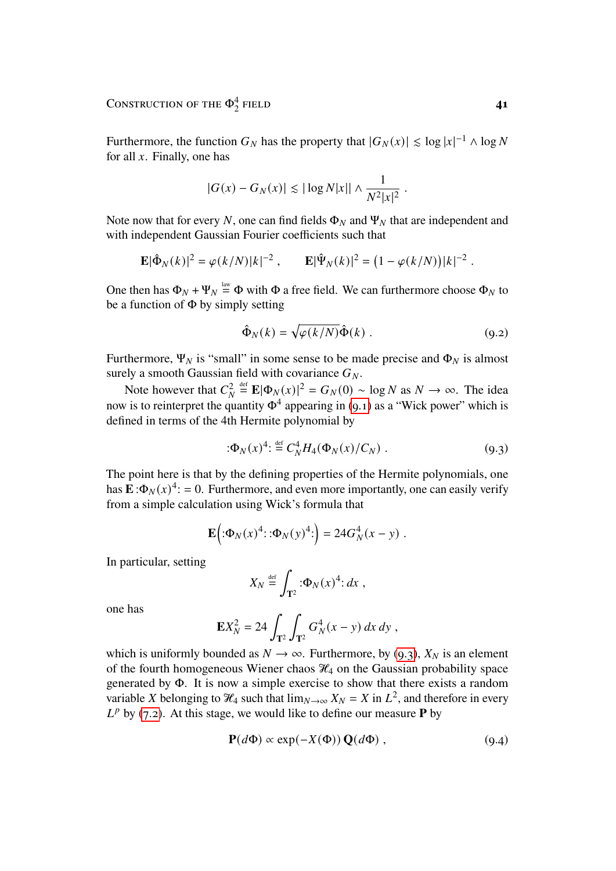Furthermore, the function  $G_N$  has the property that  $|G_N(x)| \leq \log |x|^{-1} \wedge \log N$ for all  $x$ . Finally, one has

$$
|G(x) - G_N(x)| \lesssim |\log N|x|| \wedge \frac{1}{N^2|x|^2}.
$$

Note now that for every N, one can find fields  $\Phi_N$  and  $\Psi_N$  that are independent and with independent Gaussian Fourier coefficients such that

$$
\mathbf{E}|\hat{\Phi}_N(k)|^2 = \varphi(k/N)|k|^{-2}, \qquad \mathbf{E}|\hat{\Psi}_N(k)|^2 = (1 - \varphi(k/N))|k|^{-2}
$$

One then has  $\Phi_N + \Psi_N \stackrel{\text{law}}{=} \Phi$  with  $\Phi$  a free field. We can furthermore choose  $\Phi_N$  to be a function of  $\Phi$  by simply setting

$$
\hat{\Phi}_N(k) = \sqrt{\varphi(k/N)} \hat{\Phi}(k) . \qquad (9.2)
$$

Furthermore,  $\Psi_N$  is "small" in some sense to be made precise and  $\Phi_N$  is almost surely a smooth Gaussian field with covariance  $G_N$ .

Note however that  $C^2$  $\bar{N}$  $\stackrel{\text{def}}{=} \mathbf{E} |\Phi_N(x)|^2 = G_N(0) \sim \log N \text{ as } N \to \infty.$  The idea now is to reinterpret the quantity  $\Phi^4$  appearing in [\(9.1\)](#page-39-1) as a "Wick power" which is defined in terms of the 4th Hermite polynomial by

$$
:\!\!\Phi_N(x)^4:\stackrel{\text{def}}{=}C_N^4H_4(\Phi_N(x)/C_N)\;.\tag{9.3}
$$

The point here is that by the defining properties of the Hermite polynomials, one has  $\mathbf{E}: \Phi_N(x)^4 = 0$ . Furthermore, and even more importantly, one can easily verify from a simple calculation using Wick's formula that

$$
\mathbf{E}(\mathbf{D} \Phi_N(x)^4 \mathbf{D} \mathbf{D} \Phi_N(y)^4 \mathbf{D}) = 24 G_N^4(x - y) .
$$

In particular, setting

$$
X_N \stackrel{\text{def}}{=} \int_{\mathbf{T}^2} \, \mathbf{D}_N(x)^4 \, dx \ ,
$$

one has

$$
\mathbf{E}X_N^2 = 24 \int_{\mathbf{T}^2} \int_{\mathbf{T}^2} G_N^4(x - y) \, dx \, dy \;,
$$

which is uniformly bounded as  $N \to \infty$ . Furthermore, by [\(9.3\)](#page-40-0),  $X_N$  is an element of the fourth homogeneous Wiener chaos  $\mathcal{H}_4$  on the Gaussian probability space generated by Φ. It is now a simple exercise to show that there exists a random variable X belonging to  $\mathcal{H}_4$  such that  $\lim_{N\to\infty} X_N = X$  in  $L^2$ , and therefore in every  $L^p$  by [\(7.2\)](#page-27-1). At this stage, we would like to define our measure **P** by

<span id="page-40-1"></span>
$$
\mathbf{P}(d\Phi) \propto \exp(-X(\Phi)) \mathbf{Q}(d\Phi) , \qquad (9.4)
$$

<span id="page-40-0"></span>.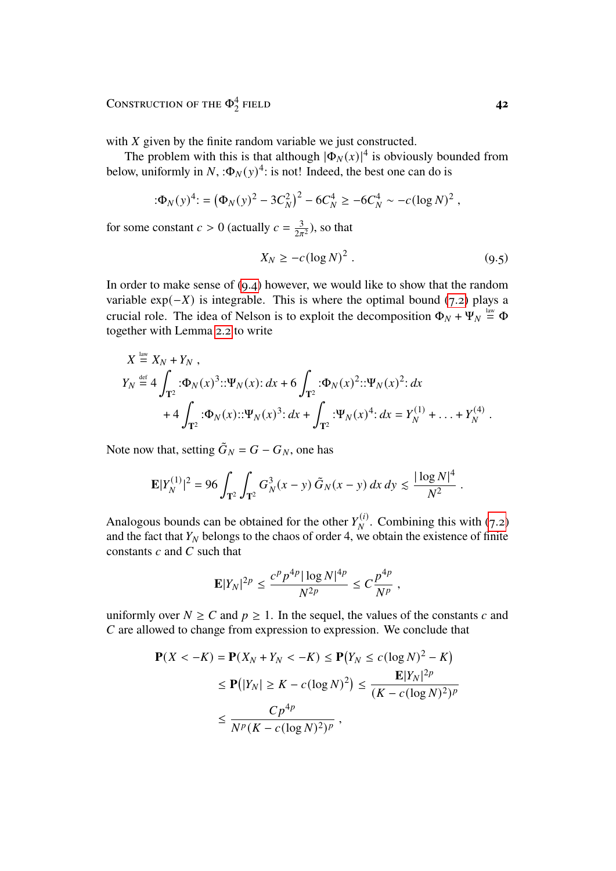with  $X$  given by the finite random variable we just constructed.

The problem with this is that although  $|\Phi_N(x)|^4$  is obviously bounded from below, uniformly in  $N$ , : $\Phi_N(y)^4$ : is not! Indeed, the best one can do is

$$
(\Phi_N(y)^4) = (\Phi_N(y)^2 - 3C_N^2)^2 - 6C_N^4 \ge -6C_N^4 \sim -c(\log N)^2,
$$

for some constant  $c > 0$  (actually  $c = \frac{3}{2\pi}$  $\frac{3}{2\pi^2}$ ), so that

$$
X_N \ge -c(\log N)^2 \,. \tag{9.5}
$$

In order to make sense of [\(9.4\)](#page-40-1) however, we would like to show that the random variable  $exp(-X)$  is integrable. This is where the optimal bound [\(7.2\)](#page-27-1) plays a crucial role. The idea of Nelson is to exploit the decomposition  $\Phi_N + \Psi_N \stackrel{\text{law}}{=} \Phi$ together with Lemma [2.2](#page-5-3) to write

$$
X \stackrel{\text{law}}{=} X_N + Y_N ,
$$
  
\n
$$
Y_N \stackrel{\text{def}}{=} 4 \int_{\mathbf{T}^2} : \Phi_N(x)^3 :: \Psi_N(x) : dx + 6 \int_{\mathbf{T}^2} : \Phi_N(x)^2 :: \Psi_N(x)^2 : dx
$$
  
\n
$$
+ 4 \int_{\mathbf{T}^2} : \Phi_N(x) :: \Psi_N(x)^3 : dx + \int_{\mathbf{T}^2} : \Psi_N(x)^4 : dx = Y_N^{(1)} + ... + Y_N^{(4)}.
$$

Note now that, setting  $\tilde{G}_N = G - G_N$ , one has

$$
\mathbf{E}|Y_N^{(1)}|^2 = 96 \int_{\mathbf{T}^2} \int_{\mathbf{T}^2} G_N^3(x-y) \, \tilde{G}_N(x-y) \, dx \, dy \lesssim \frac{|\log N|^4}{N^2} \, .
$$

Analogous bounds can be obtained for the other  $Y_{\mu}^{(i)}$  $\mathcal{L}_{N}^{(i)}$ . Combining this with [\(7.2\)](#page-27-1) and the fact that  $Y_N$  belongs to the chaos of order 4, we obtain the existence of finite constants  $c$  and  $C$  such that

$$
\mathbf{E}|Y_N|^{2p} \leq \frac{c^p p^{4p} |\log N|^{4p}}{N^{2p}} \leq C \frac{p^{4p}}{N^p},
$$

uniformly over  $N \ge C$  and  $p \ge 1$ . In the sequel, the values of the constants c and  $C$  are allowed to change from expression to expression. We conclude that

$$
\mathbf{P}(X < -K) = \mathbf{P}(X_N + Y_N < -K) \le \mathbf{P}(Y_N \le c(\log N)^2 - K)
$$
\n
$$
\le \mathbf{P}(|Y_N| \ge K - c(\log N)^2) \le \frac{\mathbf{E}|Y_N|^{2p}}{(K - c(\log N)^2)^p}
$$
\n
$$
\le \frac{Cp^{4p}}{N^p(K - c(\log N)^2)^p},
$$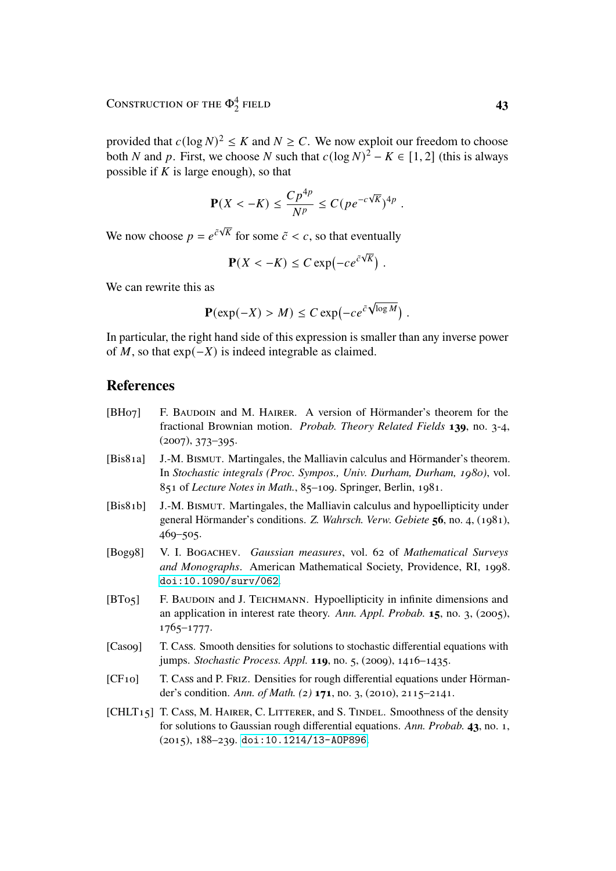provided that  $c(\log N)^2 \le K$  and  $N \ge C$ . We now exploit our freedom to choose both N and p. First, we choose N such that  $c(\log N)^2 - K \in [1, 2]$  (this is always possible if  $K$  is large enough), so that

$$
\mathbf{P}(X < -K) \le \frac{Cp^{4p}}{N^p} \le C(p e^{-c\sqrt{K}})^{4p}.
$$

We now choose  $p = e^{\tilde{c}\sqrt{K}}$  for some  $\tilde{c} < c$ , so that eventually

$$
\mathbf{P}(X < -K) \leq C \exp\left(-ce^{c\sqrt{K}}\right).
$$

We can rewrite this as

$$
\mathbf{P}(\exp(-X) > M) \leq C \exp(-ce^{C\sqrt{\log M}}).
$$

In particular, the right hand side of this expression is smaller than any inverse power of  $M$ , so that  $exp(-X)$  is indeed integrable as claimed.

#### **References**

- <span id="page-42-4"></span>[BH07] F. BAUDOIN and M. HAIRER. A version of Hörmander's theorem for the fractional Brownian motion. *Probab. Theory Related Fields* **139**, no. 3-4, (2007), 373–395.
- <span id="page-42-1"></span>[Bis81a] J.-M. Bismut. Martingales, the Malliavin calculus and Hörmander's theorem. In *Stochastic integrals (Proc. Sympos., Univ. Durham, Durham, 1980)*, vol. 851 of *Lecture Notes in Math.*, 85–109. Springer, Berlin, 1981.
- <span id="page-42-0"></span>[Bis81b] J.-M. Bismut. Martingales, the Malliavin calculus and hypoellipticity under general Hörmander's conditions. *Z. Wahrsch. Verw. Gebiete* **56**, no. 4, (1981), 469–505.
- <span id="page-42-7"></span>[Bog98] V. I. Bogachev. *Gaussian measures*, vol. 62 of *Mathematical Surveys and Monographs*. American Mathematical Society, Providence, RI, 1998. [doi:10.1090/surv/062](http://dx.doi.org/10.1090/surv/062).
- <span id="page-42-3"></span>[BT05] F. BAUDOIN and J. TEICHMANN. Hypoellipticity in infinite dimensions and an application in interest rate theory. *Ann. Appl. Probab.* **15**, no. 3, (2005), 1765–1777.
- <span id="page-42-2"></span>[Cas09] T. Cass. Smooth densities for solutions to stochastic differential equations with jumps. *Stochastic Process. Appl.* **119**, no. 5, (2009), 1416–1435.
- <span id="page-42-5"></span>[CF10] T. Cass and P. Friz. Densities for rough differential equations under Hörmander's condition. *Ann. of Math. (2)* **171**, no. 3, (2010), 2115–2141.
- <span id="page-42-6"></span>[CHLT<sub>15</sub>] T. Cass, M. HAIRER, C. LITTERER, and S. TINDEL. Smoothness of the density for solutions to Gaussian rough differential equations. *Ann. Probab.* **43**, no. 1, (2015), 188–239. [doi:10.1214/13-AOP896](http://dx.doi.org/10.1214/13-AOP896).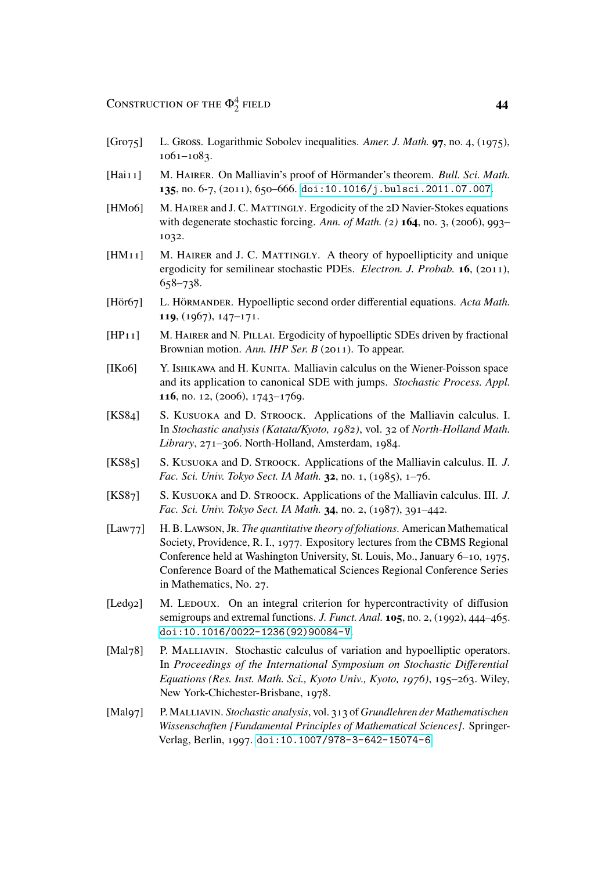- <span id="page-43-12"></span>[Gro75] L. Gross. Logarithmic Sobolev inequalities. *Amer. J. Math.* **97**, no. 4, (1975), 1061–1083.
- <span id="page-43-11"></span>[Hai<sub>11</sub>] M. HAIRER. On Malliavin's proof of Hörmander's theorem. *Bull. Sci. Math.* **135**, no. 6-7, (2011), 650–666. [doi:10.1016/j.bulsci.2011.07.007](http://dx.doi.org/10.1016/j.bulsci.2011.07.007).
- <span id="page-43-7"></span>[HM06] M. HAIRER and J. C. MATTINGLY. Ergodicity of the 2D Navier-Stokes equations with degenerate stochastic forcing. *Ann. of Math. (2)* **164**, no. 3, (2006), 993– 1032.
- <span id="page-43-8"></span>[HM<sub>11</sub>] M. HAIRER and J. C. MATTINGLY. A theory of hypoellipticity and unique ergodicity for semilinear stochastic PDEs. *Electron. J. Probab.* **16**, (2011), 658–738.
- <span id="page-43-1"></span>[Hör67] L. Hörmander. Hypoelliptic second order differential equations. *Acta Math.* **119**, (1967), 147–171.
- <span id="page-43-9"></span>[HP<sub>11</sub>] M. HAIRER and N. PILLAI. Ergodicity of hypoelliptic SDEs driven by fractional Brownian motion. *Ann. IHP Ser. B* (2011). To appear.
- <span id="page-43-6"></span>[IK06] Y. ISHIKAWA and H. KUNITA. Malliavin calculus on the Wiener-Poisson space and its application to canonical SDE with jumps. *Stochastic Process. Appl.* **116**, no. 12, (2006), 1743–1769.
- <span id="page-43-3"></span>[KS84] S. KUSUOKA and D. STROOCK. Applications of the Malliavin calculus. I. In *Stochastic analysis (Katata/Kyoto, 1982)*, vol. 32 of *North-Holland Math. Library*, 271–306. North-Holland, Amsterdam, 1984.
- <span id="page-43-4"></span>[KS85] S. KUSUOKA and D. STROOCK. Applications of the Malliavin calculus. II. *J. Fac. Sci. Univ. Tokyo Sect. IA Math.* **32**, no. 1, (1985), 1–76.
- <span id="page-43-5"></span>[KS87] S. KUSUOKA and D. STROOCK. Applications of the Malliavin calculus. III. *J. Fac. Sci. Univ. Tokyo Sect. IA Math.* **34**, no. 2, (1987), 391–442.
- <span id="page-43-0"></span>[Law77] H. B. Lawson, Jr. *The quantitative theory of foliations*. American Mathematical Society, Providence, R. I., 1977. Expository lectures from the CBMS Regional Conference held at Washington University, St. Louis, Mo., January 6–10, 1975, Conference Board of the Mathematical Sciences Regional Conference Series in Mathematics, No. 27.
- <span id="page-43-13"></span>[Led92] M. Ledoux. On an integral criterion for hypercontractivity of diffusion semigroups and extremal functions. *J. Funct. Anal.* **105**, no. 2, (1992), 444–465. [doi:10.1016/0022-1236\(92\)90084-V](http://dx.doi.org/10.1016/0022-1236(92)90084-V).
- <span id="page-43-2"></span>[Mal78] P. MALLIAVIN. Stochastic calculus of variation and hypoelliptic operators. In *Proceedings of the International Symposium on Stochastic Differential Equations (Res. Inst. Math. Sci., Kyoto Univ., Kyoto, 1976)*, 195–263. Wiley, New York-Chichester-Brisbane, 1978.
- <span id="page-43-10"></span>[Mal97] P. Malliavin. *Stochastic analysis*, vol. 313 of *Grundlehren der Mathematischen Wissenschaften [Fundamental Principles of Mathematical Sciences]*. Springer-Verlag, Berlin, 1997. [doi:10.1007/978-3-642-15074-6](http://dx.doi.org/10.1007/978-3-642-15074-6).